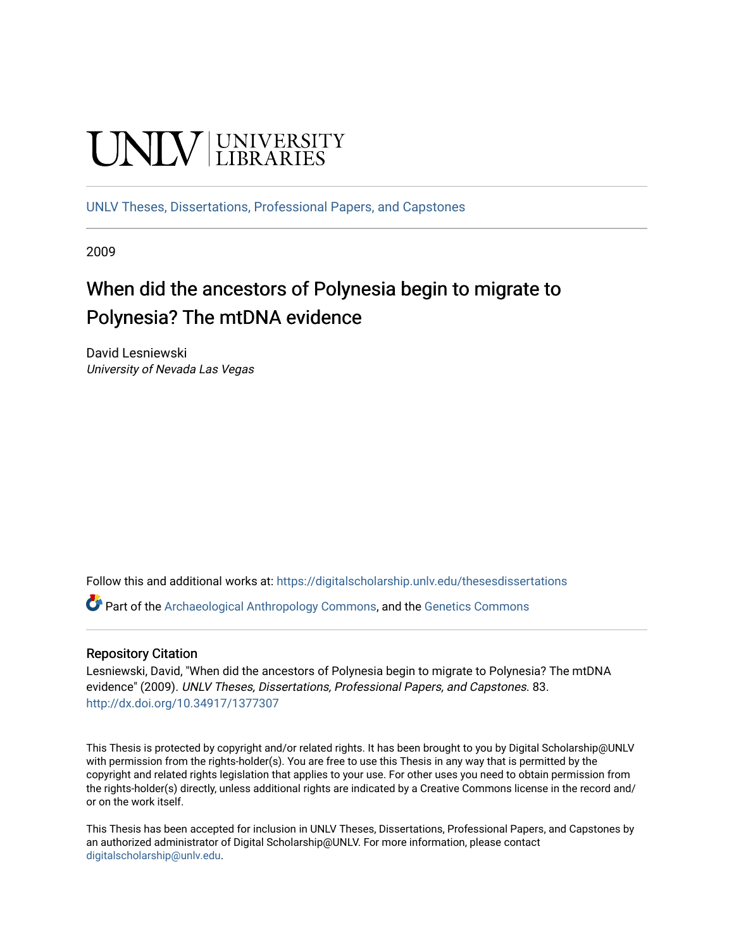# **UNIVERSITY**

[UNLV Theses, Dissertations, Professional Papers, and Capstones](https://digitalscholarship.unlv.edu/thesesdissertations)

2009

# When did the ancestors of Polynesia begin to migrate to Polynesia? The mtDNA evidence

David Lesniewski University of Nevada Las Vegas

Follow this and additional works at: [https://digitalscholarship.unlv.edu/thesesdissertations](https://digitalscholarship.unlv.edu/thesesdissertations?utm_source=digitalscholarship.unlv.edu%2Fthesesdissertations%2F83&utm_medium=PDF&utm_campaign=PDFCoverPages)

Part of the [Archaeological Anthropology Commons](http://network.bepress.com/hgg/discipline/319?utm_source=digitalscholarship.unlv.edu%2Fthesesdissertations%2F83&utm_medium=PDF&utm_campaign=PDFCoverPages), and the [Genetics Commons](http://network.bepress.com/hgg/discipline/29?utm_source=digitalscholarship.unlv.edu%2Fthesesdissertations%2F83&utm_medium=PDF&utm_campaign=PDFCoverPages) 

#### Repository Citation

Lesniewski, David, "When did the ancestors of Polynesia begin to migrate to Polynesia? The mtDNA evidence" (2009). UNLV Theses, Dissertations, Professional Papers, and Capstones. 83. <http://dx.doi.org/10.34917/1377307>

This Thesis is protected by copyright and/or related rights. It has been brought to you by Digital Scholarship@UNLV with permission from the rights-holder(s). You are free to use this Thesis in any way that is permitted by the copyright and related rights legislation that applies to your use. For other uses you need to obtain permission from the rights-holder(s) directly, unless additional rights are indicated by a Creative Commons license in the record and/ or on the work itself.

This Thesis has been accepted for inclusion in UNLV Theses, Dissertations, Professional Papers, and Capstones by an authorized administrator of Digital Scholarship@UNLV. For more information, please contact [digitalscholarship@unlv.edu](mailto:digitalscholarship@unlv.edu).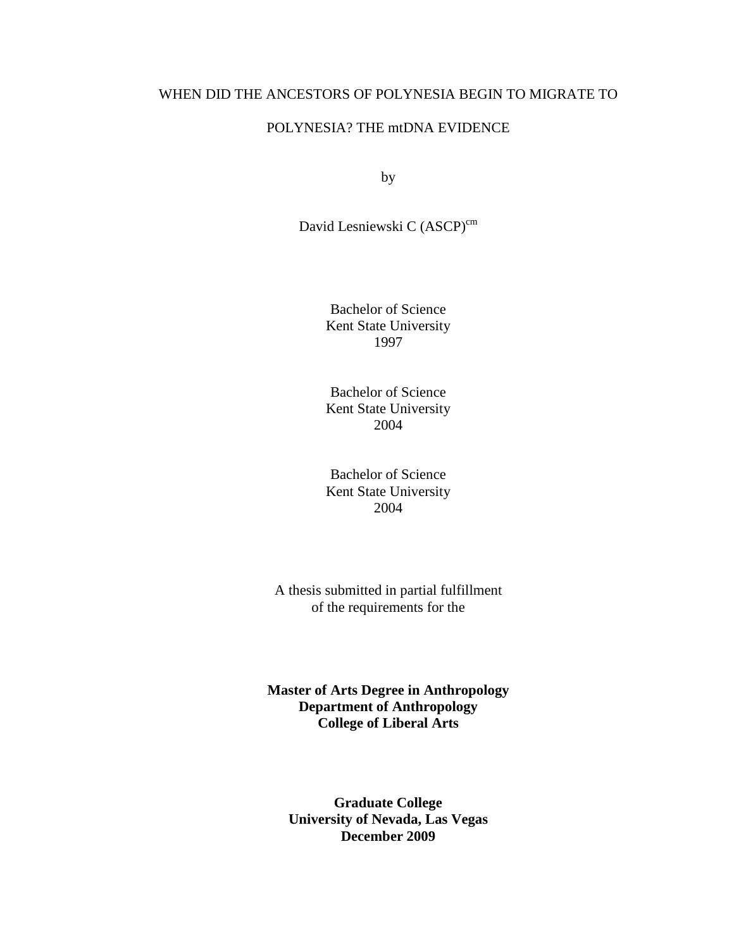## WHEN DID THE ANCESTORS OF POLYNESIA BEGIN TO MIGRATE TO

## POLYNESIA? THE mtDNA EVIDENCE

by

David Lesniewski C (ASCP)<sup>cm</sup>

Bachelor of Science Kent State University 1997

Bachelor of Science Kent State University 2004

Bachelor of Science Kent State University 2004

A thesis submitted in partial fulfillment of the requirements for the

**Master of Arts Degree in Anthropology Department of Anthropology College of Liberal Arts** 

**Graduate College University of Nevada, Las Vegas December 2009**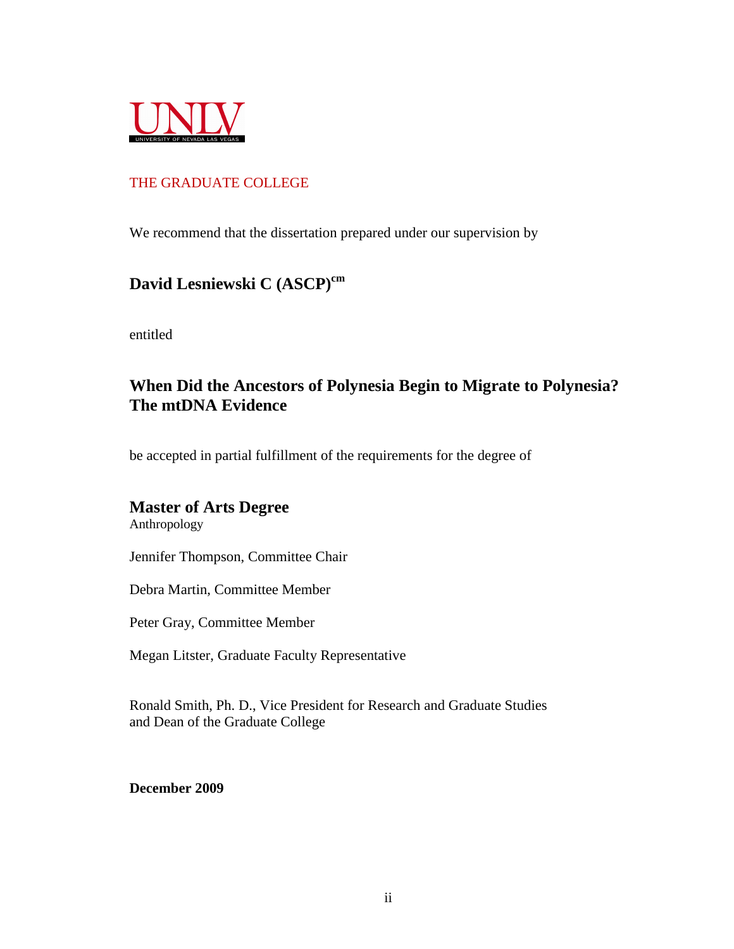

## THE GRADUATE COLLEGE

We recommend that the dissertation prepared under our supervision by

# **David Lesniewski C (ASCP)cm**

entitled

# **When Did the Ancestors of Polynesia Begin to Migrate to Polynesia? The mtDNA Evidence**

be accepted in partial fulfillment of the requirements for the degree of

# **Master of Arts Degree**

Anthropology

Jennifer Thompson, Committee Chair

Debra Martin, Committee Member

Peter Gray, Committee Member

Megan Litster, Graduate Faculty Representative

Ronald Smith, Ph. D., Vice President for Research and Graduate Studies and Dean of the Graduate College

**December 2009**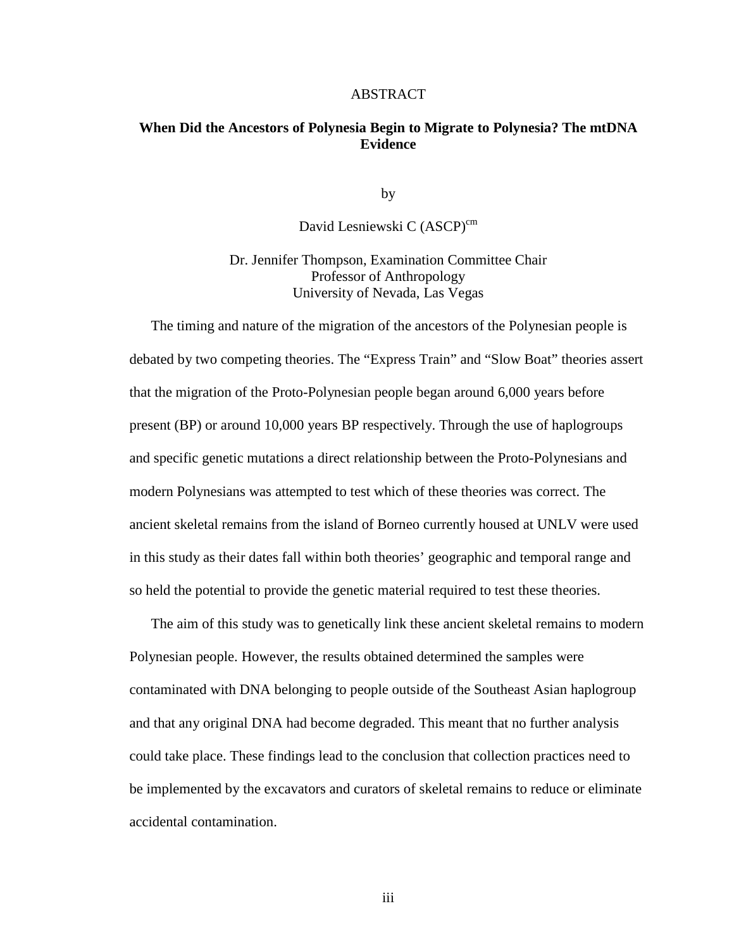#### ABSTRACT

#### **When Did the Ancestors of Polynesia Begin to Migrate to Polynesia? The mtDNA Evidence**

by

David Lesniewski C (ASCP)<sup>cm</sup>

Dr. Jennifer Thompson, Examination Committee Chair Professor of Anthropology University of Nevada, Las Vegas

 The timing and nature of the migration of the ancestors of the Polynesian people is debated by two competing theories. The "Express Train" and "Slow Boat" theories assert that the migration of the Proto-Polynesian people began around 6,000 years before present (BP) or around 10,000 years BP respectively. Through the use of haplogroups and specific genetic mutations a direct relationship between the Proto-Polynesians and modern Polynesians was attempted to test which of these theories was correct. The ancient skeletal remains from the island of Borneo currently housed at UNLV were used in this study as their dates fall within both theories' geographic and temporal range and so held the potential to provide the genetic material required to test these theories.

 The aim of this study was to genetically link these ancient skeletal remains to modern Polynesian people. However, the results obtained determined the samples were contaminated with DNA belonging to people outside of the Southeast Asian haplogroup and that any original DNA had become degraded. This meant that no further analysis could take place. These findings lead to the conclusion that collection practices need to be implemented by the excavators and curators of skeletal remains to reduce or eliminate accidental contamination.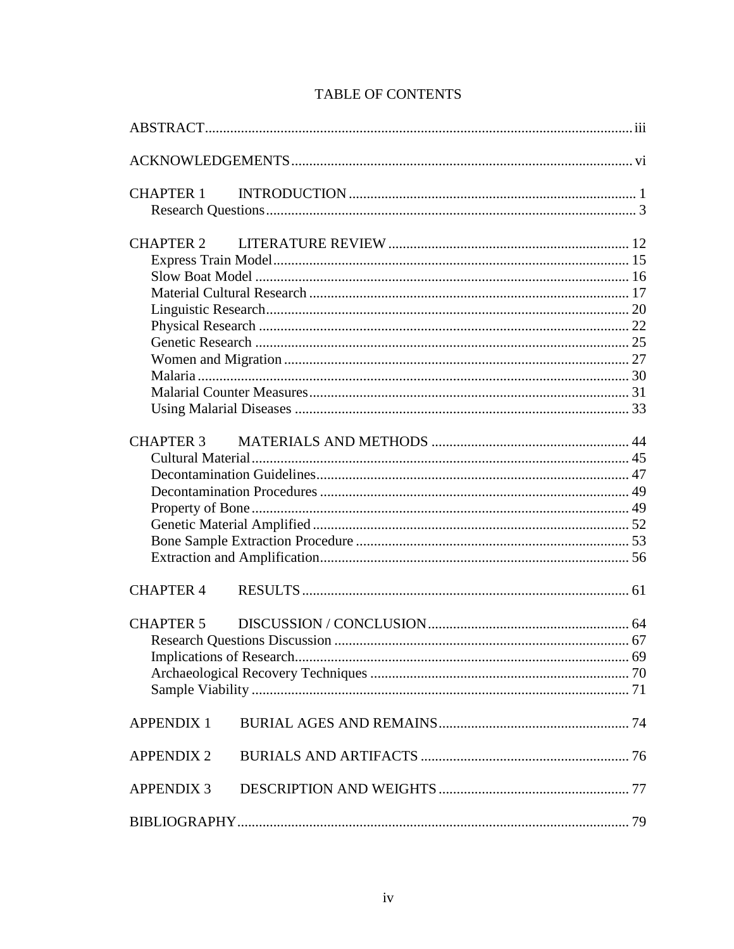| CHAPTER 1         |  |
|-------------------|--|
| <b>CHAPTER 2</b>  |  |
| CHAPTER 3         |  |
| <b>CHAPTER 4</b>  |  |
| <b>CHAPTER 5</b>  |  |
| <b>APPENDIX 1</b> |  |
| <b>APPENDIX 2</b> |  |
| <b>APPENDIX 3</b> |  |
|                   |  |

# **TABLE OF CONTENTS**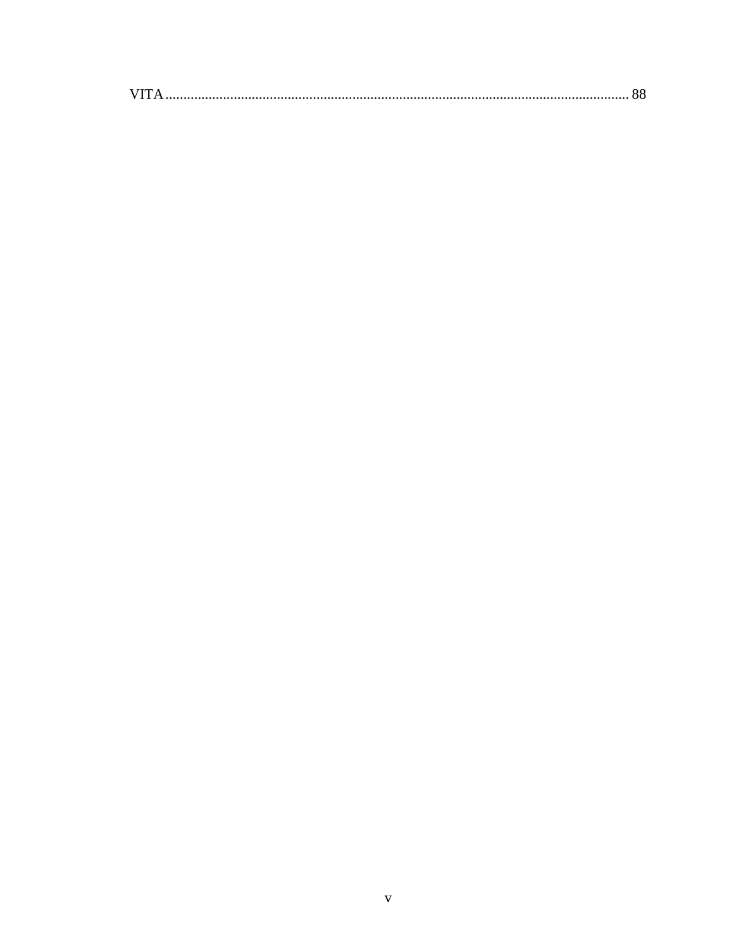| VIT |  |
|-----|--|
|     |  |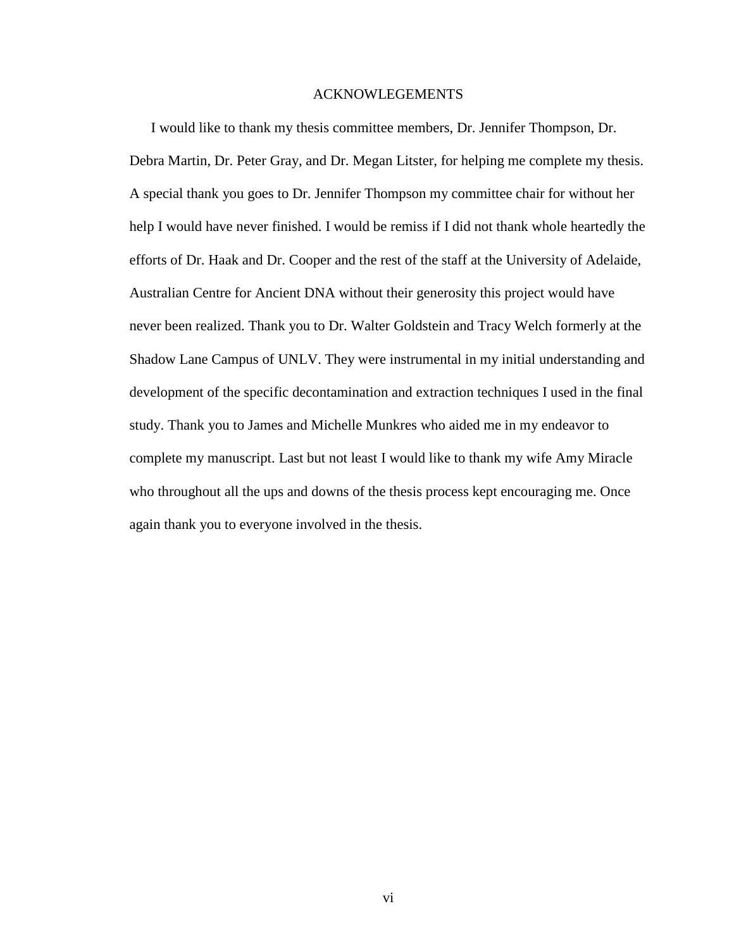#### ACKNOWLEGEMENTS

 I would like to thank my thesis committee members, Dr. Jennifer Thompson, Dr. Debra Martin, Dr. Peter Gray, and Dr. Megan Litster, for helping me complete my thesis. A special thank you goes to Dr. Jennifer Thompson my committee chair for without her help I would have never finished. I would be remiss if I did not thank whole heartedly the efforts of Dr. Haak and Dr. Cooper and the rest of the staff at the University of Adelaide, Australian Centre for Ancient DNA without their generosity this project would have never been realized. Thank you to Dr. Walter Goldstein and Tracy Welch formerly at the Shadow Lane Campus of UNLV. They were instrumental in my initial understanding and development of the specific decontamination and extraction techniques I used in the final study. Thank you to James and Michelle Munkres who aided me in my endeavor to complete my manuscript. Last but not least I would like to thank my wife Amy Miracle who throughout all the ups and downs of the thesis process kept encouraging me. Once again thank you to everyone involved in the thesis.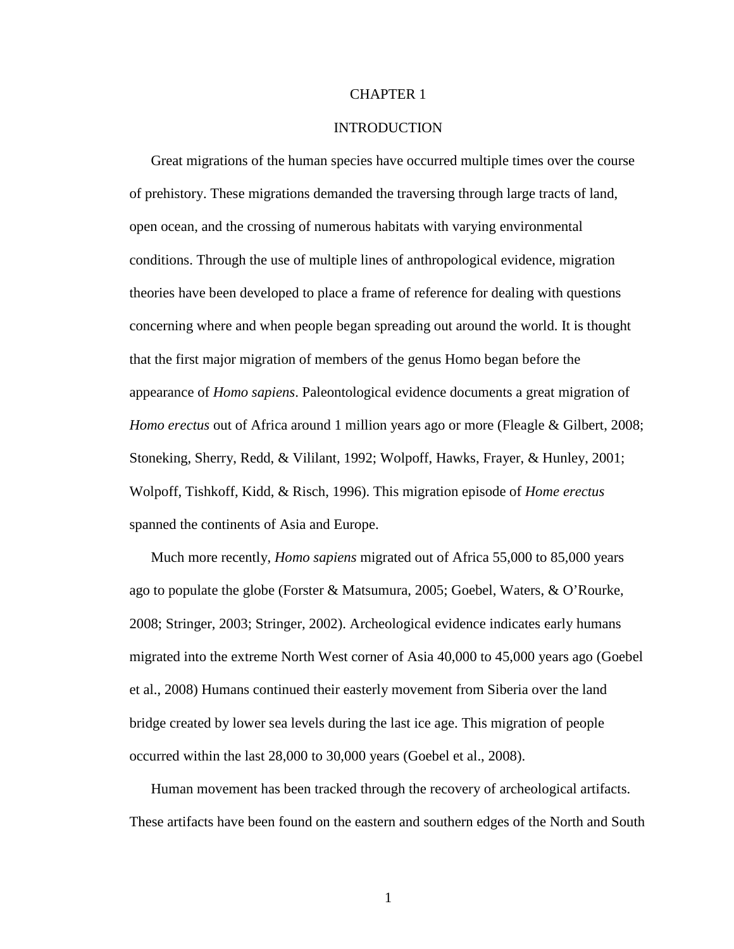#### CHAPTER 1

#### INTRODUCTION

 Great migrations of the human species have occurred multiple times over the course of prehistory. These migrations demanded the traversing through large tracts of land, open ocean, and the crossing of numerous habitats with varying environmental conditions. Through the use of multiple lines of anthropological evidence, migration theories have been developed to place a frame of reference for dealing with questions concerning where and when people began spreading out around the world. It is thought that the first major migration of members of the genus Homo began before the appearance of *Homo sapiens*. Paleontological evidence documents a great migration of *Homo erectus* out of Africa around 1 million years ago or more (Fleagle & Gilbert, 2008; Stoneking, Sherry, Redd, & Vililant, 1992; Wolpoff, Hawks, Frayer, & Hunley, 2001; Wolpoff, Tishkoff, Kidd, & Risch, 1996). This migration episode of *Home erectus*  spanned the continents of Asia and Europe.

 Much more recently, *Homo sapiens* migrated out of Africa 55,000 to 85,000 years ago to populate the globe (Forster & Matsumura, 2005; Goebel, Waters, & O'Rourke, 2008; Stringer, 2003; Stringer, 2002). Archeological evidence indicates early humans migrated into the extreme North West corner of Asia 40,000 to 45,000 years ago (Goebel et al., 2008) Humans continued their easterly movement from Siberia over the land bridge created by lower sea levels during the last ice age. This migration of people occurred within the last 28,000 to 30,000 years (Goebel et al., 2008).

 Human movement has been tracked through the recovery of archeological artifacts. These artifacts have been found on the eastern and southern edges of the North and South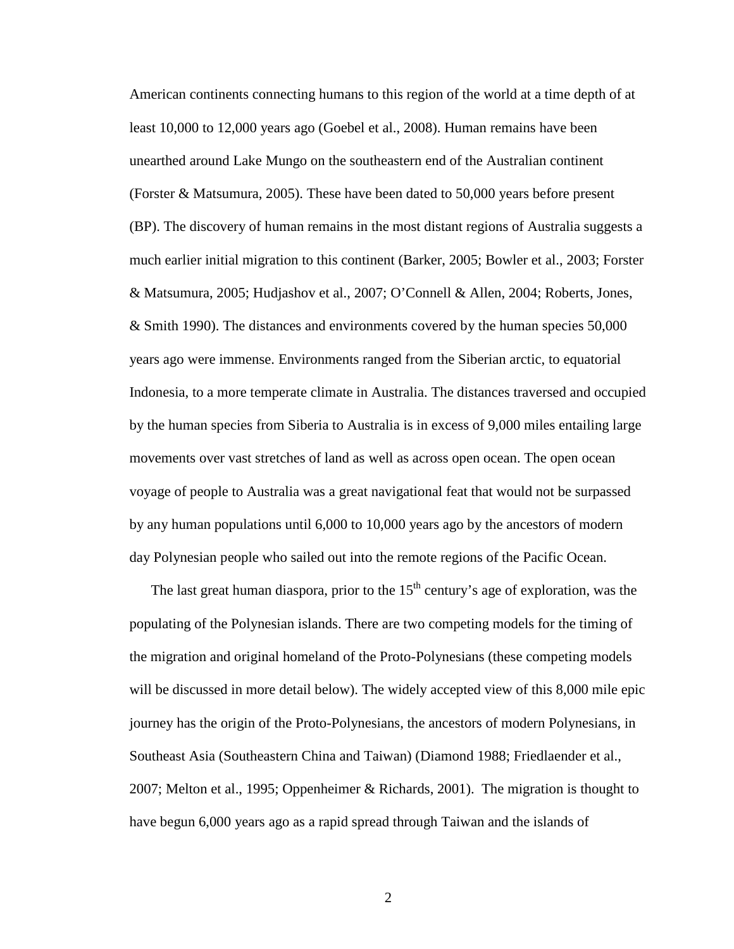American continents connecting humans to this region of the world at a time depth of at least 10,000 to 12,000 years ago (Goebel et al., 2008). Human remains have been unearthed around Lake Mungo on the southeastern end of the Australian continent (Forster & Matsumura, 2005). These have been dated to 50,000 years before present (BP). The discovery of human remains in the most distant regions of Australia suggests a much earlier initial migration to this continent (Barker, 2005; Bowler et al., 2003; Forster & Matsumura, 2005; Hudjashov et al., 2007; O'Connell & Allen, 2004; Roberts, Jones, & Smith 1990). The distances and environments covered by the human species 50,000 years ago were immense. Environments ranged from the Siberian arctic, to equatorial Indonesia, to a more temperate climate in Australia. The distances traversed and occupied by the human species from Siberia to Australia is in excess of 9,000 miles entailing large movements over vast stretches of land as well as across open ocean. The open ocean voyage of people to Australia was a great navigational feat that would not be surpassed by any human populations until 6,000 to 10,000 years ago by the ancestors of modern day Polynesian people who sailed out into the remote regions of the Pacific Ocean.

The last great human diaspora, prior to the  $15<sup>th</sup>$  century's age of exploration, was the populating of the Polynesian islands. There are two competing models for the timing of the migration and original homeland of the Proto-Polynesians (these competing models will be discussed in more detail below). The widely accepted view of this 8,000 mile epic journey has the origin of the Proto-Polynesians, the ancestors of modern Polynesians, in Southeast Asia (Southeastern China and Taiwan) (Diamond 1988; Friedlaender et al., 2007; Melton et al., 1995; Oppenheimer & Richards, 2001). The migration is thought to have begun 6,000 years ago as a rapid spread through Taiwan and the islands of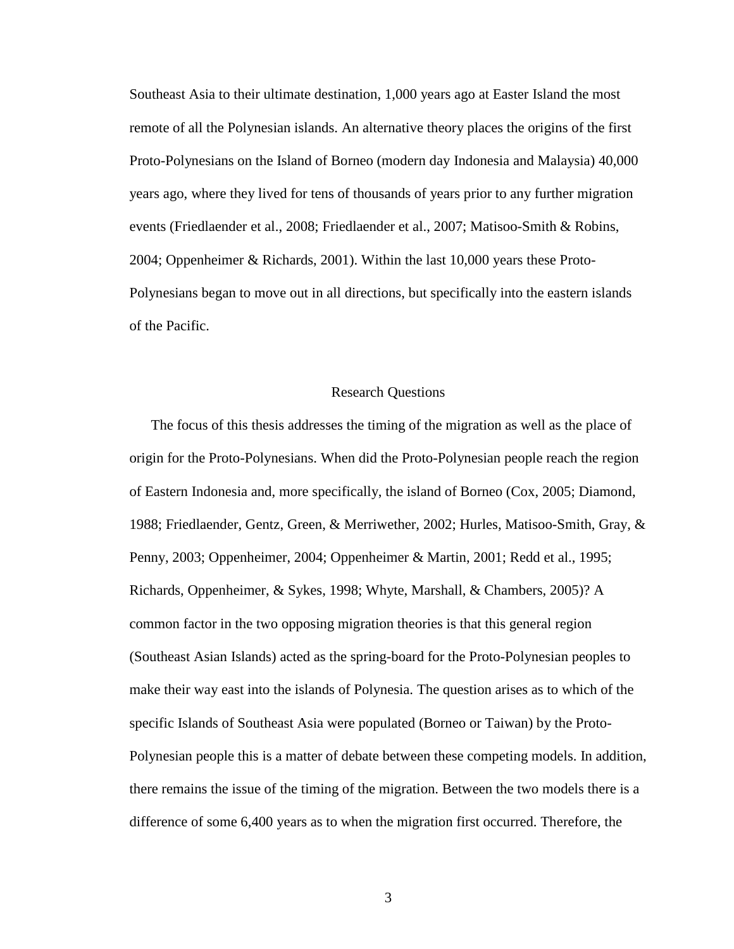Southeast Asia to their ultimate destination, 1,000 years ago at Easter Island the most remote of all the Polynesian islands. An alternative theory places the origins of the first Proto-Polynesians on the Island of Borneo (modern day Indonesia and Malaysia) 40,000 years ago, where they lived for tens of thousands of years prior to any further migration events (Friedlaender et al., 2008; Friedlaender et al., 2007; Matisoo-Smith & Robins, 2004; Oppenheimer & Richards, 2001). Within the last 10,000 years these Proto-Polynesians began to move out in all directions, but specifically into the eastern islands of the Pacific.

#### Research Questions

The focus of this thesis addresses the timing of the migration as well as the place of origin for the Proto-Polynesians. When did the Proto-Polynesian people reach the region of Eastern Indonesia and, more specifically, the island of Borneo (Cox, 2005; Diamond, 1988; Friedlaender, Gentz, Green, & Merriwether, 2002; Hurles, Matisoo-Smith, Gray, & Penny, 2003; Oppenheimer, 2004; Oppenheimer & Martin, 2001; Redd et al., 1995; Richards, Oppenheimer, & Sykes, 1998; Whyte, Marshall, & Chambers, 2005)? A common factor in the two opposing migration theories is that this general region (Southeast Asian Islands) acted as the spring-board for the Proto-Polynesian peoples to make their way east into the islands of Polynesia. The question arises as to which of the specific Islands of Southeast Asia were populated (Borneo or Taiwan) by the Proto-Polynesian people this is a matter of debate between these competing models. In addition, there remains the issue of the timing of the migration. Between the two models there is a difference of some 6,400 years as to when the migration first occurred. Therefore, the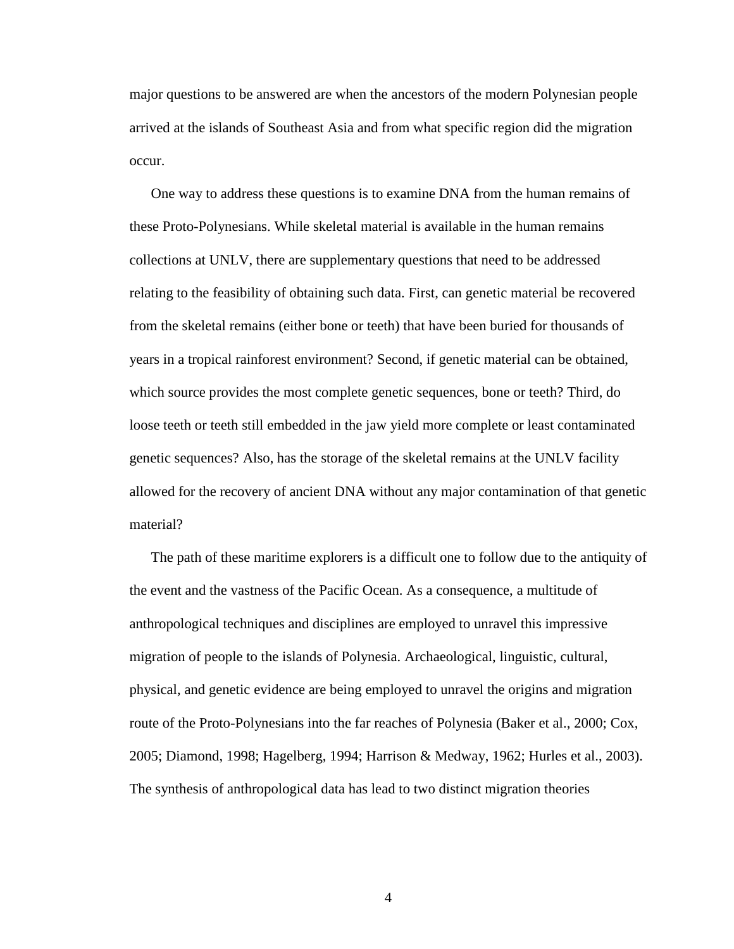major questions to be answered are when the ancestors of the modern Polynesian people arrived at the islands of Southeast Asia and from what specific region did the migration occur.

One way to address these questions is to examine DNA from the human remains of these Proto-Polynesians. While skeletal material is available in the human remains collections at UNLV, there are supplementary questions that need to be addressed relating to the feasibility of obtaining such data. First, can genetic material be recovered from the skeletal remains (either bone or teeth) that have been buried for thousands of years in a tropical rainforest environment? Second, if genetic material can be obtained, which source provides the most complete genetic sequences, bone or teeth? Third, do loose teeth or teeth still embedded in the jaw yield more complete or least contaminated genetic sequences? Also, has the storage of the skeletal remains at the UNLV facility allowed for the recovery of ancient DNA without any major contamination of that genetic material?

The path of these maritime explorers is a difficult one to follow due to the antiquity of the event and the vastness of the Pacific Ocean. As a consequence, a multitude of anthropological techniques and disciplines are employed to unravel this impressive migration of people to the islands of Polynesia. Archaeological, linguistic, cultural, physical, and genetic evidence are being employed to unravel the origins and migration route of the Proto-Polynesians into the far reaches of Polynesia (Baker et al., 2000; Cox, 2005; Diamond, 1998; Hagelberg, 1994; Harrison & Medway, 1962; Hurles et al., 2003). The synthesis of anthropological data has lead to two distinct migration theories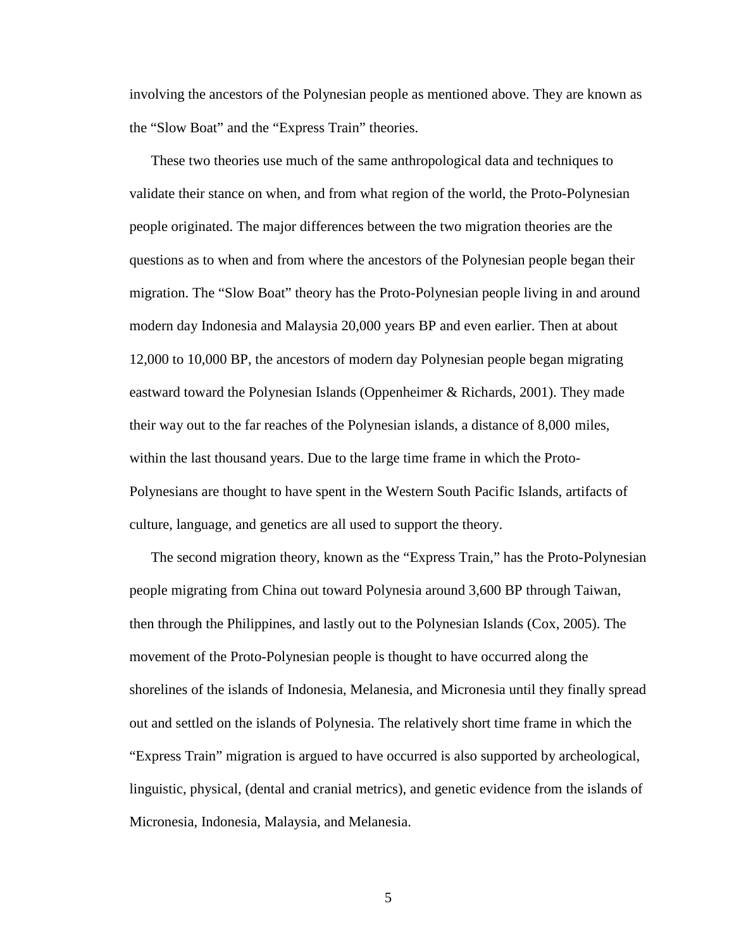involving the ancestors of the Polynesian people as mentioned above. They are known as the "Slow Boat" and the "Express Train" theories.

These two theories use much of the same anthropological data and techniques to validate their stance on when, and from what region of the world, the Proto-Polynesian people originated. The major differences between the two migration theories are the questions as to when and from where the ancestors of the Polynesian people began their migration. The "Slow Boat" theory has the Proto-Polynesian people living in and around modern day Indonesia and Malaysia 20,000 years BP and even earlier. Then at about 12,000 to 10,000 BP, the ancestors of modern day Polynesian people began migrating eastward toward the Polynesian Islands (Oppenheimer & Richards, 2001). They made their way out to the far reaches of the Polynesian islands, a distance of 8,000 miles, within the last thousand years. Due to the large time frame in which the Proto-Polynesians are thought to have spent in the Western South Pacific Islands, artifacts of culture, language, and genetics are all used to support the theory.

The second migration theory, known as the "Express Train," has the Proto-Polynesian people migrating from China out toward Polynesia around 3,600 BP through Taiwan, then through the Philippines, and lastly out to the Polynesian Islands (Cox, 2005). The movement of the Proto-Polynesian people is thought to have occurred along the shorelines of the islands of Indonesia, Melanesia, and Micronesia until they finally spread out and settled on the islands of Polynesia. The relatively short time frame in which the "Express Train" migration is argued to have occurred is also supported by archeological, linguistic, physical, (dental and cranial metrics), and genetic evidence from the islands of Micronesia, Indonesia, Malaysia, and Melanesia.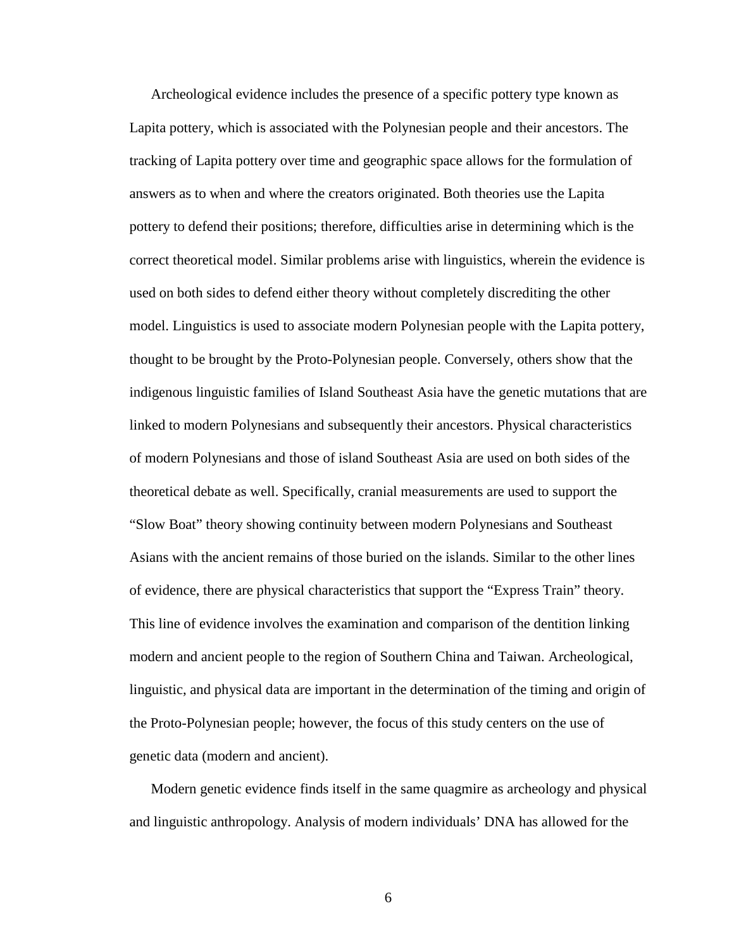Archeological evidence includes the presence of a specific pottery type known as Lapita pottery, which is associated with the Polynesian people and their ancestors. The tracking of Lapita pottery over time and geographic space allows for the formulation of answers as to when and where the creators originated. Both theories use the Lapita pottery to defend their positions; therefore, difficulties arise in determining which is the correct theoretical model. Similar problems arise with linguistics, wherein the evidence is used on both sides to defend either theory without completely discrediting the other model. Linguistics is used to associate modern Polynesian people with the Lapita pottery, thought to be brought by the Proto-Polynesian people. Conversely, others show that the indigenous linguistic families of Island Southeast Asia have the genetic mutations that are linked to modern Polynesians and subsequently their ancestors. Physical characteristics of modern Polynesians and those of island Southeast Asia are used on both sides of the theoretical debate as well. Specifically, cranial measurements are used to support the "Slow Boat" theory showing continuity between modern Polynesians and Southeast Asians with the ancient remains of those buried on the islands. Similar to the other lines of evidence, there are physical characteristics that support the "Express Train" theory. This line of evidence involves the examination and comparison of the dentition linking modern and ancient people to the region of Southern China and Taiwan. Archeological, linguistic, and physical data are important in the determination of the timing and origin of the Proto-Polynesian people; however, the focus of this study centers on the use of genetic data (modern and ancient).

Modern genetic evidence finds itself in the same quagmire as archeology and physical and linguistic anthropology. Analysis of modern individuals' DNA has allowed for the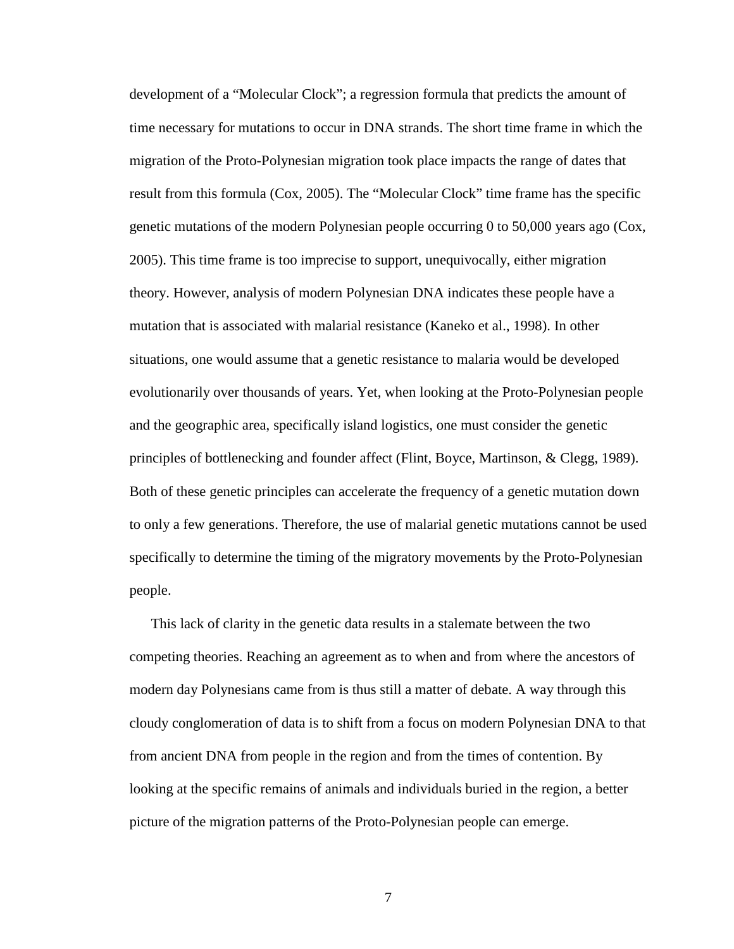development of a "Molecular Clock"; a regression formula that predicts the amount of time necessary for mutations to occur in DNA strands. The short time frame in which the migration of the Proto-Polynesian migration took place impacts the range of dates that result from this formula (Cox, 2005). The "Molecular Clock" time frame has the specific genetic mutations of the modern Polynesian people occurring 0 to 50,000 years ago (Cox, 2005). This time frame is too imprecise to support, unequivocally, either migration theory. However, analysis of modern Polynesian DNA indicates these people have a mutation that is associated with malarial resistance (Kaneko et al., 1998). In other situations, one would assume that a genetic resistance to malaria would be developed evolutionarily over thousands of years. Yet, when looking at the Proto-Polynesian people and the geographic area, specifically island logistics, one must consider the genetic principles of bottlenecking and founder affect (Flint, Boyce, Martinson, & Clegg, 1989). Both of these genetic principles can accelerate the frequency of a genetic mutation down to only a few generations. Therefore, the use of malarial genetic mutations cannot be used specifically to determine the timing of the migratory movements by the Proto-Polynesian people.

This lack of clarity in the genetic data results in a stalemate between the two competing theories. Reaching an agreement as to when and from where the ancestors of modern day Polynesians came from is thus still a matter of debate. A way through this cloudy conglomeration of data is to shift from a focus on modern Polynesian DNA to that from ancient DNA from people in the region and from the times of contention. By looking at the specific remains of animals and individuals buried in the region, a better picture of the migration patterns of the Proto-Polynesian people can emerge.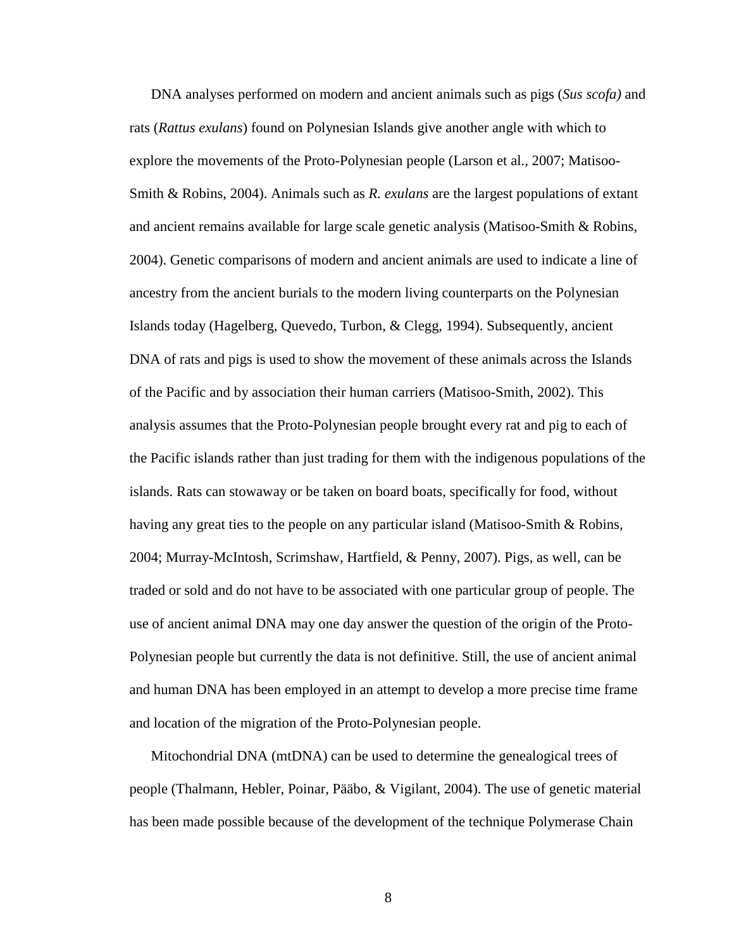DNA analyses performed on modern and ancient animals such as pigs (*Sus scofa)* and rats (*Rattus exulans*) found on Polynesian Islands give another angle with which to explore the movements of the Proto-Polynesian people (Larson et al., 2007; Matisoo-Smith & Robins, 2004). Animals such as *R. exulans* are the largest populations of extant and ancient remains available for large scale genetic analysis (Matisoo-Smith & Robins, 2004). Genetic comparisons of modern and ancient animals are used to indicate a line of ancestry from the ancient burials to the modern living counterparts on the Polynesian Islands today (Hagelberg, Quevedo, Turbon, & Clegg, 1994). Subsequently, ancient DNA of rats and pigs is used to show the movement of these animals across the Islands of the Pacific and by association their human carriers (Matisoo-Smith, 2002). This analysis assumes that the Proto-Polynesian people brought every rat and pig to each of the Pacific islands rather than just trading for them with the indigenous populations of the islands. Rats can stowaway or be taken on board boats, specifically for food, without having any great ties to the people on any particular island (Matisoo-Smith & Robins, 2004; Murray-McIntosh, Scrimshaw, Hartfield, & Penny, 2007). Pigs, as well, can be traded or sold and do not have to be associated with one particular group of people. The use of ancient animal DNA may one day answer the question of the origin of the Proto-Polynesian people but currently the data is not definitive. Still, the use of ancient animal and human DNA has been employed in an attempt to develop a more precise time frame and location of the migration of the Proto-Polynesian people.

Mitochondrial DNA (mtDNA) can be used to determine the genealogical trees of people (Thalmann, Hebler, Poinar, Pääbo, & Vigilant, 2004). The use of genetic material has been made possible because of the development of the technique Polymerase Chain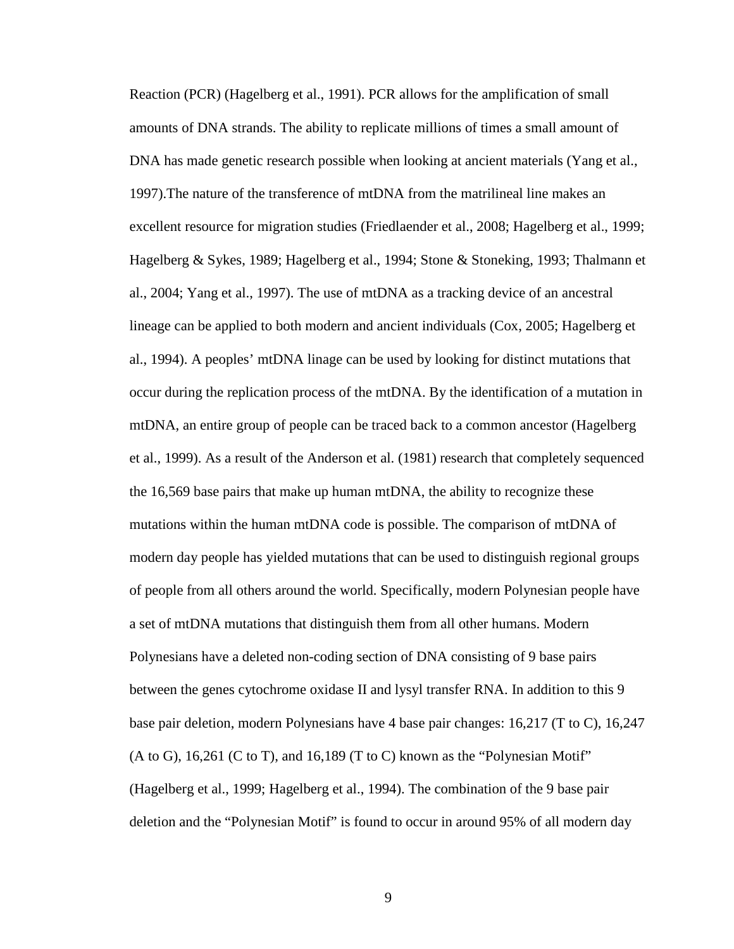Reaction (PCR) (Hagelberg et al., 1991). PCR allows for the amplification of small amounts of DNA strands. The ability to replicate millions of times a small amount of DNA has made genetic research possible when looking at ancient materials (Yang et al., 1997).The nature of the transference of mtDNA from the matrilineal line makes an excellent resource for migration studies (Friedlaender et al., 2008; Hagelberg et al., 1999; Hagelberg & Sykes, 1989; Hagelberg et al., 1994; Stone & Stoneking, 1993; Thalmann et al., 2004; Yang et al., 1997). The use of mtDNA as a tracking device of an ancestral lineage can be applied to both modern and ancient individuals (Cox, 2005; Hagelberg et al., 1994). A peoples' mtDNA linage can be used by looking for distinct mutations that occur during the replication process of the mtDNA. By the identification of a mutation in mtDNA, an entire group of people can be traced back to a common ancestor (Hagelberg et al., 1999). As a result of the Anderson et al. (1981) research that completely sequenced the 16,569 base pairs that make up human mtDNA, the ability to recognize these mutations within the human mtDNA code is possible. The comparison of mtDNA of modern day people has yielded mutations that can be used to distinguish regional groups of people from all others around the world. Specifically, modern Polynesian people have a set of mtDNA mutations that distinguish them from all other humans. Modern Polynesians have a deleted non-coding section of DNA consisting of 9 base pairs between the genes cytochrome oxidase II and lysyl transfer RNA. In addition to this 9 base pair deletion, modern Polynesians have 4 base pair changes: 16,217 (T to C), 16,247  $(A \text{ to } G)$ , 16,261 (C to T), and 16,189 (T to C) known as the "Polynesian Motif" (Hagelberg et al., 1999; Hagelberg et al., 1994). The combination of the 9 base pair deletion and the "Polynesian Motif" is found to occur in around 95% of all modern day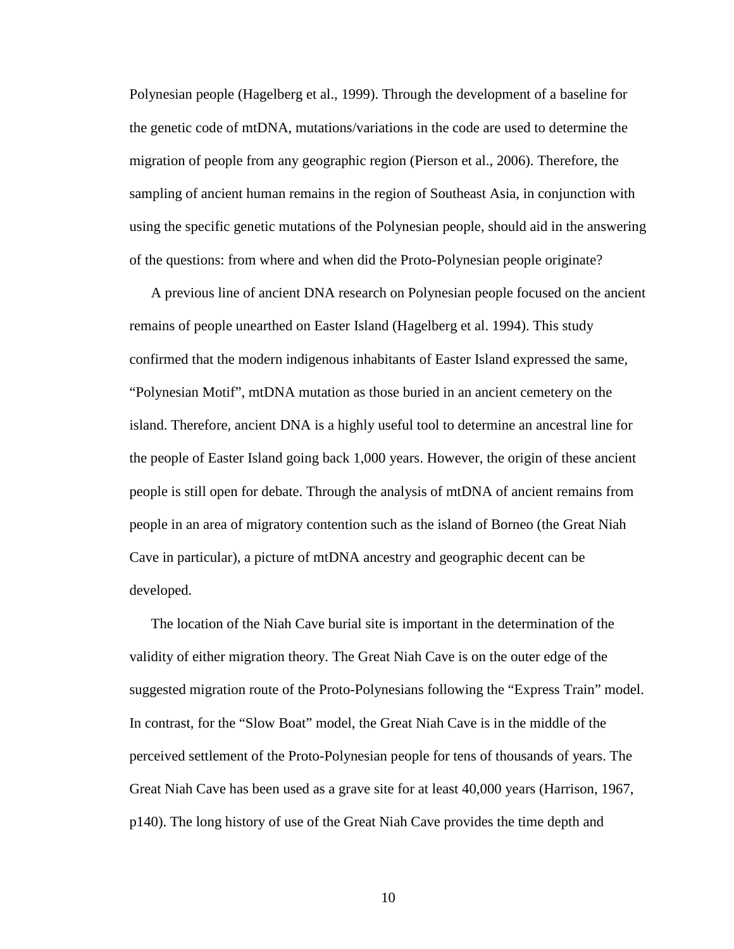Polynesian people (Hagelberg et al., 1999). Through the development of a baseline for the genetic code of mtDNA, mutations/variations in the code are used to determine the migration of people from any geographic region (Pierson et al., 2006). Therefore, the sampling of ancient human remains in the region of Southeast Asia, in conjunction with using the specific genetic mutations of the Polynesian people, should aid in the answering of the questions: from where and when did the Proto-Polynesian people originate?

A previous line of ancient DNA research on Polynesian people focused on the ancient remains of people unearthed on Easter Island (Hagelberg et al. 1994). This study confirmed that the modern indigenous inhabitants of Easter Island expressed the same, "Polynesian Motif", mtDNA mutation as those buried in an ancient cemetery on the island. Therefore, ancient DNA is a highly useful tool to determine an ancestral line for the people of Easter Island going back 1,000 years. However, the origin of these ancient people is still open for debate. Through the analysis of mtDNA of ancient remains from people in an area of migratory contention such as the island of Borneo (the Great Niah Cave in particular), a picture of mtDNA ancestry and geographic decent can be developed.

The location of the Niah Cave burial site is important in the determination of the validity of either migration theory. The Great Niah Cave is on the outer edge of the suggested migration route of the Proto-Polynesians following the "Express Train" model. In contrast, for the "Slow Boat" model, the Great Niah Cave is in the middle of the perceived settlement of the Proto-Polynesian people for tens of thousands of years. The Great Niah Cave has been used as a grave site for at least 40,000 years (Harrison, 1967, p140). The long history of use of the Great Niah Cave provides the time depth and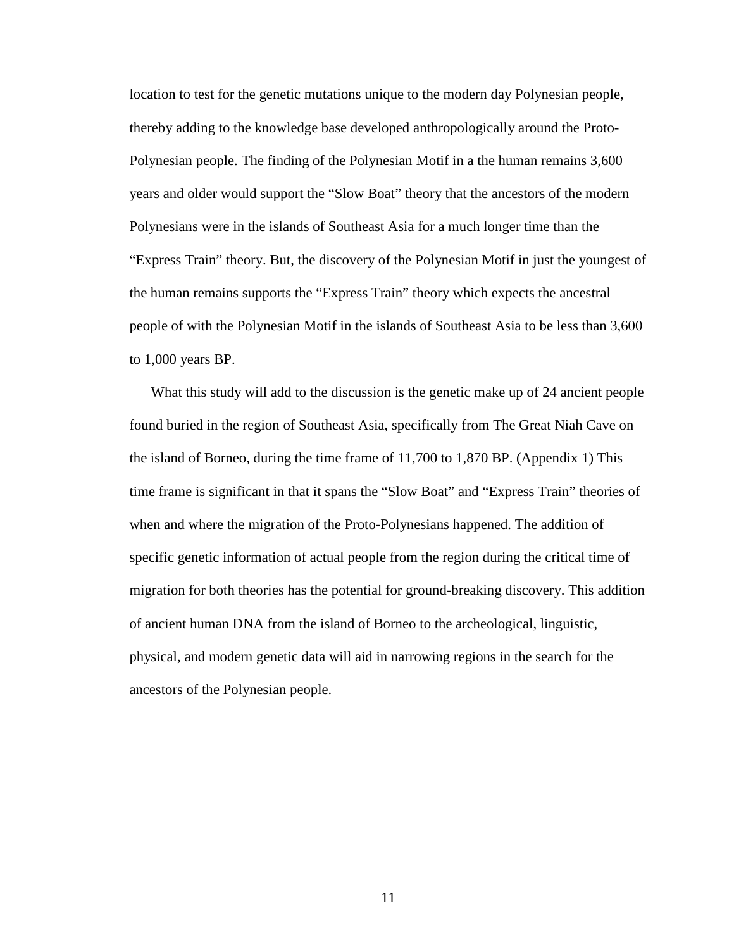location to test for the genetic mutations unique to the modern day Polynesian people, thereby adding to the knowledge base developed anthropologically around the Proto-Polynesian people. The finding of the Polynesian Motif in a the human remains 3,600 years and older would support the "Slow Boat" theory that the ancestors of the modern Polynesians were in the islands of Southeast Asia for a much longer time than the "Express Train" theory. But, the discovery of the Polynesian Motif in just the youngest of the human remains supports the "Express Train" theory which expects the ancestral people of with the Polynesian Motif in the islands of Southeast Asia to be less than 3,600 to 1,000 years BP.

What this study will add to the discussion is the genetic make up of 24 ancient people found buried in the region of Southeast Asia, specifically from The Great Niah Cave on the island of Borneo, during the time frame of 11,700 to 1,870 BP. (Appendix 1) This time frame is significant in that it spans the "Slow Boat" and "Express Train" theories of when and where the migration of the Proto-Polynesians happened. The addition of specific genetic information of actual people from the region during the critical time of migration for both theories has the potential for ground-breaking discovery. This addition of ancient human DNA from the island of Borneo to the archeological, linguistic, physical, and modern genetic data will aid in narrowing regions in the search for the ancestors of the Polynesian people.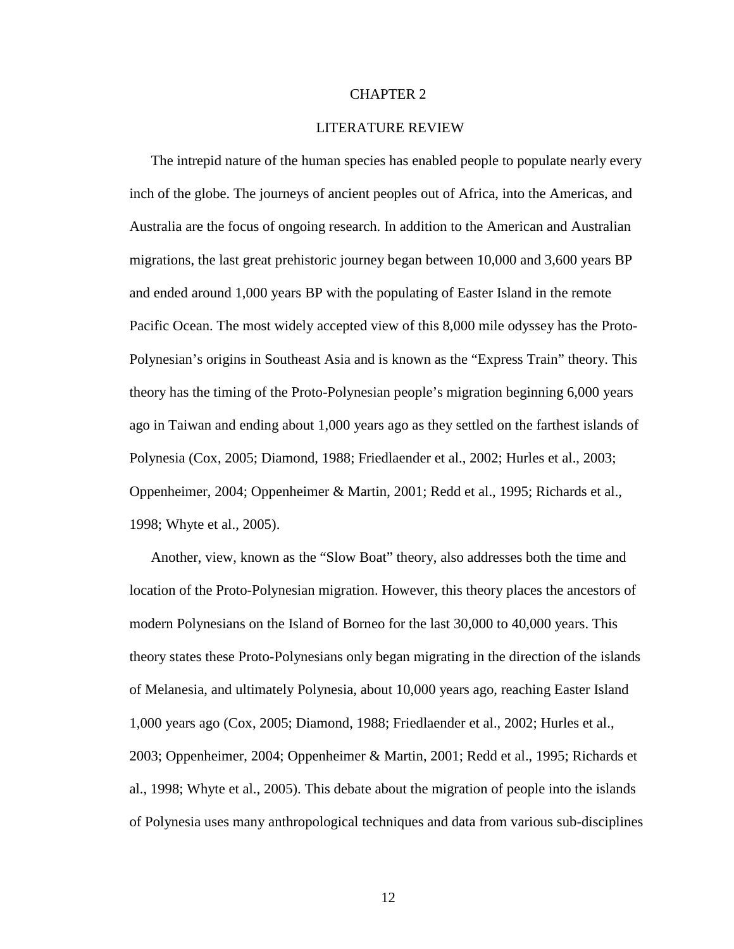#### CHAPTER 2

#### LITERATURE REVIEW

The intrepid nature of the human species has enabled people to populate nearly every inch of the globe. The journeys of ancient peoples out of Africa, into the Americas, and Australia are the focus of ongoing research. In addition to the American and Australian migrations, the last great prehistoric journey began between 10,000 and 3,600 years BP and ended around 1,000 years BP with the populating of Easter Island in the remote Pacific Ocean. The most widely accepted view of this 8,000 mile odyssey has the Proto-Polynesian's origins in Southeast Asia and is known as the "Express Train" theory. This theory has the timing of the Proto-Polynesian people's migration beginning 6,000 years ago in Taiwan and ending about 1,000 years ago as they settled on the farthest islands of Polynesia (Cox, 2005; Diamond, 1988; Friedlaender et al., 2002; Hurles et al., 2003; Oppenheimer, 2004; Oppenheimer & Martin, 2001; Redd et al., 1995; Richards et al., 1998; Whyte et al., 2005).

Another, view, known as the "Slow Boat" theory, also addresses both the time and location of the Proto-Polynesian migration. However, this theory places the ancestors of modern Polynesians on the Island of Borneo for the last 30,000 to 40,000 years. This theory states these Proto-Polynesians only began migrating in the direction of the islands of Melanesia, and ultimately Polynesia, about 10,000 years ago, reaching Easter Island 1,000 years ago (Cox, 2005; Diamond, 1988; Friedlaender et al., 2002; Hurles et al., 2003; Oppenheimer, 2004; Oppenheimer & Martin, 2001; Redd et al., 1995; Richards et al., 1998; Whyte et al., 2005). This debate about the migration of people into the islands of Polynesia uses many anthropological techniques and data from various sub-disciplines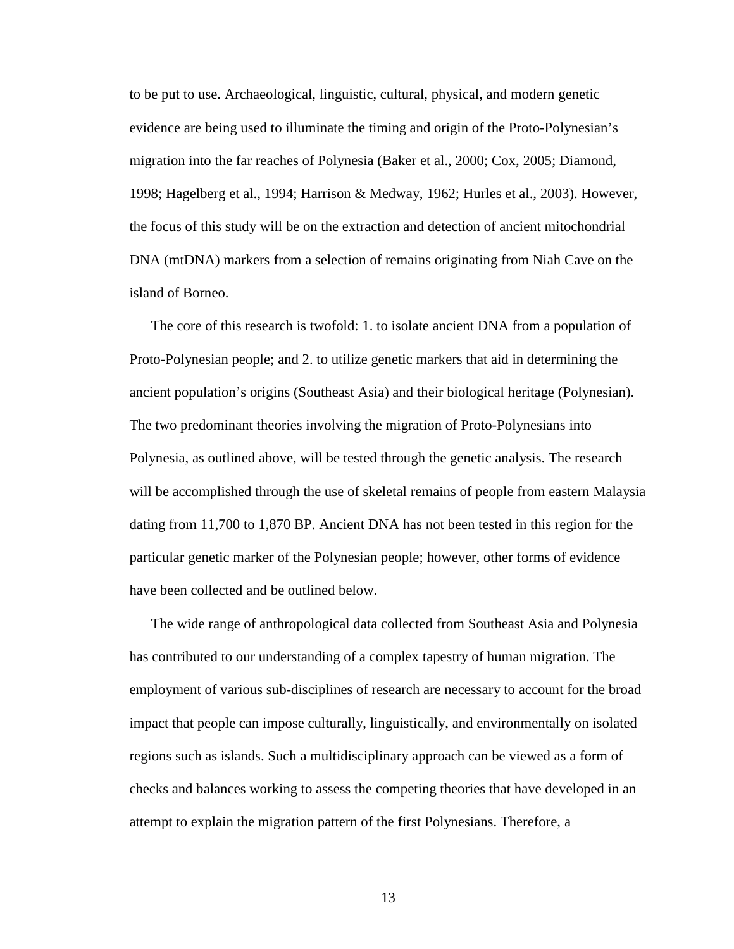to be put to use. Archaeological, linguistic, cultural, physical, and modern genetic evidence are being used to illuminate the timing and origin of the Proto-Polynesian's migration into the far reaches of Polynesia (Baker et al., 2000; Cox, 2005; Diamond, 1998; Hagelberg et al., 1994; Harrison & Medway, 1962; Hurles et al., 2003). However, the focus of this study will be on the extraction and detection of ancient mitochondrial DNA (mtDNA) markers from a selection of remains originating from Niah Cave on the island of Borneo.

The core of this research is twofold: 1. to isolate ancient DNA from a population of Proto-Polynesian people; and 2. to utilize genetic markers that aid in determining the ancient population's origins (Southeast Asia) and their biological heritage (Polynesian). The two predominant theories involving the migration of Proto-Polynesians into Polynesia, as outlined above, will be tested through the genetic analysis. The research will be accomplished through the use of skeletal remains of people from eastern Malaysia dating from 11,700 to 1,870 BP. Ancient DNA has not been tested in this region for the particular genetic marker of the Polynesian people; however, other forms of evidence have been collected and be outlined below.

The wide range of anthropological data collected from Southeast Asia and Polynesia has contributed to our understanding of a complex tapestry of human migration. The employment of various sub-disciplines of research are necessary to account for the broad impact that people can impose culturally, linguistically, and environmentally on isolated regions such as islands. Such a multidisciplinary approach can be viewed as a form of checks and balances working to assess the competing theories that have developed in an attempt to explain the migration pattern of the first Polynesians. Therefore, a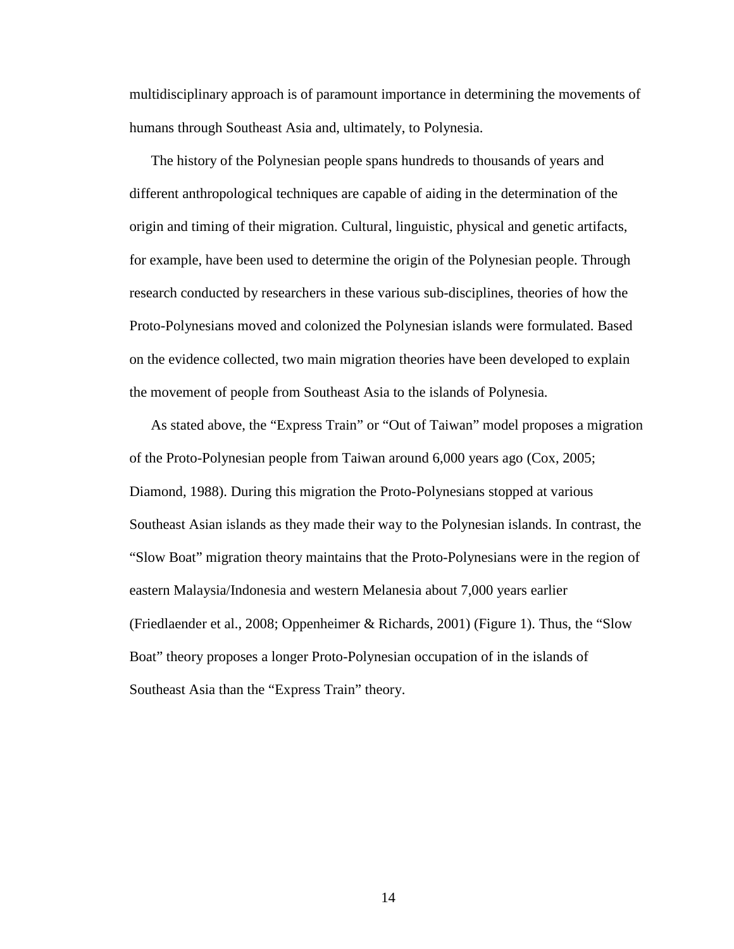multidisciplinary approach is of paramount importance in determining the movements of humans through Southeast Asia and, ultimately, to Polynesia.

The history of the Polynesian people spans hundreds to thousands of years and different anthropological techniques are capable of aiding in the determination of the origin and timing of their migration. Cultural, linguistic, physical and genetic artifacts, for example, have been used to determine the origin of the Polynesian people. Through research conducted by researchers in these various sub-disciplines, theories of how the Proto-Polynesians moved and colonized the Polynesian islands were formulated. Based on the evidence collected, two main migration theories have been developed to explain the movement of people from Southeast Asia to the islands of Polynesia.

As stated above, the "Express Train" or "Out of Taiwan" model proposes a migration of the Proto-Polynesian people from Taiwan around 6,000 years ago (Cox, 2005; Diamond, 1988). During this migration the Proto-Polynesians stopped at various Southeast Asian islands as they made their way to the Polynesian islands. In contrast, the "Slow Boat" migration theory maintains that the Proto-Polynesians were in the region of eastern Malaysia/Indonesia and western Melanesia about 7,000 years earlier (Friedlaender et al., 2008; Oppenheimer & Richards, 2001) (Figure 1). Thus, the "Slow Boat" theory proposes a longer Proto-Polynesian occupation of in the islands of Southeast Asia than the "Express Train" theory.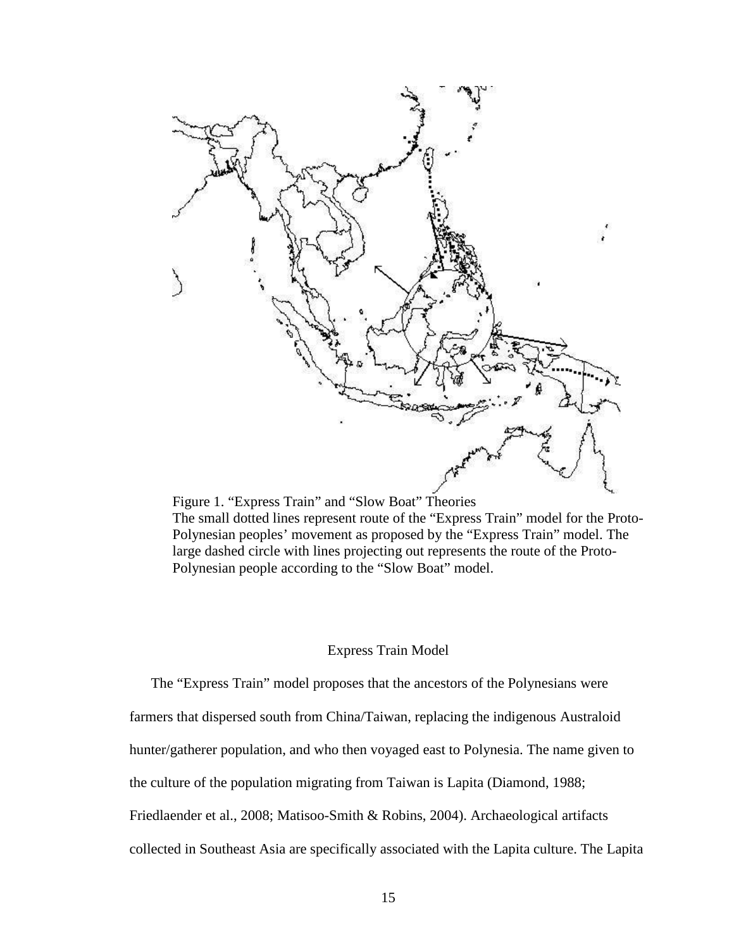

Figure 1. "Express Train" and "Slow Boat" Theories The small dotted lines represent route of the "Express Train" model for the Proto-Polynesian peoples' movement as proposed by the "Express Train" model. The large dashed circle with lines projecting out represents the route of the Proto-Polynesian people according to the "Slow Boat" model.

#### Express Train Model

The "Express Train" model proposes that the ancestors of the Polynesians were farmers that dispersed south from China/Taiwan, replacing the indigenous Australoid hunter/gatherer population, and who then voyaged east to Polynesia. The name given to the culture of the population migrating from Taiwan is Lapita (Diamond, 1988; Friedlaender et al., 2008; Matisoo-Smith & Robins, 2004). Archaeological artifacts collected in Southeast Asia are specifically associated with the Lapita culture. The Lapita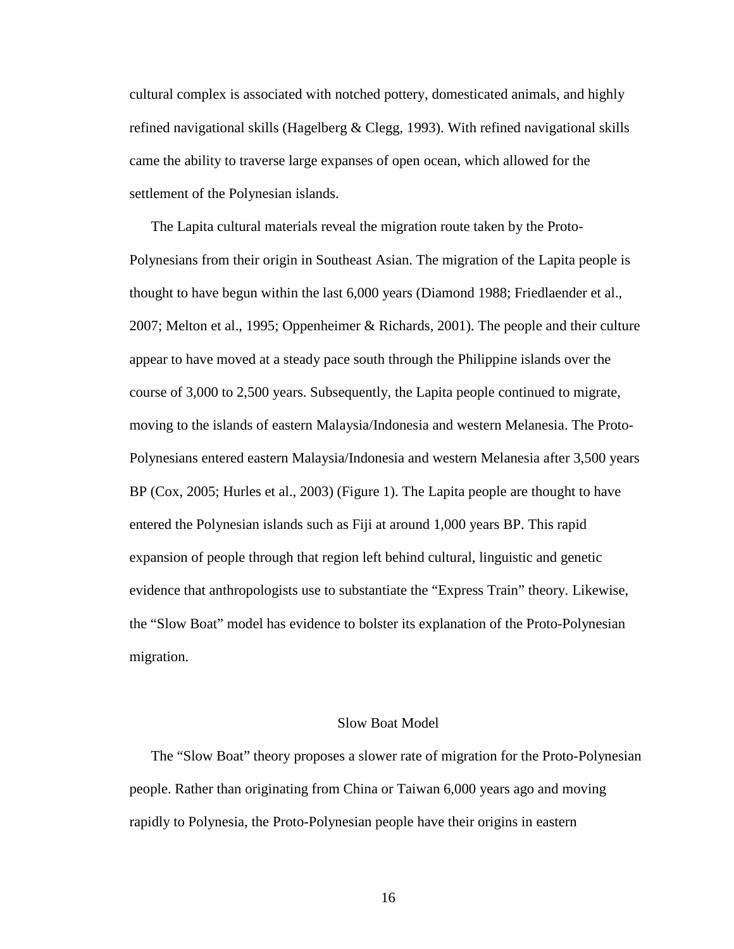cultural complex is associated with notched pottery, domesticated animals, and highly refined navigational skills (Hagelberg  $& \text{Clegg}, 1993$ ). With refined navigational skills came the ability to traverse large expanses of open ocean, which allowed for the settlement of the Polynesian islands.

The Lapita cultural materials reveal the migration route taken by the Proto-Polynesians from their origin in Southeast Asian. The migration of the Lapita people is thought to have begun within the last 6,000 years (Diamond 1988; Friedlaender et al., 2007; Melton et al., 1995; Oppenheimer & Richards, 2001). The people and their culture appear to have moved at a steady pace south through the Philippine islands over the course of 3,000 to 2,500 years. Subsequently, the Lapita people continued to migrate, moving to the islands of eastern Malaysia/Indonesia and western Melanesia. The Proto-Polynesians entered eastern Malaysia/Indonesia and western Melanesia after 3,500 years BP (Cox, 2005; Hurles et al., 2003) (Figure 1). The Lapita people are thought to have entered the Polynesian islands such as Fiji at around 1,000 years BP. This rapid expansion of people through that region left behind cultural, linguistic and genetic evidence that anthropologists use to substantiate the "Express Train" theory. Likewise, the "Slow Boat" model has evidence to bolster its explanation of the Proto-Polynesian migration.

#### Slow Boat Model

The "Slow Boat" theory proposes a slower rate of migration for the Proto-Polynesian people. Rather than originating from China or Taiwan 6,000 years ago and moving rapidly to Polynesia, the Proto-Polynesian people have their origins in eastern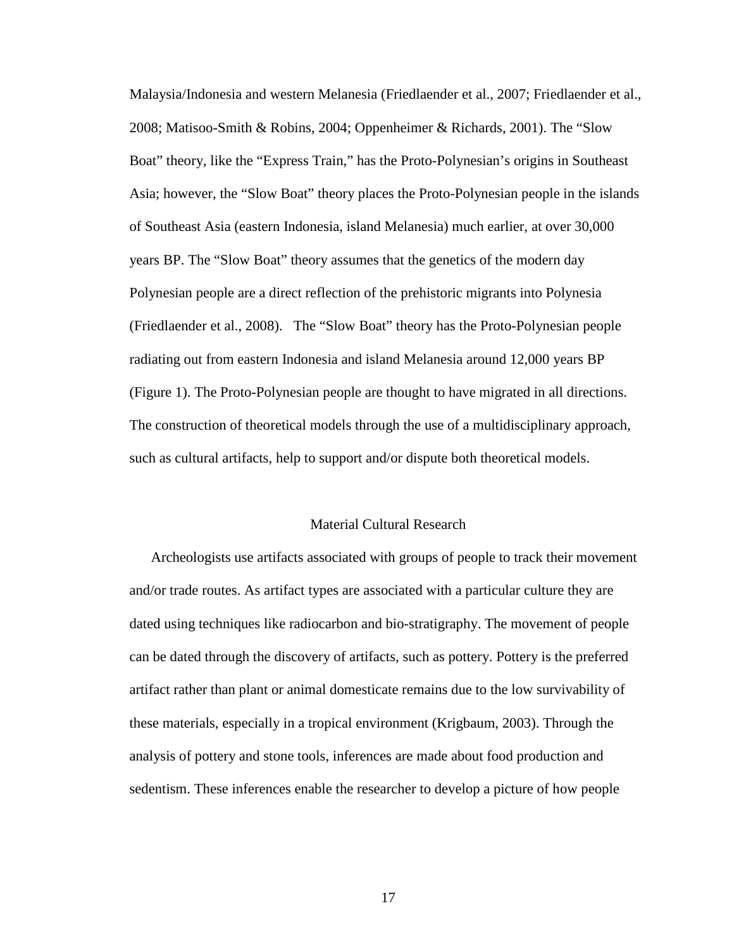Malaysia/Indonesia and western Melanesia (Friedlaender et al., 2007; Friedlaender et al., 2008; Matisoo-Smith & Robins, 2004; Oppenheimer & Richards, 2001). The "Slow Boat" theory, like the "Express Train," has the Proto-Polynesian's origins in Southeast Asia; however, the "Slow Boat" theory places the Proto-Polynesian people in the islands of Southeast Asia (eastern Indonesia, island Melanesia) much earlier, at over 30,000 years BP. The "Slow Boat" theory assumes that the genetics of the modern day Polynesian people are a direct reflection of the prehistoric migrants into Polynesia (Friedlaender et al., 2008). The "Slow Boat" theory has the Proto-Polynesian people radiating out from eastern Indonesia and island Melanesia around 12,000 years BP (Figure 1). The Proto-Polynesian people are thought to have migrated in all directions. The construction of theoretical models through the use of a multidisciplinary approach, such as cultural artifacts, help to support and/or dispute both theoretical models.

#### Material Cultural Research

Archeologists use artifacts associated with groups of people to track their movement and/or trade routes. As artifact types are associated with a particular culture they are dated using techniques like radiocarbon and bio-stratigraphy. The movement of people can be dated through the discovery of artifacts, such as pottery. Pottery is the preferred artifact rather than plant or animal domesticate remains due to the low survivability of these materials, especially in a tropical environment (Krigbaum, 2003). Through the analysis of pottery and stone tools, inferences are made about food production and sedentism. These inferences enable the researcher to develop a picture of how people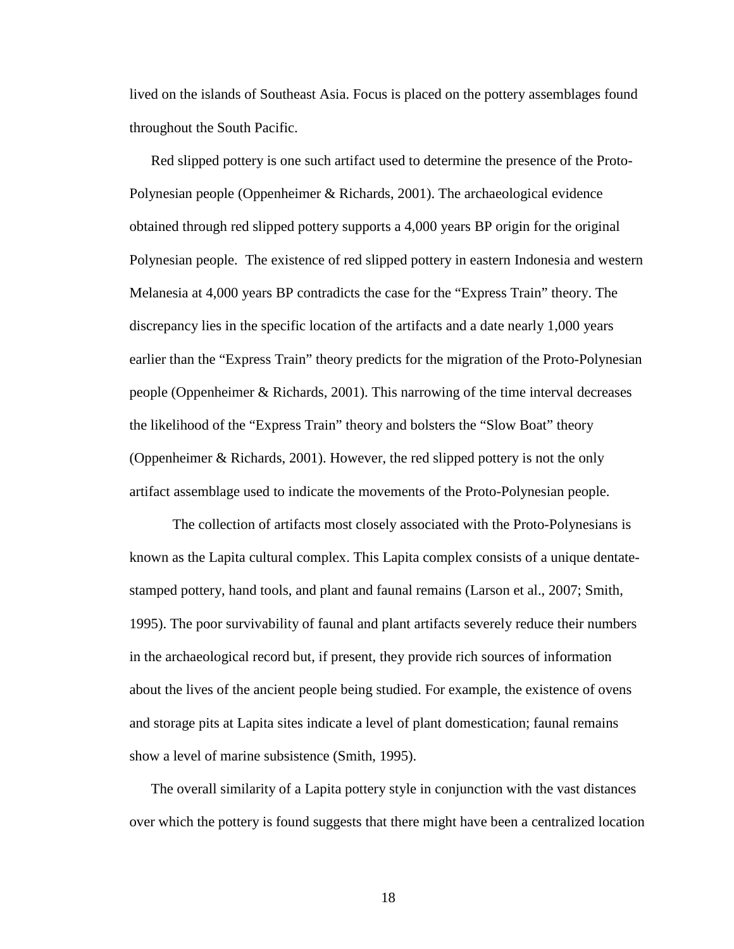lived on the islands of Southeast Asia. Focus is placed on the pottery assemblages found throughout the South Pacific.

Red slipped pottery is one such artifact used to determine the presence of the Proto-Polynesian people (Oppenheimer & Richards, 2001). The archaeological evidence obtained through red slipped pottery supports a 4,000 years BP origin for the original Polynesian people. The existence of red slipped pottery in eastern Indonesia and western Melanesia at 4,000 years BP contradicts the case for the "Express Train" theory. The discrepancy lies in the specific location of the artifacts and a date nearly 1,000 years earlier than the "Express Train" theory predicts for the migration of the Proto-Polynesian people (Oppenheimer & Richards, 2001). This narrowing of the time interval decreases the likelihood of the "Express Train" theory and bolsters the "Slow Boat" theory (Oppenheimer & Richards, 2001). However, the red slipped pottery is not the only artifact assemblage used to indicate the movements of the Proto-Polynesian people.

The collection of artifacts most closely associated with the Proto-Polynesians is known as the Lapita cultural complex. This Lapita complex consists of a unique dentatestamped pottery, hand tools, and plant and faunal remains (Larson et al., 2007; Smith, 1995). The poor survivability of faunal and plant artifacts severely reduce their numbers in the archaeological record but, if present, they provide rich sources of information about the lives of the ancient people being studied. For example, the existence of ovens and storage pits at Lapita sites indicate a level of plant domestication; faunal remains show a level of marine subsistence (Smith, 1995).

The overall similarity of a Lapita pottery style in conjunction with the vast distances over which the pottery is found suggests that there might have been a centralized location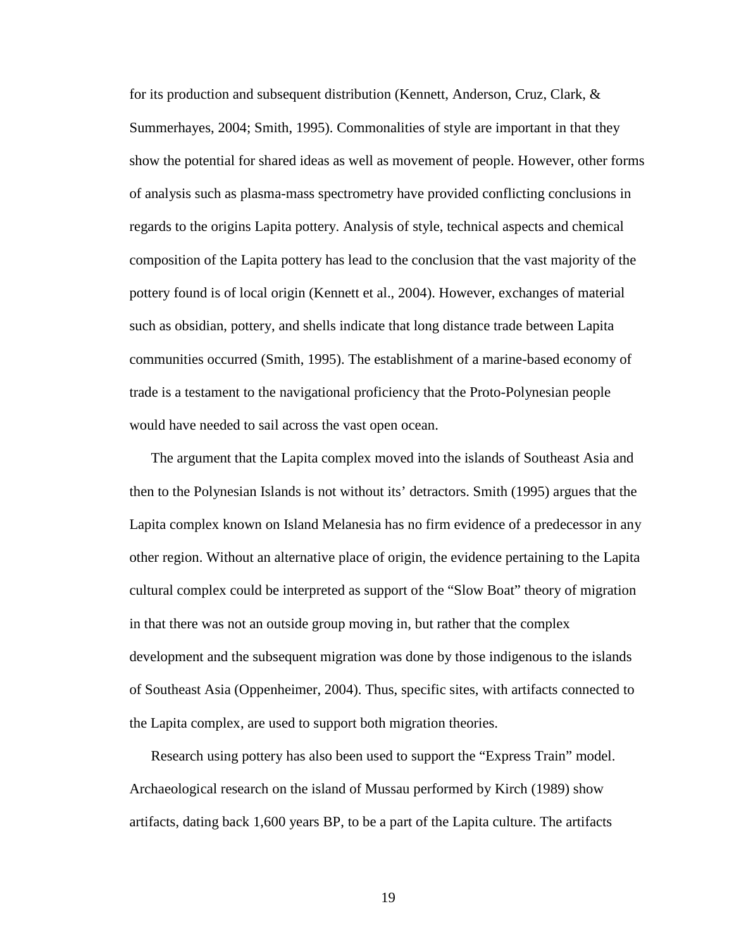for its production and subsequent distribution (Kennett, Anderson, Cruz, Clark, & Summerhayes, 2004; Smith, 1995). Commonalities of style are important in that they show the potential for shared ideas as well as movement of people. However, other forms of analysis such as plasma-mass spectrometry have provided conflicting conclusions in regards to the origins Lapita pottery. Analysis of style, technical aspects and chemical composition of the Lapita pottery has lead to the conclusion that the vast majority of the pottery found is of local origin (Kennett et al., 2004). However, exchanges of material such as obsidian, pottery, and shells indicate that long distance trade between Lapita communities occurred (Smith, 1995). The establishment of a marine-based economy of trade is a testament to the navigational proficiency that the Proto-Polynesian people would have needed to sail across the vast open ocean.

The argument that the Lapita complex moved into the islands of Southeast Asia and then to the Polynesian Islands is not without its' detractors. Smith (1995) argues that the Lapita complex known on Island Melanesia has no firm evidence of a predecessor in any other region. Without an alternative place of origin, the evidence pertaining to the Lapita cultural complex could be interpreted as support of the "Slow Boat" theory of migration in that there was not an outside group moving in, but rather that the complex development and the subsequent migration was done by those indigenous to the islands of Southeast Asia (Oppenheimer, 2004). Thus, specific sites, with artifacts connected to the Lapita complex, are used to support both migration theories.

Research using pottery has also been used to support the "Express Train" model. Archaeological research on the island of Mussau performed by Kirch (1989) show artifacts, dating back 1,600 years BP, to be a part of the Lapita culture. The artifacts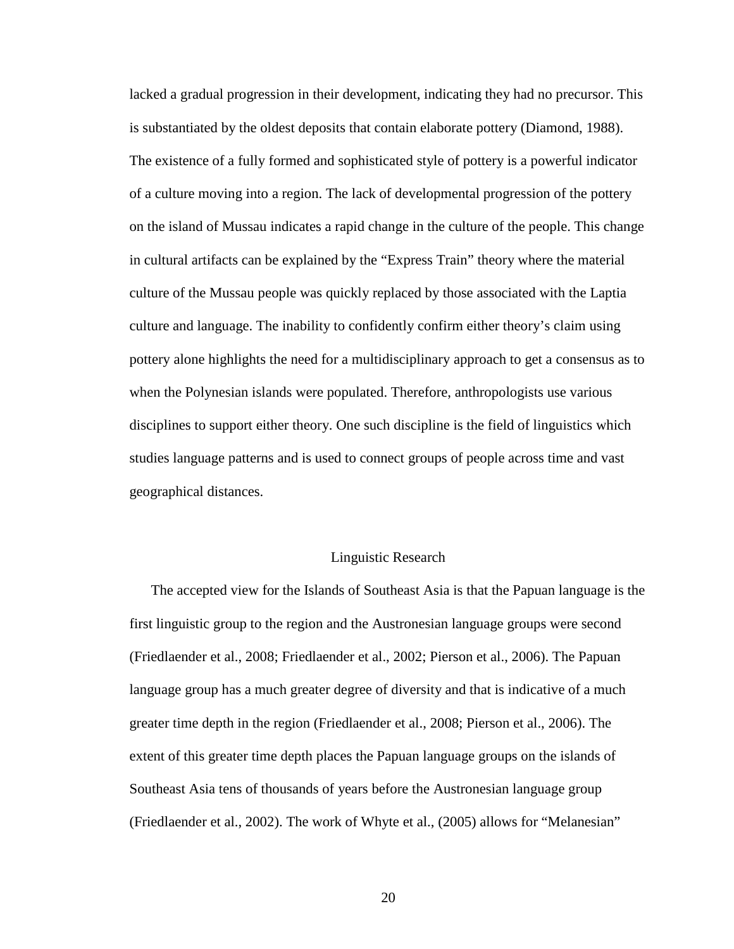lacked a gradual progression in their development, indicating they had no precursor. This is substantiated by the oldest deposits that contain elaborate pottery (Diamond, 1988). The existence of a fully formed and sophisticated style of pottery is a powerful indicator of a culture moving into a region. The lack of developmental progression of the pottery on the island of Mussau indicates a rapid change in the culture of the people. This change in cultural artifacts can be explained by the "Express Train" theory where the material culture of the Mussau people was quickly replaced by those associated with the Laptia culture and language. The inability to confidently confirm either theory's claim using pottery alone highlights the need for a multidisciplinary approach to get a consensus as to when the Polynesian islands were populated. Therefore, anthropologists use various disciplines to support either theory. One such discipline is the field of linguistics which studies language patterns and is used to connect groups of people across time and vast geographical distances.

#### Linguistic Research

The accepted view for the Islands of Southeast Asia is that the Papuan language is the first linguistic group to the region and the Austronesian language groups were second (Friedlaender et al., 2008; Friedlaender et al., 2002; Pierson et al., 2006). The Papuan language group has a much greater degree of diversity and that is indicative of a much greater time depth in the region (Friedlaender et al., 2008; Pierson et al., 2006). The extent of this greater time depth places the Papuan language groups on the islands of Southeast Asia tens of thousands of years before the Austronesian language group (Friedlaender et al., 2002). The work of Whyte et al., (2005) allows for "Melanesian"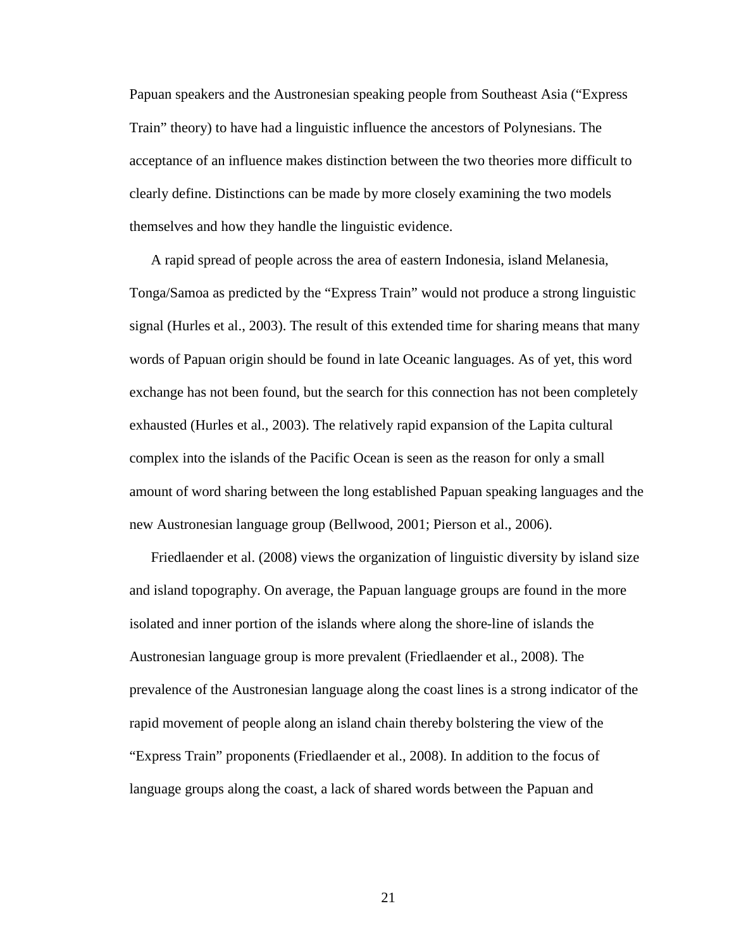Papuan speakers and the Austronesian speaking people from Southeast Asia ("Express Train" theory) to have had a linguistic influence the ancestors of Polynesians. The acceptance of an influence makes distinction between the two theories more difficult to clearly define. Distinctions can be made by more closely examining the two models themselves and how they handle the linguistic evidence.

A rapid spread of people across the area of eastern Indonesia, island Melanesia, Tonga/Samoa as predicted by the "Express Train" would not produce a strong linguistic signal (Hurles et al., 2003). The result of this extended time for sharing means that many words of Papuan origin should be found in late Oceanic languages. As of yet, this word exchange has not been found, but the search for this connection has not been completely exhausted (Hurles et al., 2003). The relatively rapid expansion of the Lapita cultural complex into the islands of the Pacific Ocean is seen as the reason for only a small amount of word sharing between the long established Papuan speaking languages and the new Austronesian language group (Bellwood, 2001; Pierson et al., 2006).

Friedlaender et al. (2008) views the organization of linguistic diversity by island size and island topography. On average, the Papuan language groups are found in the more isolated and inner portion of the islands where along the shore-line of islands the Austronesian language group is more prevalent (Friedlaender et al., 2008). The prevalence of the Austronesian language along the coast lines is a strong indicator of the rapid movement of people along an island chain thereby bolstering the view of the "Express Train" proponents (Friedlaender et al., 2008). In addition to the focus of language groups along the coast, a lack of shared words between the Papuan and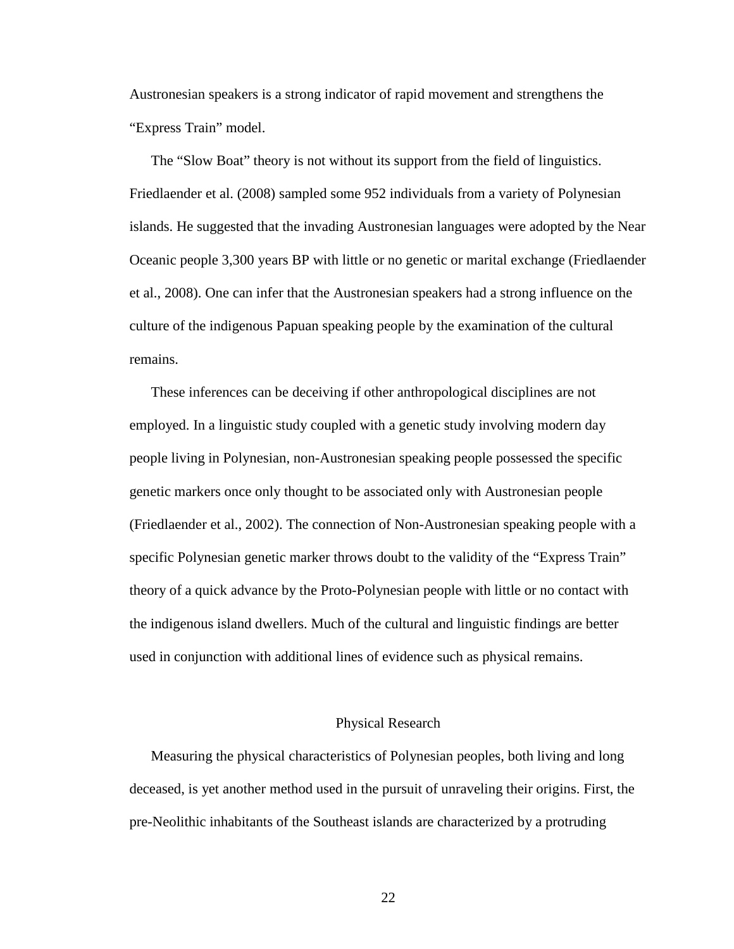Austronesian speakers is a strong indicator of rapid movement and strengthens the "Express Train" model.

The "Slow Boat" theory is not without its support from the field of linguistics. Friedlaender et al. (2008) sampled some 952 individuals from a variety of Polynesian islands. He suggested that the invading Austronesian languages were adopted by the Near Oceanic people 3,300 years BP with little or no genetic or marital exchange (Friedlaender et al., 2008). One can infer that the Austronesian speakers had a strong influence on the culture of the indigenous Papuan speaking people by the examination of the cultural remains.

These inferences can be deceiving if other anthropological disciplines are not employed. In a linguistic study coupled with a genetic study involving modern day people living in Polynesian, non-Austronesian speaking people possessed the specific genetic markers once only thought to be associated only with Austronesian people (Friedlaender et al., 2002). The connection of Non-Austronesian speaking people with a specific Polynesian genetic marker throws doubt to the validity of the "Express Train" theory of a quick advance by the Proto-Polynesian people with little or no contact with the indigenous island dwellers. Much of the cultural and linguistic findings are better used in conjunction with additional lines of evidence such as physical remains.

#### Physical Research

Measuring the physical characteristics of Polynesian peoples, both living and long deceased, is yet another method used in the pursuit of unraveling their origins. First, the pre-Neolithic inhabitants of the Southeast islands are characterized by a protruding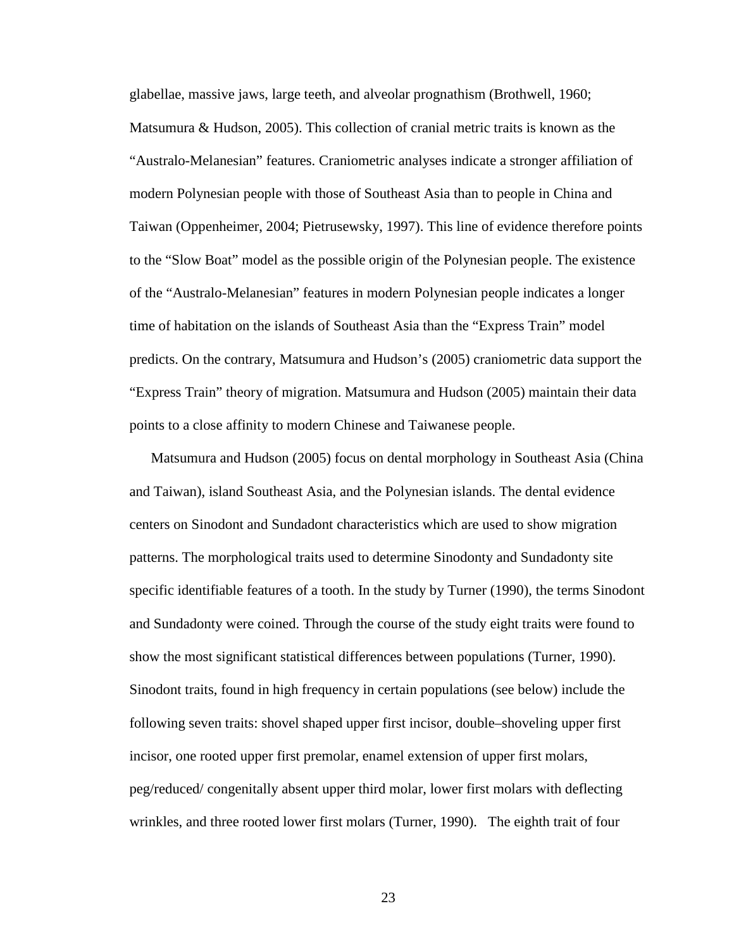glabellae, massive jaws, large teeth, and alveolar prognathism (Brothwell, 1960; Matsumura & Hudson, 2005). This collection of cranial metric traits is known as the "Australo-Melanesian" features. Craniometric analyses indicate a stronger affiliation of modern Polynesian people with those of Southeast Asia than to people in China and Taiwan (Oppenheimer, 2004; Pietrusewsky, 1997). This line of evidence therefore points to the "Slow Boat" model as the possible origin of the Polynesian people. The existence of the "Australo-Melanesian" features in modern Polynesian people indicates a longer time of habitation on the islands of Southeast Asia than the "Express Train" model predicts. On the contrary, Matsumura and Hudson's (2005) craniometric data support the "Express Train" theory of migration. Matsumura and Hudson (2005) maintain their data points to a close affinity to modern Chinese and Taiwanese people.

Matsumura and Hudson (2005) focus on dental morphology in Southeast Asia (China and Taiwan), island Southeast Asia, and the Polynesian islands. The dental evidence centers on Sinodont and Sundadont characteristics which are used to show migration patterns. The morphological traits used to determine Sinodonty and Sundadonty site specific identifiable features of a tooth. In the study by Turner (1990), the terms Sinodont and Sundadonty were coined. Through the course of the study eight traits were found to show the most significant statistical differences between populations (Turner, 1990). Sinodont traits, found in high frequency in certain populations (see below) include the following seven traits: shovel shaped upper first incisor, double–shoveling upper first incisor, one rooted upper first premolar, enamel extension of upper first molars, peg/reduced/ congenitally absent upper third molar, lower first molars with deflecting wrinkles, and three rooted lower first molars (Turner, 1990). The eighth trait of four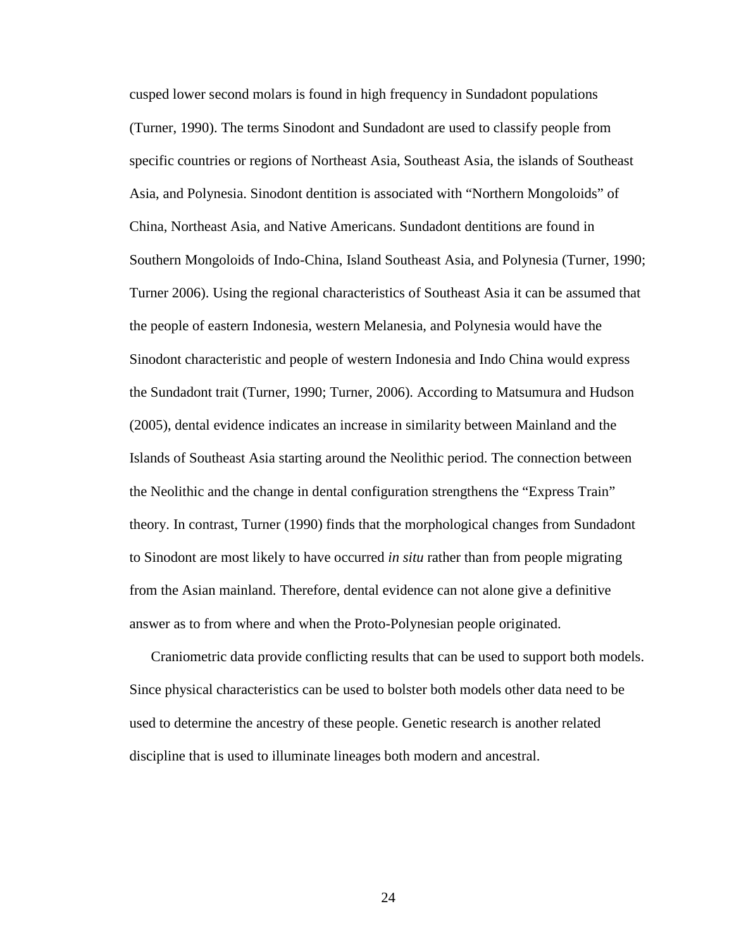cusped lower second molars is found in high frequency in Sundadont populations (Turner, 1990). The terms Sinodont and Sundadont are used to classify people from specific countries or regions of Northeast Asia, Southeast Asia, the islands of Southeast Asia, and Polynesia. Sinodont dentition is associated with "Northern Mongoloids" of China, Northeast Asia, and Native Americans. Sundadont dentitions are found in Southern Mongoloids of Indo-China, Island Southeast Asia, and Polynesia (Turner, 1990; Turner 2006). Using the regional characteristics of Southeast Asia it can be assumed that the people of eastern Indonesia, western Melanesia, and Polynesia would have the Sinodont characteristic and people of western Indonesia and Indo China would express the Sundadont trait (Turner, 1990; Turner, 2006). According to Matsumura and Hudson (2005), dental evidence indicates an increase in similarity between Mainland and the Islands of Southeast Asia starting around the Neolithic period. The connection between the Neolithic and the change in dental configuration strengthens the "Express Train" theory. In contrast, Turner (1990) finds that the morphological changes from Sundadont to Sinodont are most likely to have occurred *in situ* rather than from people migrating from the Asian mainland. Therefore, dental evidence can not alone give a definitive answer as to from where and when the Proto-Polynesian people originated.

Craniometric data provide conflicting results that can be used to support both models. Since physical characteristics can be used to bolster both models other data need to be used to determine the ancestry of these people. Genetic research is another related discipline that is used to illuminate lineages both modern and ancestral.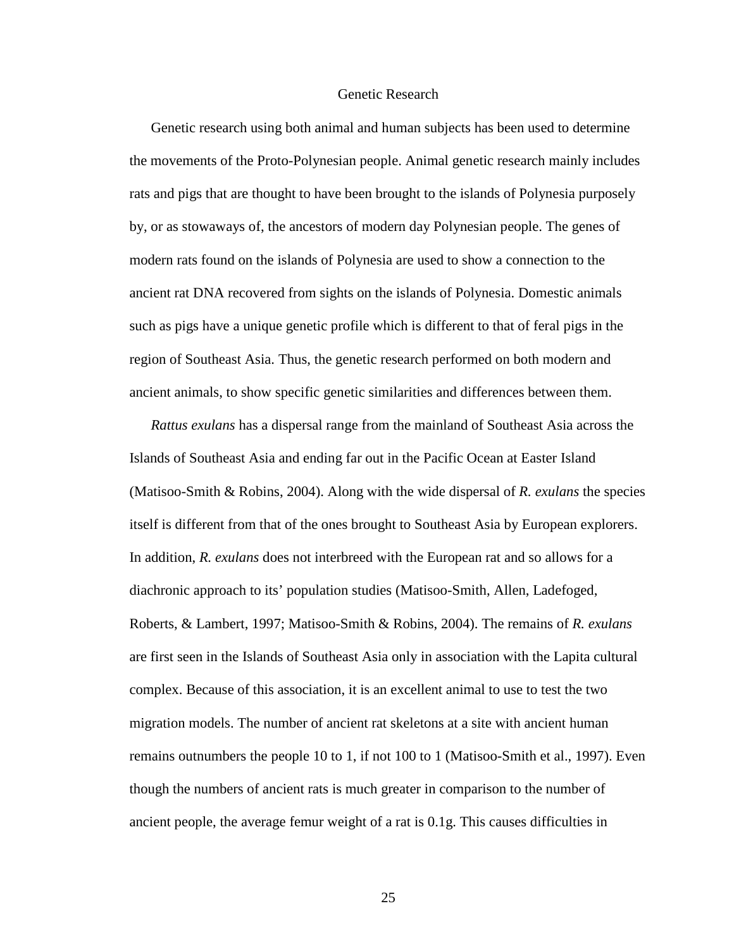#### Genetic Research

Genetic research using both animal and human subjects has been used to determine the movements of the Proto-Polynesian people. Animal genetic research mainly includes rats and pigs that are thought to have been brought to the islands of Polynesia purposely by, or as stowaways of, the ancestors of modern day Polynesian people. The genes of modern rats found on the islands of Polynesia are used to show a connection to the ancient rat DNA recovered from sights on the islands of Polynesia. Domestic animals such as pigs have a unique genetic profile which is different to that of feral pigs in the region of Southeast Asia. Thus, the genetic research performed on both modern and ancient animals, to show specific genetic similarities and differences between them.

*Rattus exulans* has a dispersal range from the mainland of Southeast Asia across the Islands of Southeast Asia and ending far out in the Pacific Ocean at Easter Island (Matisoo-Smith & Robins, 2004). Along with the wide dispersal of *R. exulans* the species itself is different from that of the ones brought to Southeast Asia by European explorers. In addition, *R. exulans* does not interbreed with the European rat and so allows for a diachronic approach to its' population studies (Matisoo-Smith, Allen, Ladefoged, Roberts, & Lambert, 1997; Matisoo-Smith & Robins, 2004). The remains of *R. exulans* are first seen in the Islands of Southeast Asia only in association with the Lapita cultural complex. Because of this association, it is an excellent animal to use to test the two migration models. The number of ancient rat skeletons at a site with ancient human remains outnumbers the people 10 to 1, if not 100 to 1 (Matisoo-Smith et al., 1997). Even though the numbers of ancient rats is much greater in comparison to the number of ancient people, the average femur weight of a rat is 0.1g. This causes difficulties in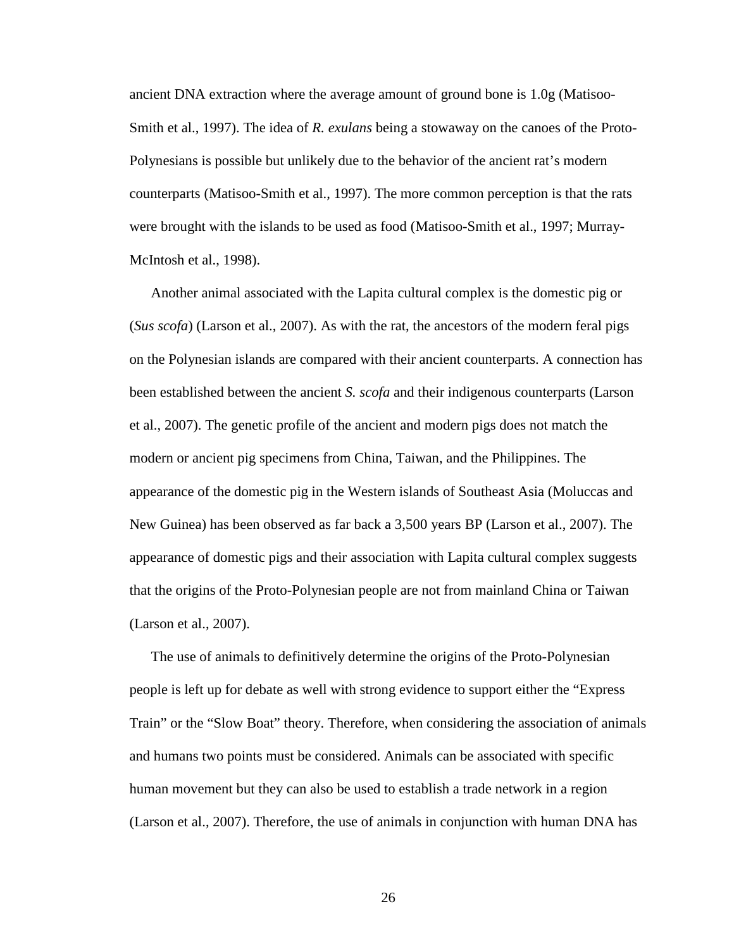ancient DNA extraction where the average amount of ground bone is 1.0g (Matisoo-Smith et al., 1997). The idea of *R. exulans* being a stowaway on the canoes of the Proto-Polynesians is possible but unlikely due to the behavior of the ancient rat's modern counterparts (Matisoo-Smith et al., 1997). The more common perception is that the rats were brought with the islands to be used as food (Matisoo-Smith et al., 1997; Murray-McIntosh et al., 1998).

Another animal associated with the Lapita cultural complex is the domestic pig or (*Sus scofa*) (Larson et al., 2007). As with the rat, the ancestors of the modern feral pigs on the Polynesian islands are compared with their ancient counterparts. A connection has been established between the ancient *S. scofa* and their indigenous counterparts (Larson et al., 2007). The genetic profile of the ancient and modern pigs does not match the modern or ancient pig specimens from China, Taiwan, and the Philippines. The appearance of the domestic pig in the Western islands of Southeast Asia (Moluccas and New Guinea) has been observed as far back a 3,500 years BP (Larson et al., 2007). The appearance of domestic pigs and their association with Lapita cultural complex suggests that the origins of the Proto-Polynesian people are not from mainland China or Taiwan (Larson et al., 2007).

The use of animals to definitively determine the origins of the Proto-Polynesian people is left up for debate as well with strong evidence to support either the "Express Train" or the "Slow Boat" theory. Therefore, when considering the association of animals and humans two points must be considered. Animals can be associated with specific human movement but they can also be used to establish a trade network in a region (Larson et al., 2007). Therefore, the use of animals in conjunction with human DNA has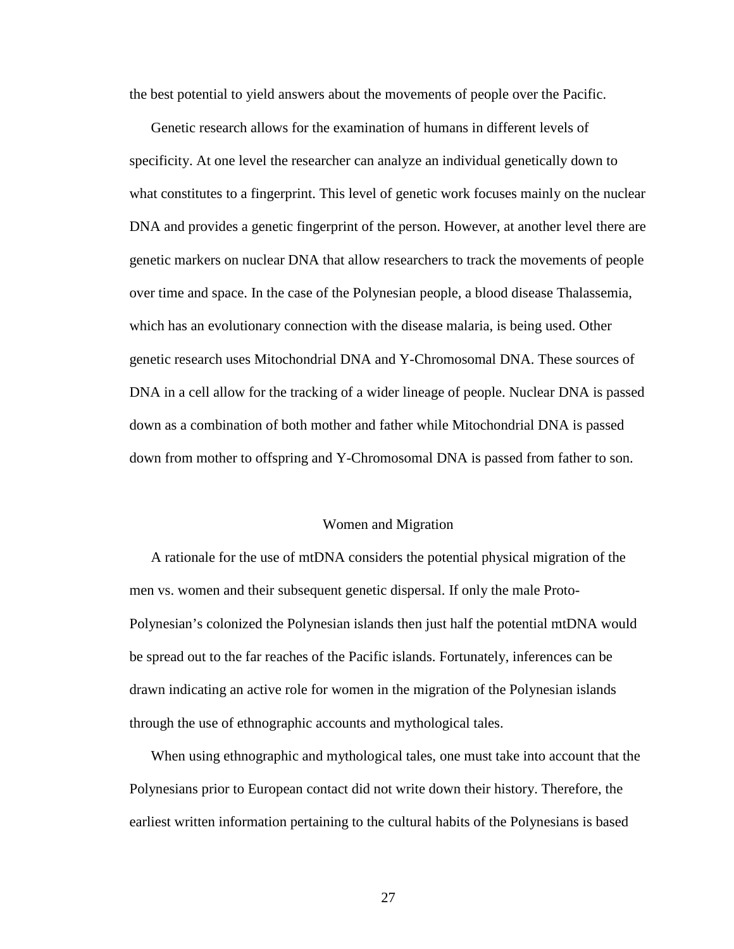the best potential to yield answers about the movements of people over the Pacific.

 Genetic research allows for the examination of humans in different levels of specificity. At one level the researcher can analyze an individual genetically down to what constitutes to a fingerprint. This level of genetic work focuses mainly on the nuclear DNA and provides a genetic fingerprint of the person. However, at another level there are genetic markers on nuclear DNA that allow researchers to track the movements of people over time and space. In the case of the Polynesian people, a blood disease Thalassemia, which has an evolutionary connection with the disease malaria, is being used. Other genetic research uses Mitochondrial DNA and Y-Chromosomal DNA. These sources of DNA in a cell allow for the tracking of a wider lineage of people. Nuclear DNA is passed down as a combination of both mother and father while Mitochondrial DNA is passed down from mother to offspring and Y-Chromosomal DNA is passed from father to son.

#### Women and Migration

A rationale for the use of mtDNA considers the potential physical migration of the men vs. women and their subsequent genetic dispersal. If only the male Proto-Polynesian's colonized the Polynesian islands then just half the potential mtDNA would be spread out to the far reaches of the Pacific islands. Fortunately, inferences can be drawn indicating an active role for women in the migration of the Polynesian islands through the use of ethnographic accounts and mythological tales.

When using ethnographic and mythological tales, one must take into account that the Polynesians prior to European contact did not write down their history. Therefore, the earliest written information pertaining to the cultural habits of the Polynesians is based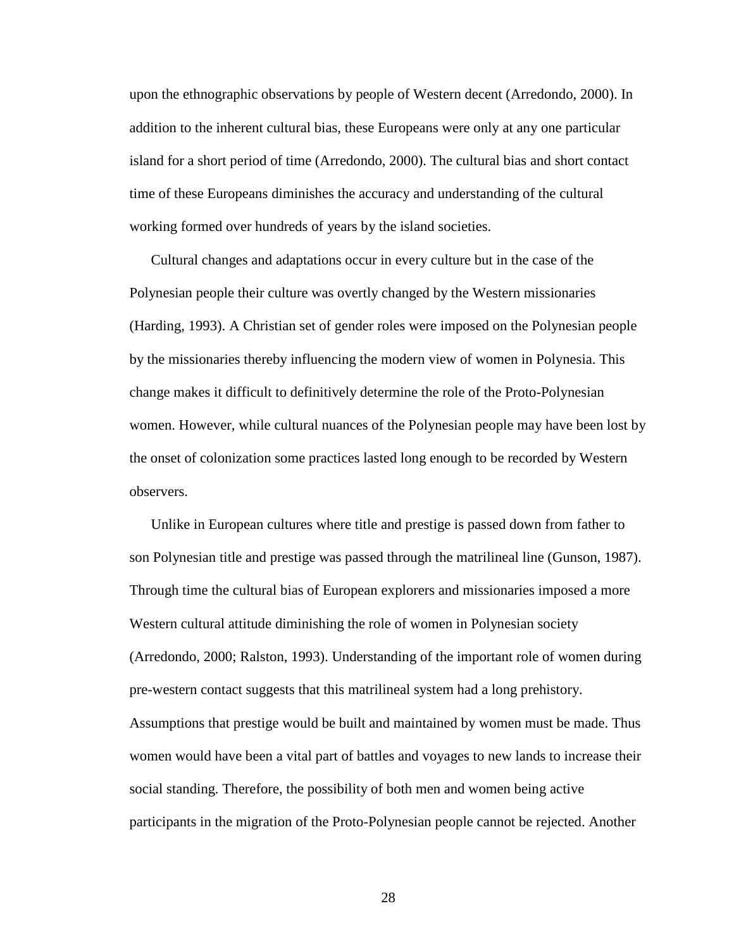upon the ethnographic observations by people of Western decent (Arredondo, 2000). In addition to the inherent cultural bias, these Europeans were only at any one particular island for a short period of time (Arredondo, 2000). The cultural bias and short contact time of these Europeans diminishes the accuracy and understanding of the cultural working formed over hundreds of years by the island societies.

Cultural changes and adaptations occur in every culture but in the case of the Polynesian people their culture was overtly changed by the Western missionaries (Harding, 1993). A Christian set of gender roles were imposed on the Polynesian people by the missionaries thereby influencing the modern view of women in Polynesia. This change makes it difficult to definitively determine the role of the Proto-Polynesian women. However, while cultural nuances of the Polynesian people may have been lost by the onset of colonization some practices lasted long enough to be recorded by Western observers.

Unlike in European cultures where title and prestige is passed down from father to son Polynesian title and prestige was passed through the matrilineal line (Gunson, 1987). Through time the cultural bias of European explorers and missionaries imposed a more Western cultural attitude diminishing the role of women in Polynesian society (Arredondo, 2000; Ralston, 1993). Understanding of the important role of women during pre-western contact suggests that this matrilineal system had a long prehistory. Assumptions that prestige would be built and maintained by women must be made. Thus women would have been a vital part of battles and voyages to new lands to increase their social standing. Therefore, the possibility of both men and women being active participants in the migration of the Proto-Polynesian people cannot be rejected. Another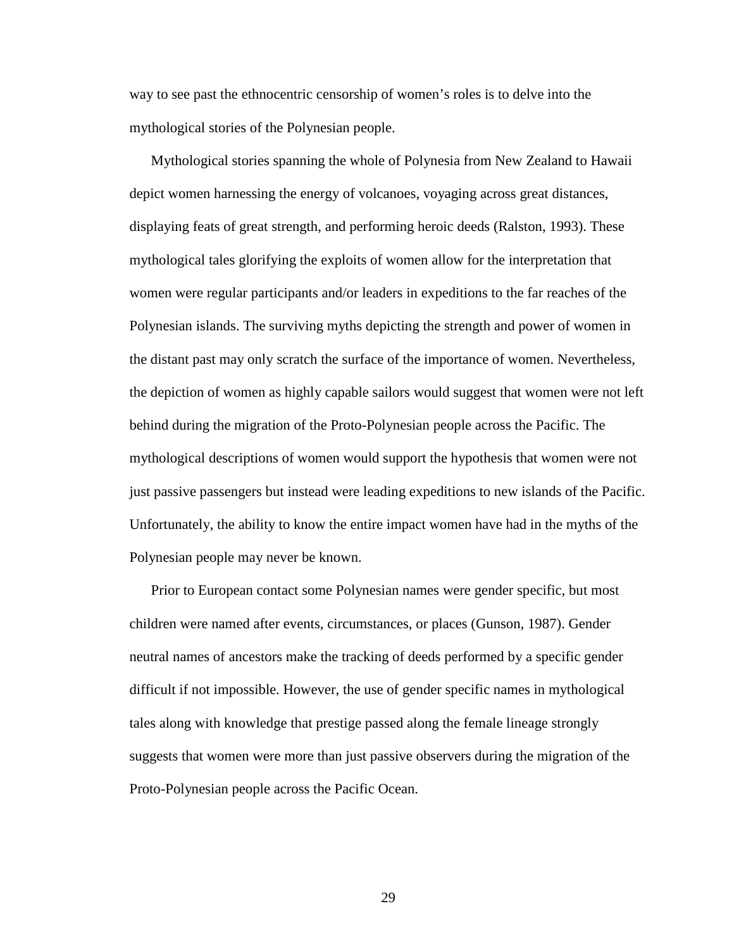way to see past the ethnocentric censorship of women's roles is to delve into the mythological stories of the Polynesian people.

Mythological stories spanning the whole of Polynesia from New Zealand to Hawaii depict women harnessing the energy of volcanoes, voyaging across great distances, displaying feats of great strength, and performing heroic deeds (Ralston, 1993). These mythological tales glorifying the exploits of women allow for the interpretation that women were regular participants and/or leaders in expeditions to the far reaches of the Polynesian islands. The surviving myths depicting the strength and power of women in the distant past may only scratch the surface of the importance of women. Nevertheless, the depiction of women as highly capable sailors would suggest that women were not left behind during the migration of the Proto-Polynesian people across the Pacific. The mythological descriptions of women would support the hypothesis that women were not just passive passengers but instead were leading expeditions to new islands of the Pacific. Unfortunately, the ability to know the entire impact women have had in the myths of the Polynesian people may never be known.

Prior to European contact some Polynesian names were gender specific, but most children were named after events, circumstances, or places (Gunson, 1987). Gender neutral names of ancestors make the tracking of deeds performed by a specific gender difficult if not impossible. However, the use of gender specific names in mythological tales along with knowledge that prestige passed along the female lineage strongly suggests that women were more than just passive observers during the migration of the Proto-Polynesian people across the Pacific Ocean.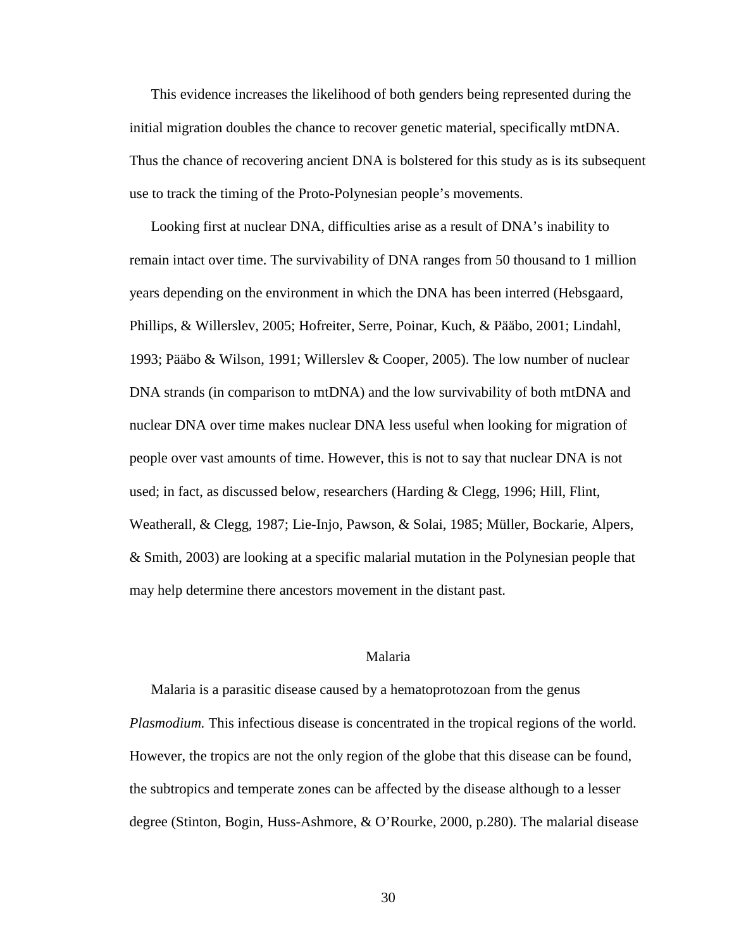This evidence increases the likelihood of both genders being represented during the initial migration doubles the chance to recover genetic material, specifically mtDNA. Thus the chance of recovering ancient DNA is bolstered for this study as is its subsequent use to track the timing of the Proto-Polynesian people's movements.

Looking first at nuclear DNA, difficulties arise as a result of DNA's inability to remain intact over time. The survivability of DNA ranges from 50 thousand to 1 million years depending on the environment in which the DNA has been interred (Hebsgaard, Phillips, & Willerslev, 2005; Hofreiter, Serre, Poinar, Kuch, & Pääbo, 2001; Lindahl, 1993; Pääbo & Wilson, 1991; Willerslev & Cooper, 2005). The low number of nuclear DNA strands (in comparison to mtDNA) and the low survivability of both mtDNA and nuclear DNA over time makes nuclear DNA less useful when looking for migration of people over vast amounts of time. However, this is not to say that nuclear DNA is not used; in fact, as discussed below, researchers (Harding & Clegg, 1996; Hill, Flint, Weatherall, & Clegg, 1987; Lie-Injo, Pawson, & Solai, 1985; Müller, Bockarie, Alpers, & Smith, 2003) are looking at a specific malarial mutation in the Polynesian people that may help determine there ancestors movement in the distant past.

# Malaria

Malaria is a parasitic disease caused by a hematoprotozoan from the genus *Plasmodium.* This infectious disease is concentrated in the tropical regions of the world. However, the tropics are not the only region of the globe that this disease can be found, the subtropics and temperate zones can be affected by the disease although to a lesser degree (Stinton, Bogin, Huss-Ashmore, & O'Rourke, 2000, p.280). The malarial disease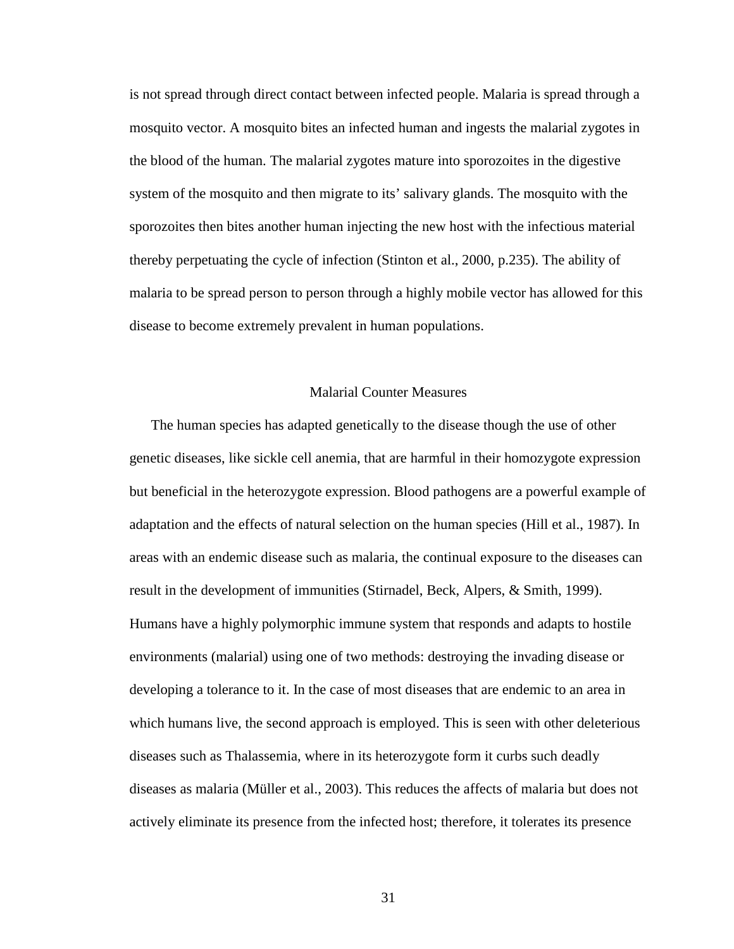is not spread through direct contact between infected people. Malaria is spread through a mosquito vector. A mosquito bites an infected human and ingests the malarial zygotes in the blood of the human. The malarial zygotes mature into sporozoites in the digestive system of the mosquito and then migrate to its' salivary glands. The mosquito with the sporozoites then bites another human injecting the new host with the infectious material thereby perpetuating the cycle of infection (Stinton et al., 2000, p.235). The ability of malaria to be spread person to person through a highly mobile vector has allowed for this disease to become extremely prevalent in human populations.

# Malarial Counter Measures

The human species has adapted genetically to the disease though the use of other genetic diseases, like sickle cell anemia, that are harmful in their homozygote expression but beneficial in the heterozygote expression. Blood pathogens are a powerful example of adaptation and the effects of natural selection on the human species (Hill et al., 1987). In areas with an endemic disease such as malaria, the continual exposure to the diseases can result in the development of immunities (Stirnadel, Beck, Alpers, & Smith, 1999). Humans have a highly polymorphic immune system that responds and adapts to hostile environments (malarial) using one of two methods: destroying the invading disease or developing a tolerance to it. In the case of most diseases that are endemic to an area in which humans live, the second approach is employed. This is seen with other deleterious diseases such as Thalassemia, where in its heterozygote form it curbs such deadly diseases as malaria (Müller et al., 2003). This reduces the affects of malaria but does not actively eliminate its presence from the infected host; therefore, it tolerates its presence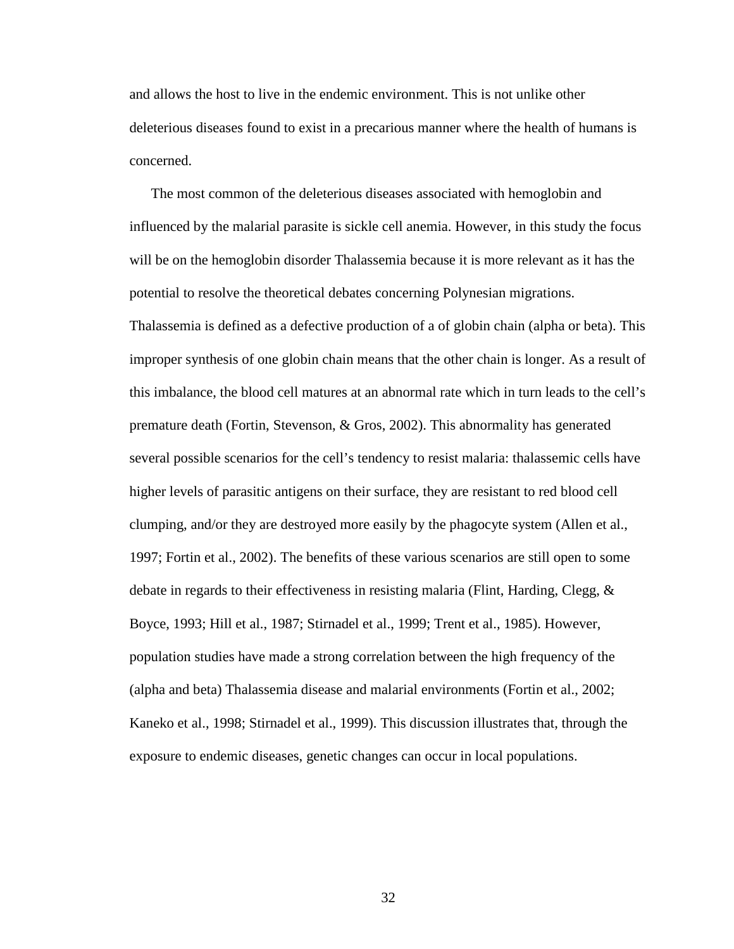and allows the host to live in the endemic environment. This is not unlike other deleterious diseases found to exist in a precarious manner where the health of humans is concerned.

The most common of the deleterious diseases associated with hemoglobin and influenced by the malarial parasite is sickle cell anemia. However, in this study the focus will be on the hemoglobin disorder Thalassemia because it is more relevant as it has the potential to resolve the theoretical debates concerning Polynesian migrations. Thalassemia is defined as a defective production of a of globin chain (alpha or beta). This improper synthesis of one globin chain means that the other chain is longer. As a result of this imbalance, the blood cell matures at an abnormal rate which in turn leads to the cell's premature death (Fortin, Stevenson, & Gros, 2002). This abnormality has generated several possible scenarios for the cell's tendency to resist malaria: thalassemic cells have higher levels of parasitic antigens on their surface, they are resistant to red blood cell clumping, and/or they are destroyed more easily by the phagocyte system (Allen et al., 1997; Fortin et al., 2002). The benefits of these various scenarios are still open to some debate in regards to their effectiveness in resisting malaria (Flint, Harding, Clegg, & Boyce, 1993; Hill et al., 1987; Stirnadel et al., 1999; Trent et al., 1985). However, population studies have made a strong correlation between the high frequency of the (alpha and beta) Thalassemia disease and malarial environments (Fortin et al., 2002; Kaneko et al., 1998; Stirnadel et al., 1999). This discussion illustrates that, through the

exposure to endemic diseases, genetic changes can occur in local populations.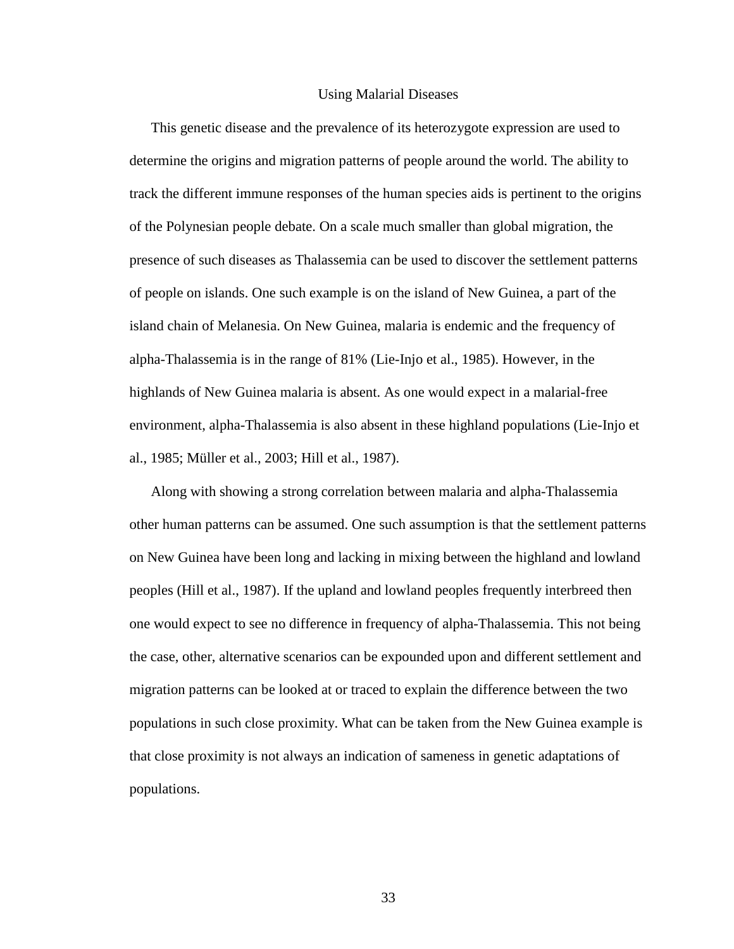#### Using Malarial Diseases

This genetic disease and the prevalence of its heterozygote expression are used to determine the origins and migration patterns of people around the world. The ability to track the different immune responses of the human species aids is pertinent to the origins of the Polynesian people debate. On a scale much smaller than global migration, the presence of such diseases as Thalassemia can be used to discover the settlement patterns of people on islands. One such example is on the island of New Guinea, a part of the island chain of Melanesia. On New Guinea, malaria is endemic and the frequency of alpha-Thalassemia is in the range of 81% (Lie-Injo et al., 1985). However, in the highlands of New Guinea malaria is absent. As one would expect in a malarial-free environment, alpha-Thalassemia is also absent in these highland populations (Lie-Injo et al., 1985; Müller et al., 2003; Hill et al., 1987).

Along with showing a strong correlation between malaria and alpha-Thalassemia other human patterns can be assumed. One such assumption is that the settlement patterns on New Guinea have been long and lacking in mixing between the highland and lowland peoples (Hill et al., 1987). If the upland and lowland peoples frequently interbreed then one would expect to see no difference in frequency of alpha-Thalassemia. This not being the case, other, alternative scenarios can be expounded upon and different settlement and migration patterns can be looked at or traced to explain the difference between the two populations in such close proximity. What can be taken from the New Guinea example is that close proximity is not always an indication of sameness in genetic adaptations of populations.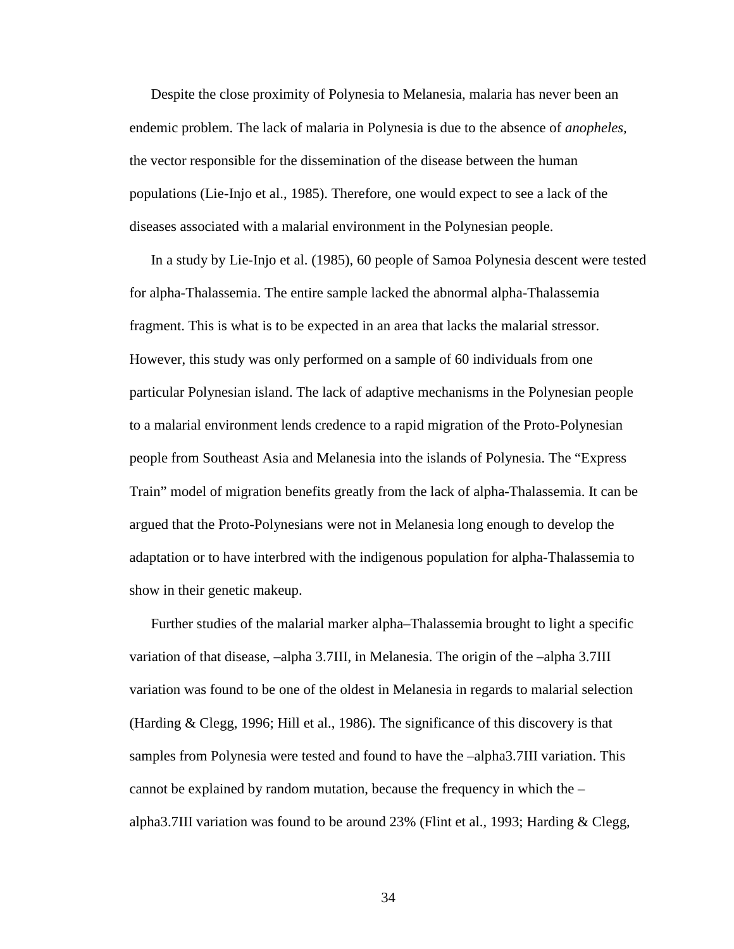Despite the close proximity of Polynesia to Melanesia, malaria has never been an endemic problem. The lack of malaria in Polynesia is due to the absence of *anopheles,* the vector responsible for the dissemination of the disease between the human populations (Lie-Injo et al., 1985). Therefore, one would expect to see a lack of the diseases associated with a malarial environment in the Polynesian people.

In a study by Lie-Injo et al. (1985), 60 people of Samoa Polynesia descent were tested for alpha-Thalassemia. The entire sample lacked the abnormal alpha-Thalassemia fragment. This is what is to be expected in an area that lacks the malarial stressor. However, this study was only performed on a sample of 60 individuals from one particular Polynesian island. The lack of adaptive mechanisms in the Polynesian people to a malarial environment lends credence to a rapid migration of the Proto-Polynesian people from Southeast Asia and Melanesia into the islands of Polynesia. The "Express Train" model of migration benefits greatly from the lack of alpha-Thalassemia. It can be argued that the Proto-Polynesians were not in Melanesia long enough to develop the adaptation or to have interbred with the indigenous population for alpha-Thalassemia to show in their genetic makeup.

Further studies of the malarial marker alpha–Thalassemia brought to light a specific variation of that disease, –alpha 3.7III, in Melanesia. The origin of the –alpha 3.7III variation was found to be one of the oldest in Melanesia in regards to malarial selection (Harding & Clegg, 1996; Hill et al., 1986). The significance of this discovery is that samples from Polynesia were tested and found to have the –alpha3.7III variation. This cannot be explained by random mutation, because the frequency in which the – alpha3.7III variation was found to be around 23% (Flint et al., 1993; Harding & Clegg,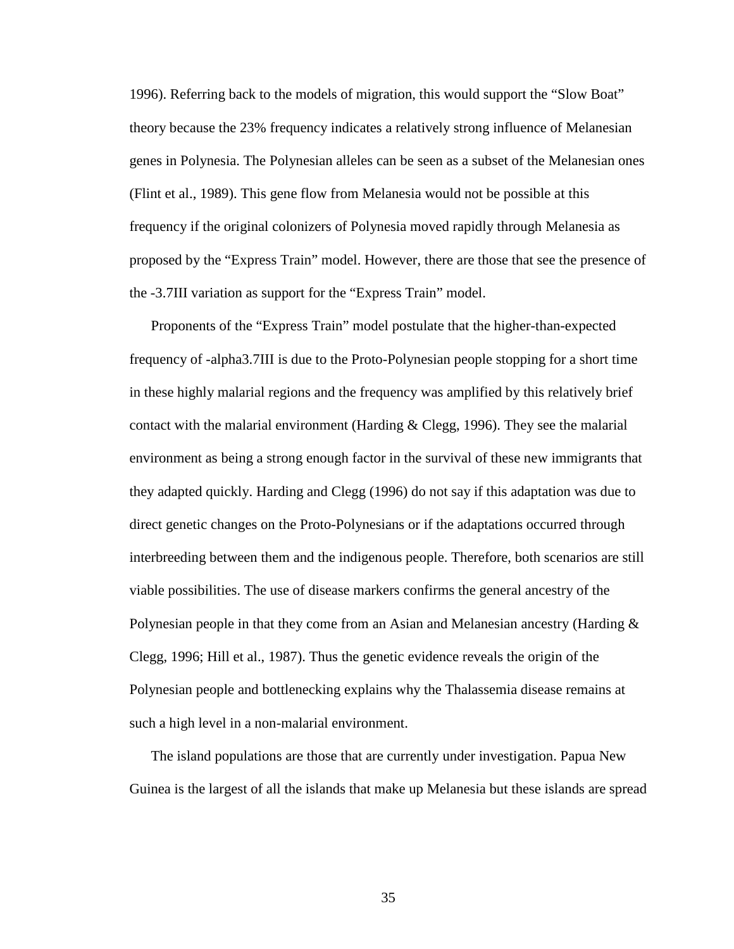1996). Referring back to the models of migration, this would support the "Slow Boat" theory because the 23% frequency indicates a relatively strong influence of Melanesian genes in Polynesia. The Polynesian alleles can be seen as a subset of the Melanesian ones (Flint et al., 1989). This gene flow from Melanesia would not be possible at this frequency if the original colonizers of Polynesia moved rapidly through Melanesia as proposed by the "Express Train" model. However, there are those that see the presence of the -3.7III variation as support for the "Express Train" model.

Proponents of the "Express Train" model postulate that the higher-than-expected frequency of -alpha3.7III is due to the Proto-Polynesian people stopping for a short time in these highly malarial regions and the frequency was amplified by this relatively brief contact with the malarial environment (Harding  $\&$  Clegg, 1996). They see the malarial environment as being a strong enough factor in the survival of these new immigrants that they adapted quickly. Harding and Clegg (1996) do not say if this adaptation was due to direct genetic changes on the Proto-Polynesians or if the adaptations occurred through interbreeding between them and the indigenous people. Therefore, both scenarios are still viable possibilities. The use of disease markers confirms the general ancestry of the Polynesian people in that they come from an Asian and Melanesian ancestry (Harding & Clegg, 1996; Hill et al., 1987). Thus the genetic evidence reveals the origin of the Polynesian people and bottlenecking explains why the Thalassemia disease remains at such a high level in a non-malarial environment.

The island populations are those that are currently under investigation. Papua New Guinea is the largest of all the islands that make up Melanesia but these islands are spread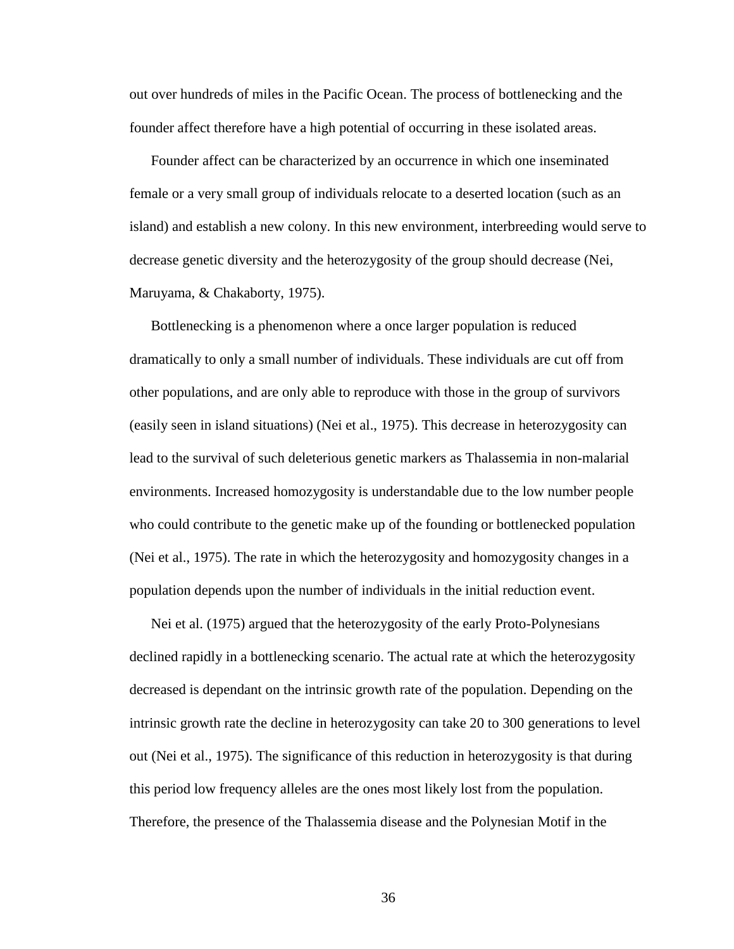out over hundreds of miles in the Pacific Ocean. The process of bottlenecking and the founder affect therefore have a high potential of occurring in these isolated areas.

Founder affect can be characterized by an occurrence in which one inseminated female or a very small group of individuals relocate to a deserted location (such as an island) and establish a new colony. In this new environment, interbreeding would serve to decrease genetic diversity and the heterozygosity of the group should decrease (Nei, Maruyama, & Chakaborty, 1975).

Bottlenecking is a phenomenon where a once larger population is reduced dramatically to only a small number of individuals. These individuals are cut off from other populations, and are only able to reproduce with those in the group of survivors (easily seen in island situations) (Nei et al., 1975). This decrease in heterozygosity can lead to the survival of such deleterious genetic markers as Thalassemia in non-malarial environments. Increased homozygosity is understandable due to the low number people who could contribute to the genetic make up of the founding or bottlenecked population (Nei et al., 1975). The rate in which the heterozygosity and homozygosity changes in a population depends upon the number of individuals in the initial reduction event.

Nei et al. (1975) argued that the heterozygosity of the early Proto-Polynesians declined rapidly in a bottlenecking scenario. The actual rate at which the heterozygosity decreased is dependant on the intrinsic growth rate of the population. Depending on the intrinsic growth rate the decline in heterozygosity can take 20 to 300 generations to level out (Nei et al., 1975). The significance of this reduction in heterozygosity is that during this period low frequency alleles are the ones most likely lost from the population. Therefore, the presence of the Thalassemia disease and the Polynesian Motif in the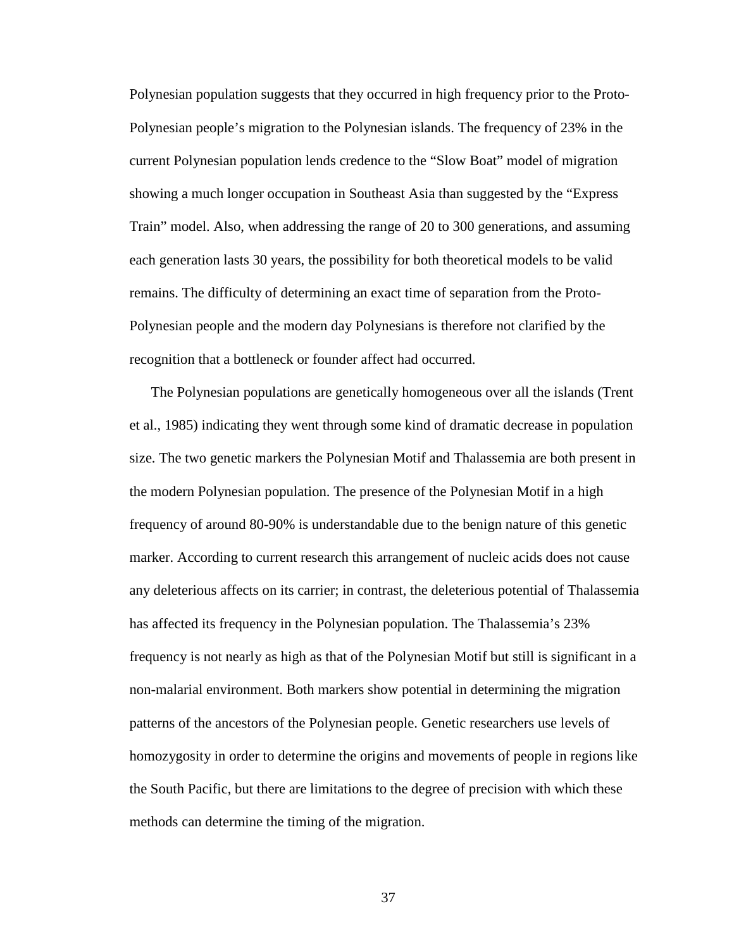Polynesian population suggests that they occurred in high frequency prior to the Proto-Polynesian people's migration to the Polynesian islands. The frequency of 23% in the current Polynesian population lends credence to the "Slow Boat" model of migration showing a much longer occupation in Southeast Asia than suggested by the "Express Train" model. Also, when addressing the range of 20 to 300 generations, and assuming each generation lasts 30 years, the possibility for both theoretical models to be valid remains. The difficulty of determining an exact time of separation from the Proto-Polynesian people and the modern day Polynesians is therefore not clarified by the recognition that a bottleneck or founder affect had occurred.

The Polynesian populations are genetically homogeneous over all the islands (Trent et al., 1985) indicating they went through some kind of dramatic decrease in population size. The two genetic markers the Polynesian Motif and Thalassemia are both present in the modern Polynesian population. The presence of the Polynesian Motif in a high frequency of around 80-90% is understandable due to the benign nature of this genetic marker. According to current research this arrangement of nucleic acids does not cause any deleterious affects on its carrier; in contrast, the deleterious potential of Thalassemia has affected its frequency in the Polynesian population. The Thalassemia's 23% frequency is not nearly as high as that of the Polynesian Motif but still is significant in a non-malarial environment. Both markers show potential in determining the migration patterns of the ancestors of the Polynesian people. Genetic researchers use levels of homozygosity in order to determine the origins and movements of people in regions like the South Pacific, but there are limitations to the degree of precision with which these methods can determine the timing of the migration.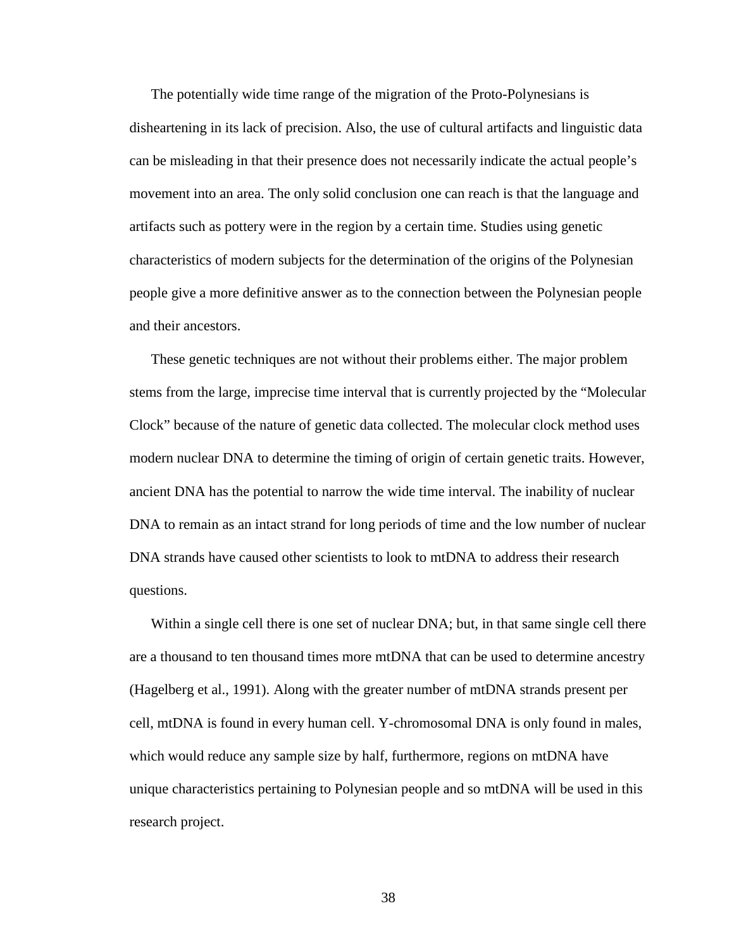The potentially wide time range of the migration of the Proto-Polynesians is disheartening in its lack of precision. Also, the use of cultural artifacts and linguistic data can be misleading in that their presence does not necessarily indicate the actual people's movement into an area. The only solid conclusion one can reach is that the language and artifacts such as pottery were in the region by a certain time. Studies using genetic characteristics of modern subjects for the determination of the origins of the Polynesian people give a more definitive answer as to the connection between the Polynesian people and their ancestors.

These genetic techniques are not without their problems either. The major problem stems from the large, imprecise time interval that is currently projected by the "Molecular Clock" because of the nature of genetic data collected. The molecular clock method uses modern nuclear DNA to determine the timing of origin of certain genetic traits. However, ancient DNA has the potential to narrow the wide time interval. The inability of nuclear DNA to remain as an intact strand for long periods of time and the low number of nuclear DNA strands have caused other scientists to look to mtDNA to address their research questions.

Within a single cell there is one set of nuclear DNA; but, in that same single cell there are a thousand to ten thousand times more mtDNA that can be used to determine ancestry (Hagelberg et al., 1991). Along with the greater number of mtDNA strands present per cell, mtDNA is found in every human cell. Y-chromosomal DNA is only found in males, which would reduce any sample size by half, furthermore, regions on mtDNA have unique characteristics pertaining to Polynesian people and so mtDNA will be used in this research project.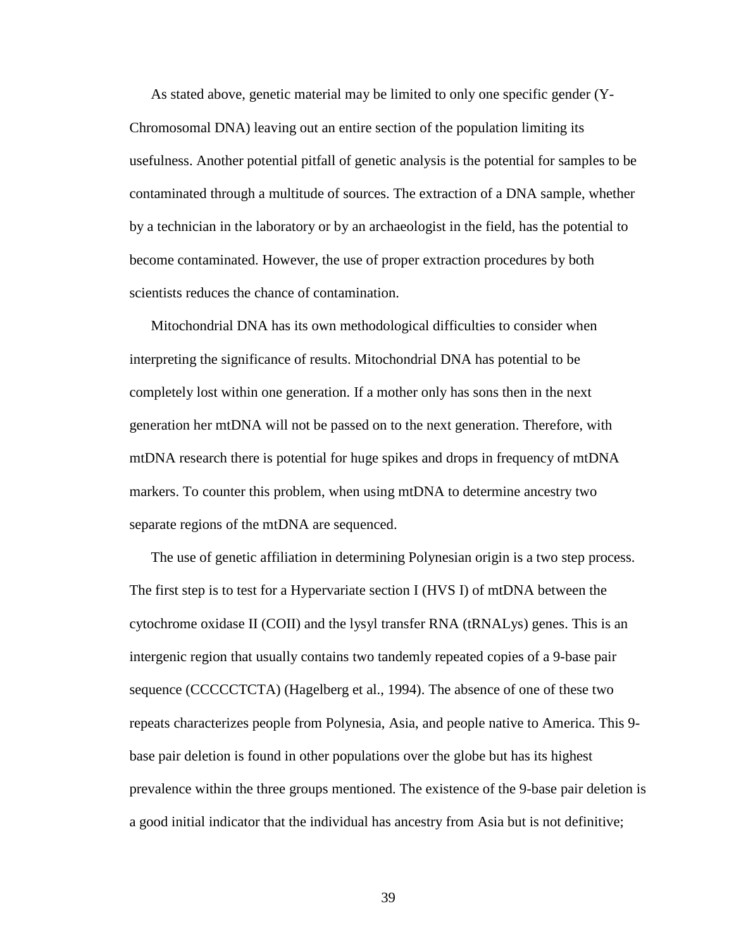As stated above, genetic material may be limited to only one specific gender (Y-Chromosomal DNA) leaving out an entire section of the population limiting its usefulness. Another potential pitfall of genetic analysis is the potential for samples to be contaminated through a multitude of sources. The extraction of a DNA sample, whether by a technician in the laboratory or by an archaeologist in the field, has the potential to become contaminated. However, the use of proper extraction procedures by both scientists reduces the chance of contamination.

Mitochondrial DNA has its own methodological difficulties to consider when interpreting the significance of results. Mitochondrial DNA has potential to be completely lost within one generation. If a mother only has sons then in the next generation her mtDNA will not be passed on to the next generation. Therefore, with mtDNA research there is potential for huge spikes and drops in frequency of mtDNA markers. To counter this problem, when using mtDNA to determine ancestry two separate regions of the mtDNA are sequenced.

The use of genetic affiliation in determining Polynesian origin is a two step process. The first step is to test for a Hypervariate section I (HVS I) of mtDNA between the cytochrome oxidase II (COII) and the lysyl transfer RNA (tRNALys) genes. This is an intergenic region that usually contains two tandemly repeated copies of a 9-base pair sequence (CCCCCTCTA) (Hagelberg et al., 1994). The absence of one of these two repeats characterizes people from Polynesia, Asia, and people native to America. This 9 base pair deletion is found in other populations over the globe but has its highest prevalence within the three groups mentioned. The existence of the 9-base pair deletion is a good initial indicator that the individual has ancestry from Asia but is not definitive;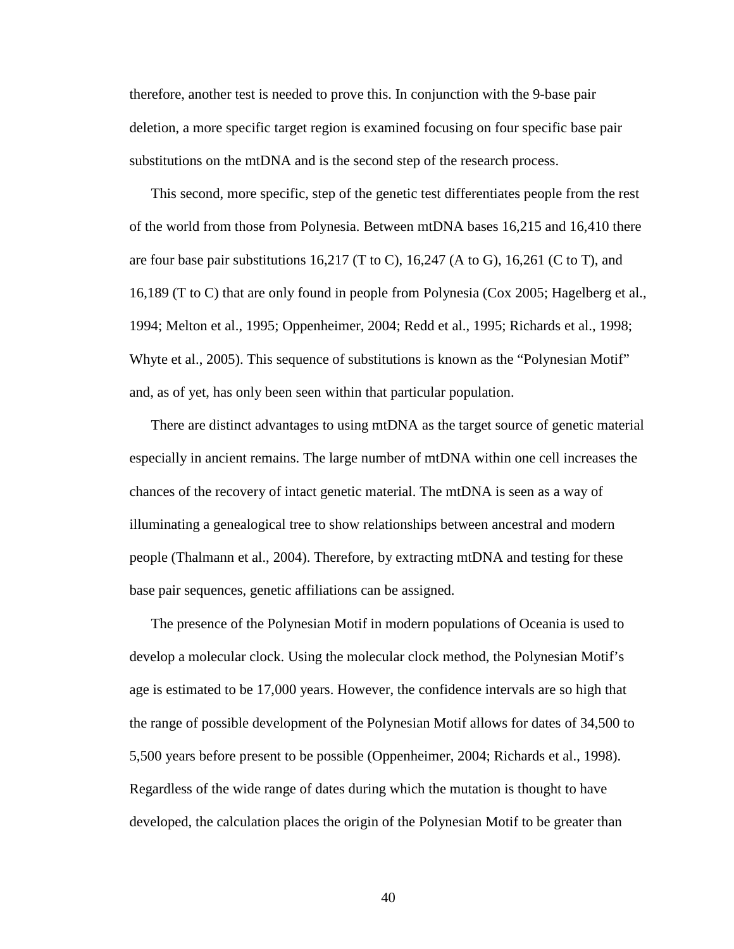therefore, another test is needed to prove this. In conjunction with the 9-base pair deletion, a more specific target region is examined focusing on four specific base pair substitutions on the mtDNA and is the second step of the research process.

This second, more specific, step of the genetic test differentiates people from the rest of the world from those from Polynesia. Between mtDNA bases 16,215 and 16,410 there are four base pair substitutions 16,217 (T to C), 16,247 (A to G), 16,261 (C to T), and 16,189 (T to C) that are only found in people from Polynesia (Cox 2005; Hagelberg et al., 1994; Melton et al., 1995; Oppenheimer, 2004; Redd et al., 1995; Richards et al., 1998; Whyte et al., 2005). This sequence of substitutions is known as the "Polynesian Motif" and, as of yet, has only been seen within that particular population.

There are distinct advantages to using mtDNA as the target source of genetic material especially in ancient remains. The large number of mtDNA within one cell increases the chances of the recovery of intact genetic material. The mtDNA is seen as a way of illuminating a genealogical tree to show relationships between ancestral and modern people (Thalmann et al., 2004). Therefore, by extracting mtDNA and testing for these base pair sequences, genetic affiliations can be assigned.

The presence of the Polynesian Motif in modern populations of Oceania is used to develop a molecular clock. Using the molecular clock method, the Polynesian Motif's age is estimated to be 17,000 years. However, the confidence intervals are so high that the range of possible development of the Polynesian Motif allows for dates of 34,500 to 5,500 years before present to be possible (Oppenheimer, 2004; Richards et al., 1998). Regardless of the wide range of dates during which the mutation is thought to have developed, the calculation places the origin of the Polynesian Motif to be greater than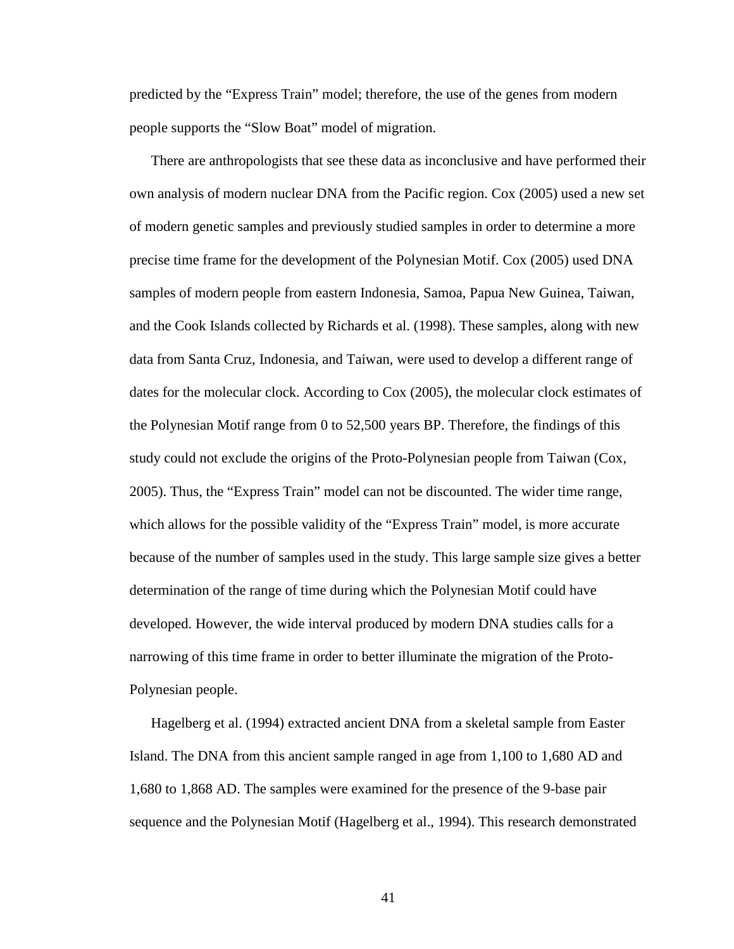predicted by the "Express Train" model; therefore, the use of the genes from modern people supports the "Slow Boat" model of migration.

There are anthropologists that see these data as inconclusive and have performed their own analysis of modern nuclear DNA from the Pacific region. Cox (2005) used a new set of modern genetic samples and previously studied samples in order to determine a more precise time frame for the development of the Polynesian Motif. Cox (2005) used DNA samples of modern people from eastern Indonesia, Samoa, Papua New Guinea, Taiwan, and the Cook Islands collected by Richards et al. (1998). These samples, along with new data from Santa Cruz, Indonesia, and Taiwan, were used to develop a different range of dates for the molecular clock. According to Cox (2005), the molecular clock estimates of the Polynesian Motif range from 0 to 52,500 years BP. Therefore, the findings of this study could not exclude the origins of the Proto-Polynesian people from Taiwan (Cox, 2005). Thus, the "Express Train" model can not be discounted. The wider time range, which allows for the possible validity of the "Express Train" model, is more accurate because of the number of samples used in the study. This large sample size gives a better determination of the range of time during which the Polynesian Motif could have developed. However, the wide interval produced by modern DNA studies calls for a narrowing of this time frame in order to better illuminate the migration of the Proto-Polynesian people.

Hagelberg et al. (1994) extracted ancient DNA from a skeletal sample from Easter Island. The DNA from this ancient sample ranged in age from 1,100 to 1,680 AD and 1,680 to 1,868 AD. The samples were examined for the presence of the 9-base pair sequence and the Polynesian Motif (Hagelberg et al., 1994). This research demonstrated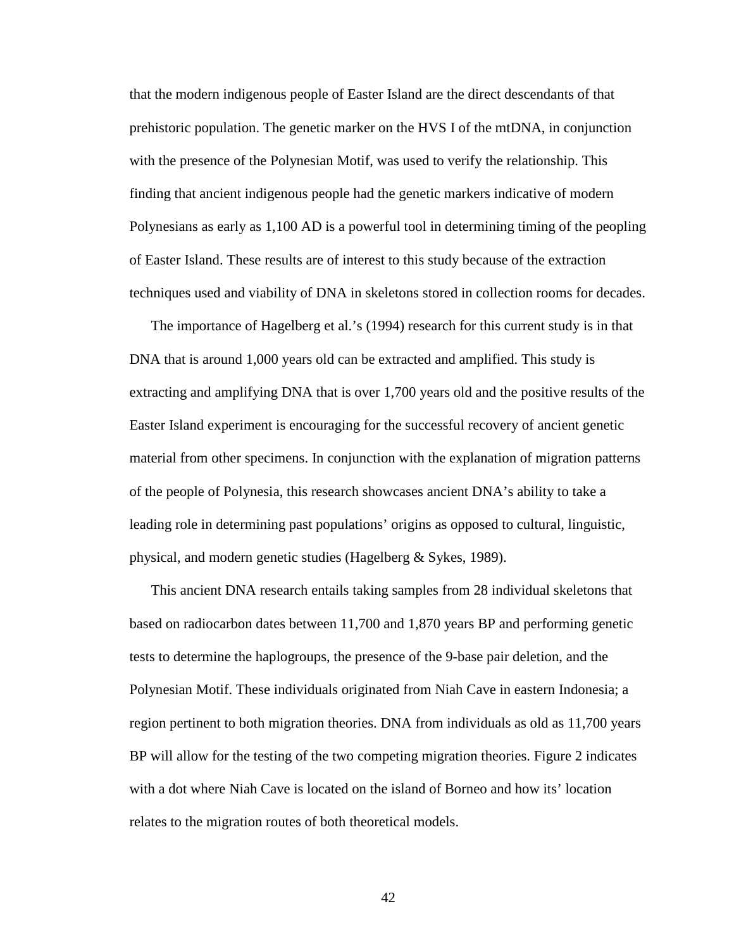that the modern indigenous people of Easter Island are the direct descendants of that prehistoric population. The genetic marker on the HVS I of the mtDNA, in conjunction with the presence of the Polynesian Motif, was used to verify the relationship. This finding that ancient indigenous people had the genetic markers indicative of modern Polynesians as early as 1,100 AD is a powerful tool in determining timing of the peopling of Easter Island. These results are of interest to this study because of the extraction techniques used and viability of DNA in skeletons stored in collection rooms for decades.

The importance of Hagelberg et al.'s (1994) research for this current study is in that DNA that is around 1,000 years old can be extracted and amplified. This study is extracting and amplifying DNA that is over 1,700 years old and the positive results of the Easter Island experiment is encouraging for the successful recovery of ancient genetic material from other specimens. In conjunction with the explanation of migration patterns of the people of Polynesia, this research showcases ancient DNA's ability to take a leading role in determining past populations' origins as opposed to cultural, linguistic, physical, and modern genetic studies (Hagelberg & Sykes, 1989).

This ancient DNA research entails taking samples from 28 individual skeletons that based on radiocarbon dates between 11,700 and 1,870 years BP and performing genetic tests to determine the haplogroups, the presence of the 9-base pair deletion, and the Polynesian Motif. These individuals originated from Niah Cave in eastern Indonesia; a region pertinent to both migration theories. DNA from individuals as old as 11,700 years BP will allow for the testing of the two competing migration theories. Figure 2 indicates with a dot where Niah Cave is located on the island of Borneo and how its' location relates to the migration routes of both theoretical models.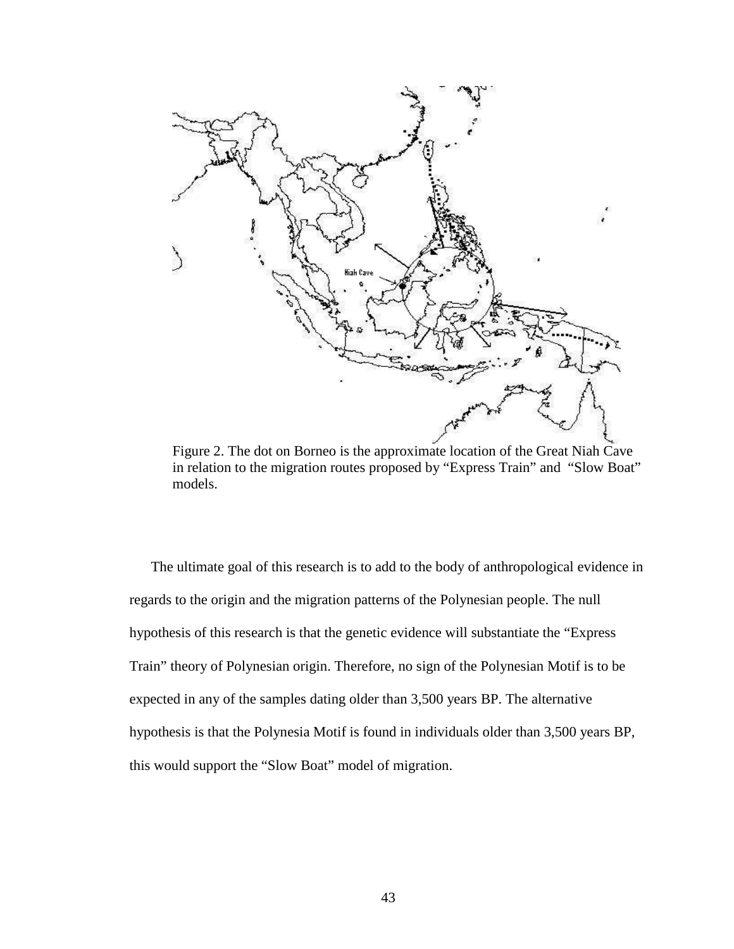

Figure 2. The dot on Borneo is the approximate location of the Great Niah Cave in relation to the migration routes proposed by "Express Train" and "Slow Boat" models.

The ultimate goal of this research is to add to the body of anthropological evidence in regards to the origin and the migration patterns of the Polynesian people. The null hypothesis of this research is that the genetic evidence will substantiate the "Express Train" theory of Polynesian origin. Therefore, no sign of the Polynesian Motif is to be expected in any of the samples dating older than 3,500 years BP. The alternative hypothesis is that the Polynesia Motif is found in individuals older than 3,500 years BP, this would support the "Slow Boat" model of migration.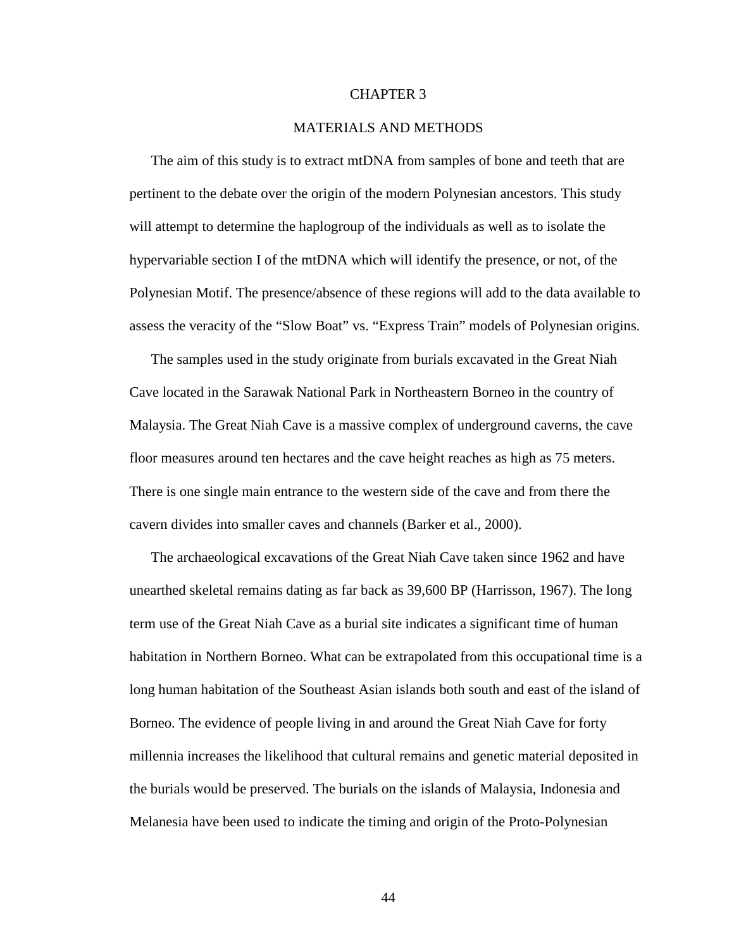# CHAPTER 3

#### MATERIALS AND METHODS

 The aim of this study is to extract mtDNA from samples of bone and teeth that are pertinent to the debate over the origin of the modern Polynesian ancestors. This study will attempt to determine the haplogroup of the individuals as well as to isolate the hypervariable section I of the mtDNA which will identify the presence, or not, of the Polynesian Motif. The presence/absence of these regions will add to the data available to assess the veracity of the "Slow Boat" vs. "Express Train" models of Polynesian origins.

The samples used in the study originate from burials excavated in the Great Niah Cave located in the Sarawak National Park in Northeastern Borneo in the country of Malaysia. The Great Niah Cave is a massive complex of underground caverns, the cave floor measures around ten hectares and the cave height reaches as high as 75 meters. There is one single main entrance to the western side of the cave and from there the cavern divides into smaller caves and channels (Barker et al., 2000).

The archaeological excavations of the Great Niah Cave taken since 1962 and have unearthed skeletal remains dating as far back as 39,600 BP (Harrisson, 1967). The long term use of the Great Niah Cave as a burial site indicates a significant time of human habitation in Northern Borneo. What can be extrapolated from this occupational time is a long human habitation of the Southeast Asian islands both south and east of the island of Borneo. The evidence of people living in and around the Great Niah Cave for forty millennia increases the likelihood that cultural remains and genetic material deposited in the burials would be preserved. The burials on the islands of Malaysia, Indonesia and Melanesia have been used to indicate the timing and origin of the Proto-Polynesian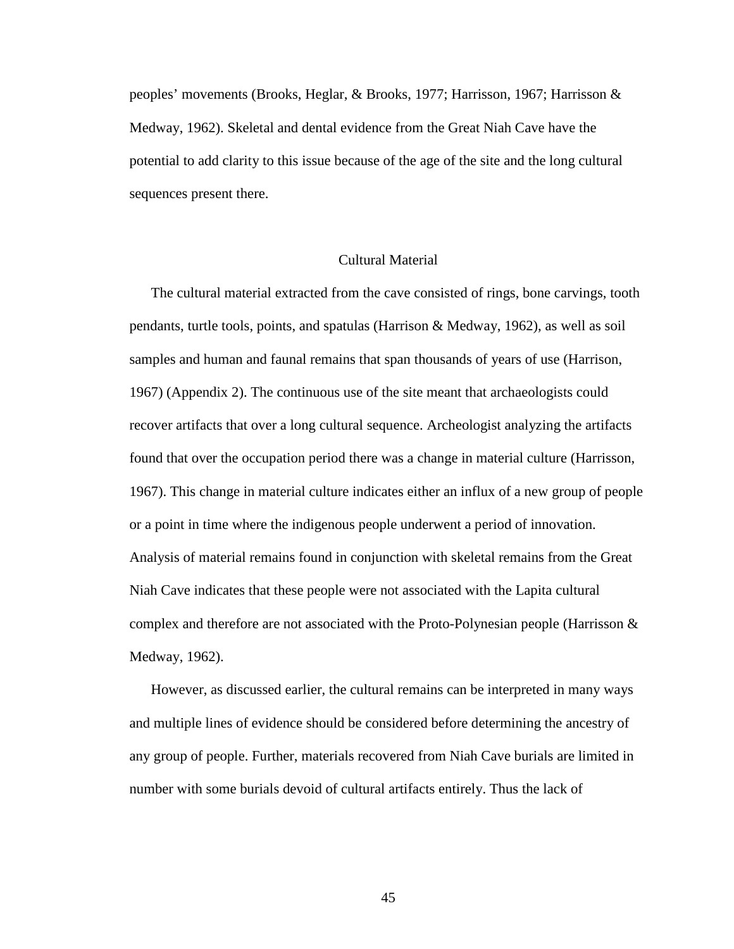peoples' movements (Brooks, Heglar, & Brooks, 1977; Harrisson, 1967; Harrisson & Medway, 1962). Skeletal and dental evidence from the Great Niah Cave have the potential to add clarity to this issue because of the age of the site and the long cultural sequences present there.

# Cultural Material

The cultural material extracted from the cave consisted of rings, bone carvings, tooth pendants, turtle tools, points, and spatulas (Harrison & Medway, 1962), as well as soil samples and human and faunal remains that span thousands of years of use (Harrison, 1967) (Appendix 2). The continuous use of the site meant that archaeologists could recover artifacts that over a long cultural sequence. Archeologist analyzing the artifacts found that over the occupation period there was a change in material culture (Harrisson, 1967). This change in material culture indicates either an influx of a new group of people or a point in time where the indigenous people underwent a period of innovation. Analysis of material remains found in conjunction with skeletal remains from the Great Niah Cave indicates that these people were not associated with the Lapita cultural complex and therefore are not associated with the Proto-Polynesian people (Harrisson  $\&$ Medway, 1962).

However, as discussed earlier, the cultural remains can be interpreted in many ways and multiple lines of evidence should be considered before determining the ancestry of any group of people. Further, materials recovered from Niah Cave burials are limited in number with some burials devoid of cultural artifacts entirely. Thus the lack of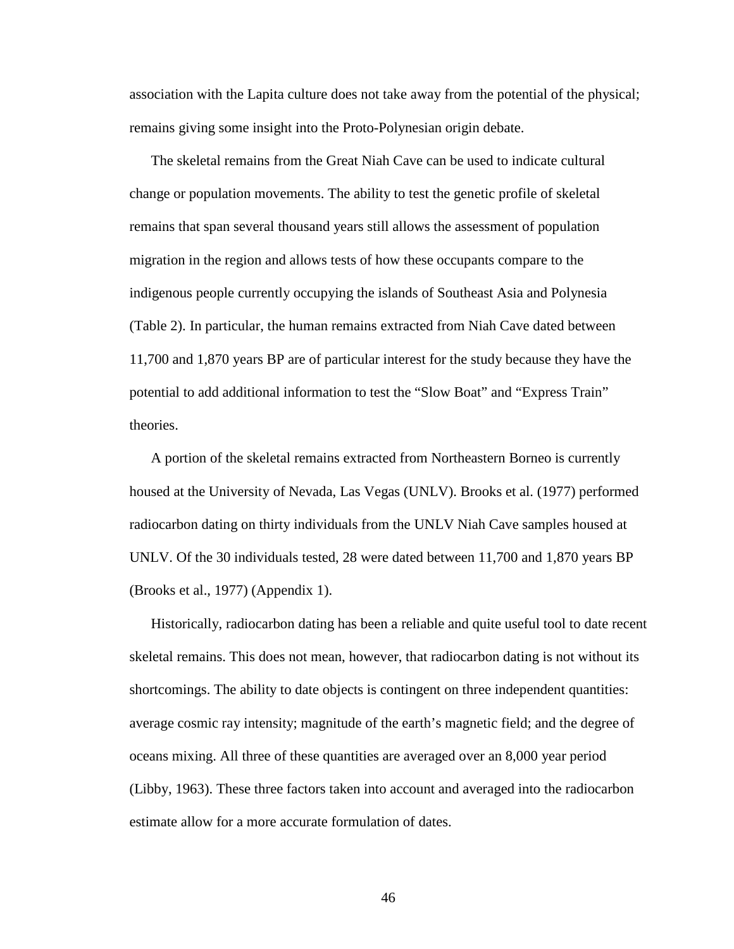association with the Lapita culture does not take away from the potential of the physical; remains giving some insight into the Proto-Polynesian origin debate.

The skeletal remains from the Great Niah Cave can be used to indicate cultural change or population movements. The ability to test the genetic profile of skeletal remains that span several thousand years still allows the assessment of population migration in the region and allows tests of how these occupants compare to the indigenous people currently occupying the islands of Southeast Asia and Polynesia (Table 2). In particular, the human remains extracted from Niah Cave dated between 11,700 and 1,870 years BP are of particular interest for the study because they have the potential to add additional information to test the "Slow Boat" and "Express Train" theories.

A portion of the skeletal remains extracted from Northeastern Borneo is currently housed at the University of Nevada, Las Vegas (UNLV). Brooks et al. (1977) performed radiocarbon dating on thirty individuals from the UNLV Niah Cave samples housed at UNLV. Of the 30 individuals tested, 28 were dated between 11,700 and 1,870 years BP (Brooks et al., 1977) (Appendix 1).

Historically, radiocarbon dating has been a reliable and quite useful tool to date recent skeletal remains. This does not mean, however, that radiocarbon dating is not without its shortcomings. The ability to date objects is contingent on three independent quantities: average cosmic ray intensity; magnitude of the earth's magnetic field; and the degree of oceans mixing. All three of these quantities are averaged over an 8,000 year period (Libby, 1963). These three factors taken into account and averaged into the radiocarbon estimate allow for a more accurate formulation of dates.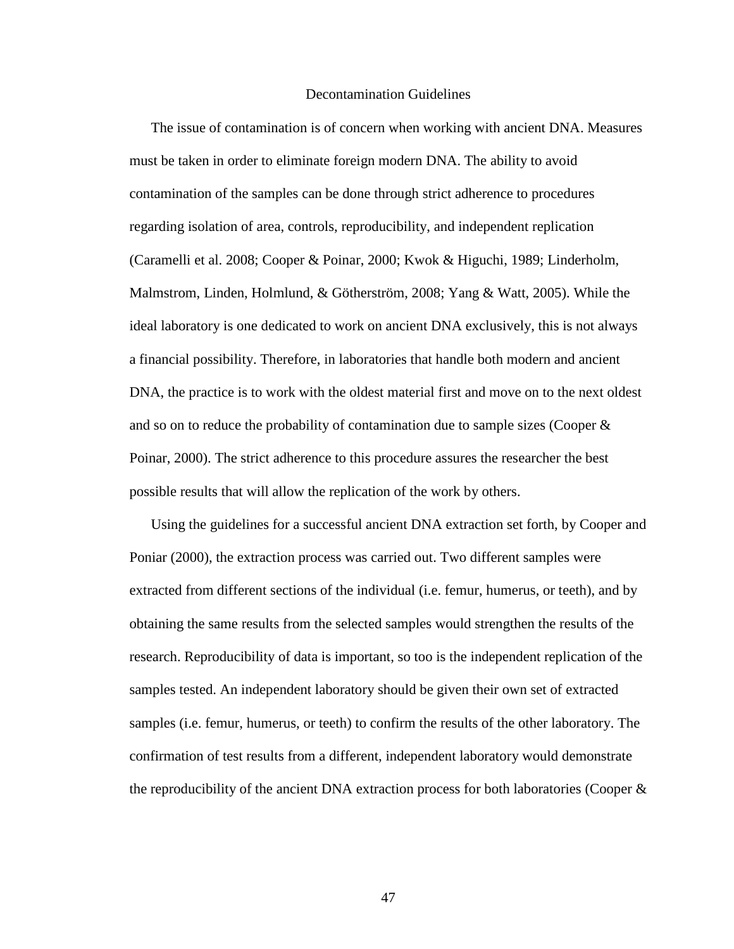#### Decontamination Guidelines

The issue of contamination is of concern when working with ancient DNA. Measures must be taken in order to eliminate foreign modern DNA. The ability to avoid contamination of the samples can be done through strict adherence to procedures regarding isolation of area, controls, reproducibility, and independent replication (Caramelli et al. 2008; Cooper & Poinar, 2000; Kwok & Higuchi, 1989; Linderholm, Malmstrom, Linden, Holmlund, & Götherström, 2008; Yang & Watt, 2005). While the ideal laboratory is one dedicated to work on ancient DNA exclusively, this is not always a financial possibility. Therefore, in laboratories that handle both modern and ancient DNA, the practice is to work with the oldest material first and move on to the next oldest and so on to reduce the probability of contamination due to sample sizes (Cooper  $\&$ Poinar, 2000). The strict adherence to this procedure assures the researcher the best possible results that will allow the replication of the work by others.

Using the guidelines for a successful ancient DNA extraction set forth, by Cooper and Poniar (2000), the extraction process was carried out. Two different samples were extracted from different sections of the individual (i.e. femur, humerus, or teeth), and by obtaining the same results from the selected samples would strengthen the results of the research. Reproducibility of data is important, so too is the independent replication of the samples tested. An independent laboratory should be given their own set of extracted samples (i.e. femur, humerus, or teeth) to confirm the results of the other laboratory. The confirmation of test results from a different, independent laboratory would demonstrate the reproducibility of the ancient DNA extraction process for both laboratories (Cooper &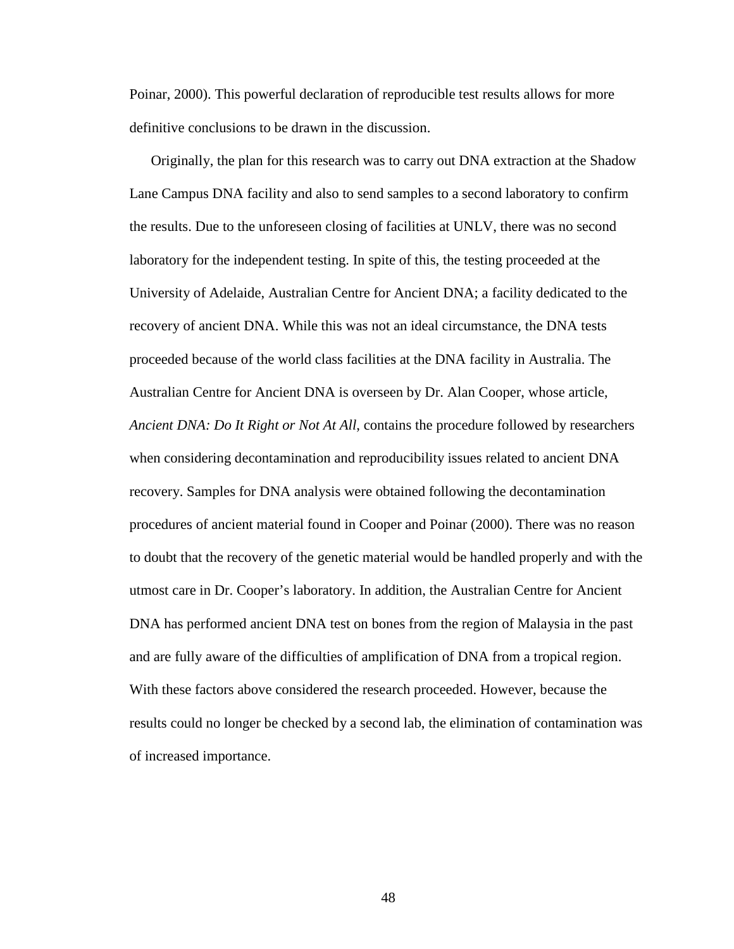Poinar, 2000). This powerful declaration of reproducible test results allows for more definitive conclusions to be drawn in the discussion.

Originally, the plan for this research was to carry out DNA extraction at the Shadow Lane Campus DNA facility and also to send samples to a second laboratory to confirm the results. Due to the unforeseen closing of facilities at UNLV, there was no second laboratory for the independent testing. In spite of this, the testing proceeded at the University of Adelaide, Australian Centre for Ancient DNA; a facility dedicated to the recovery of ancient DNA. While this was not an ideal circumstance, the DNA tests proceeded because of the world class facilities at the DNA facility in Australia. The Australian Centre for Ancient DNA is overseen by Dr. Alan Cooper, whose article, *Ancient DNA: Do It Right or Not At All*, contains the procedure followed by researchers when considering decontamination and reproducibility issues related to ancient DNA recovery. Samples for DNA analysis were obtained following the decontamination procedures of ancient material found in Cooper and Poinar (2000). There was no reason to doubt that the recovery of the genetic material would be handled properly and with the utmost care in Dr. Cooper's laboratory. In addition, the Australian Centre for Ancient DNA has performed ancient DNA test on bones from the region of Malaysia in the past and are fully aware of the difficulties of amplification of DNA from a tropical region. With these factors above considered the research proceeded. However, because the results could no longer be checked by a second lab, the elimination of contamination was of increased importance.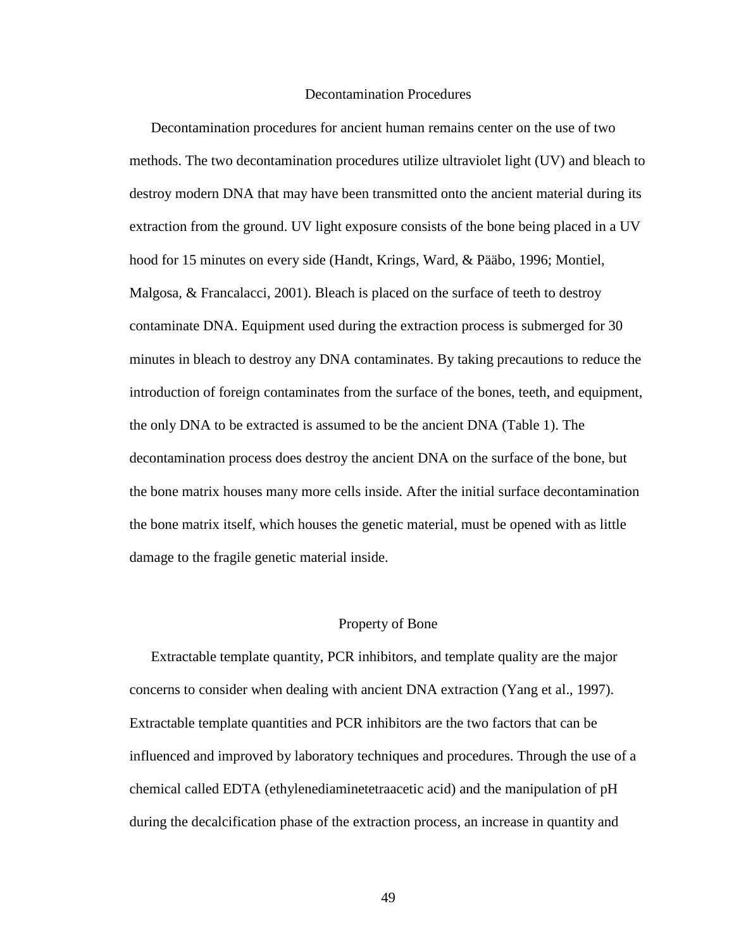#### Decontamination Procedures

Decontamination procedures for ancient human remains center on the use of two methods. The two decontamination procedures utilize ultraviolet light (UV) and bleach to destroy modern DNA that may have been transmitted onto the ancient material during its extraction from the ground. UV light exposure consists of the bone being placed in a UV hood for 15 minutes on every side (Handt, Krings, Ward, & Pääbo, 1996; Montiel, Malgosa, & Francalacci, 2001). Bleach is placed on the surface of teeth to destroy contaminate DNA. Equipment used during the extraction process is submerged for 30 minutes in bleach to destroy any DNA contaminates. By taking precautions to reduce the introduction of foreign contaminates from the surface of the bones, teeth, and equipment, the only DNA to be extracted is assumed to be the ancient DNA (Table 1). The decontamination process does destroy the ancient DNA on the surface of the bone, but the bone matrix houses many more cells inside. After the initial surface decontamination the bone matrix itself, which houses the genetic material, must be opened with as little damage to the fragile genetic material inside.

#### Property of Bone

Extractable template quantity, PCR inhibitors, and template quality are the major concerns to consider when dealing with ancient DNA extraction (Yang et al., 1997). Extractable template quantities and PCR inhibitors are the two factors that can be influenced and improved by laboratory techniques and procedures. Through the use of a chemical called EDTA (ethylenediaminetetraacetic acid) and the manipulation of pH during the decalcification phase of the extraction process, an increase in quantity and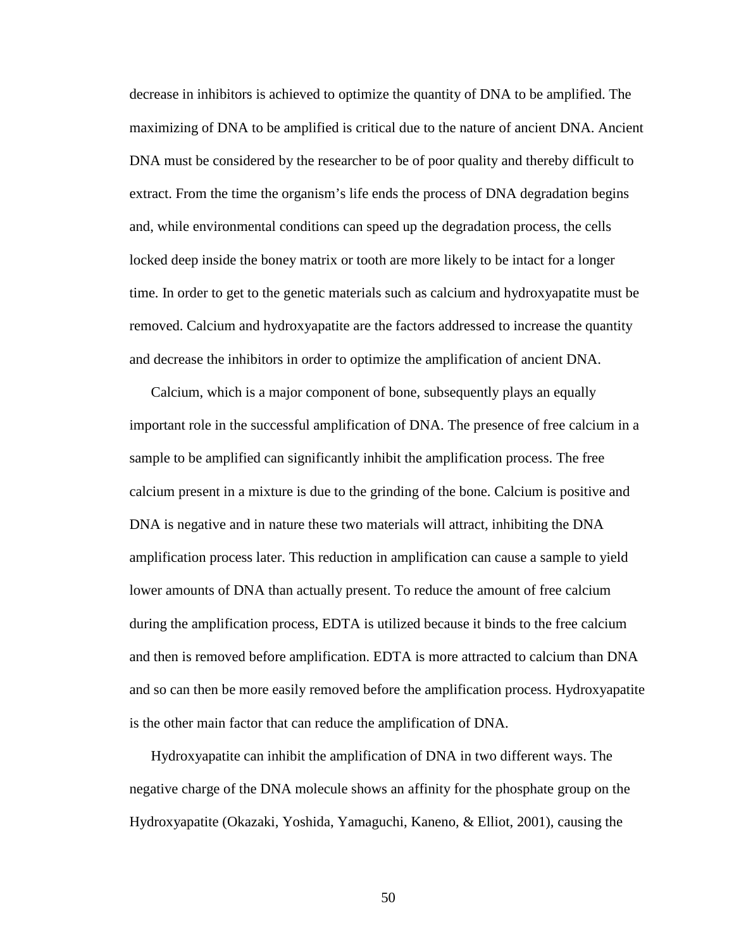decrease in inhibitors is achieved to optimize the quantity of DNA to be amplified. The maximizing of DNA to be amplified is critical due to the nature of ancient DNA. Ancient DNA must be considered by the researcher to be of poor quality and thereby difficult to extract. From the time the organism's life ends the process of DNA degradation begins and, while environmental conditions can speed up the degradation process, the cells locked deep inside the boney matrix or tooth are more likely to be intact for a longer time. In order to get to the genetic materials such as calcium and hydroxyapatite must be removed. Calcium and hydroxyapatite are the factors addressed to increase the quantity and decrease the inhibitors in order to optimize the amplification of ancient DNA.

Calcium, which is a major component of bone, subsequently plays an equally important role in the successful amplification of DNA. The presence of free calcium in a sample to be amplified can significantly inhibit the amplification process. The free calcium present in a mixture is due to the grinding of the bone. Calcium is positive and DNA is negative and in nature these two materials will attract, inhibiting the DNA amplification process later. This reduction in amplification can cause a sample to yield lower amounts of DNA than actually present. To reduce the amount of free calcium during the amplification process, EDTA is utilized because it binds to the free calcium and then is removed before amplification. EDTA is more attracted to calcium than DNA and so can then be more easily removed before the amplification process. Hydroxyapatite is the other main factor that can reduce the amplification of DNA.

Hydroxyapatite can inhibit the amplification of DNA in two different ways. The negative charge of the DNA molecule shows an affinity for the phosphate group on the Hydroxyapatite (Okazaki, Yoshida, Yamaguchi, Kaneno, & Elliot, 2001), causing the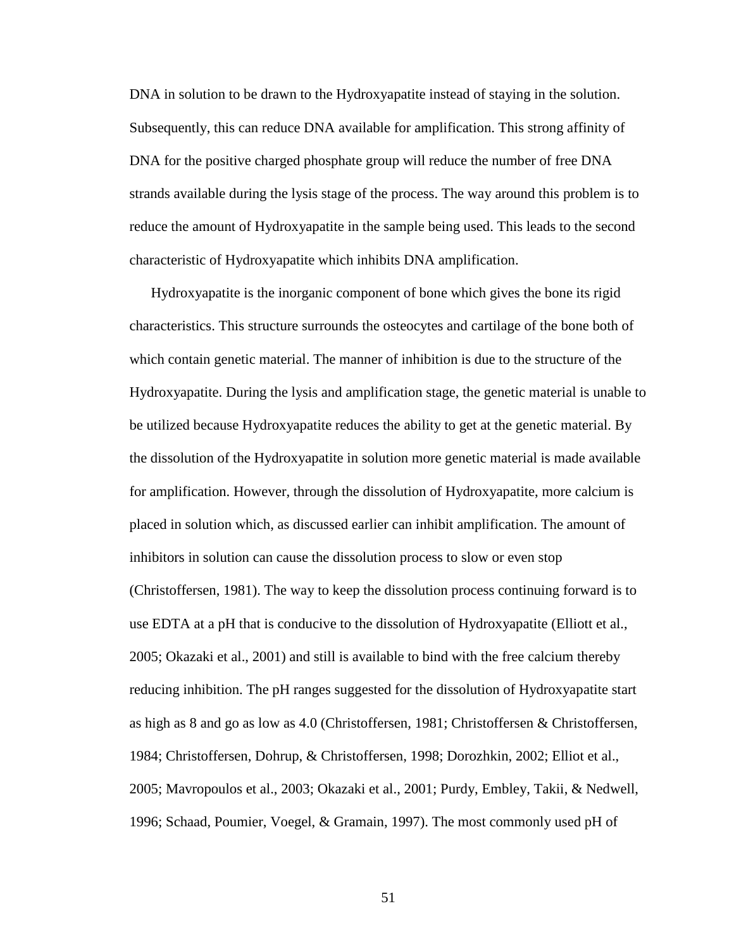DNA in solution to be drawn to the Hydroxyapatite instead of staying in the solution. Subsequently, this can reduce DNA available for amplification. This strong affinity of DNA for the positive charged phosphate group will reduce the number of free DNA strands available during the lysis stage of the process. The way around this problem is to reduce the amount of Hydroxyapatite in the sample being used. This leads to the second characteristic of Hydroxyapatite which inhibits DNA amplification.

Hydroxyapatite is the inorganic component of bone which gives the bone its rigid characteristics. This structure surrounds the osteocytes and cartilage of the bone both of which contain genetic material. The manner of inhibition is due to the structure of the Hydroxyapatite. During the lysis and amplification stage, the genetic material is unable to be utilized because Hydroxyapatite reduces the ability to get at the genetic material. By the dissolution of the Hydroxyapatite in solution more genetic material is made available for amplification. However, through the dissolution of Hydroxyapatite, more calcium is placed in solution which, as discussed earlier can inhibit amplification. The amount of inhibitors in solution can cause the dissolution process to slow or even stop (Christoffersen, 1981). The way to keep the dissolution process continuing forward is to use EDTA at a pH that is conducive to the dissolution of Hydroxyapatite (Elliott et al., 2005; Okazaki et al., 2001) and still is available to bind with the free calcium thereby reducing inhibition. The pH ranges suggested for the dissolution of Hydroxyapatite start as high as 8 and go as low as 4.0 (Christoffersen, 1981; Christoffersen & Christoffersen, 1984; Christoffersen, Dohrup, & Christoffersen, 1998; Dorozhkin, 2002; Elliot et al., 2005; Mavropoulos et al., 2003; Okazaki et al., 2001; Purdy, Embley, Takii, & Nedwell, 1996; Schaad, Poumier, Voegel, & Gramain, 1997). The most commonly used pH of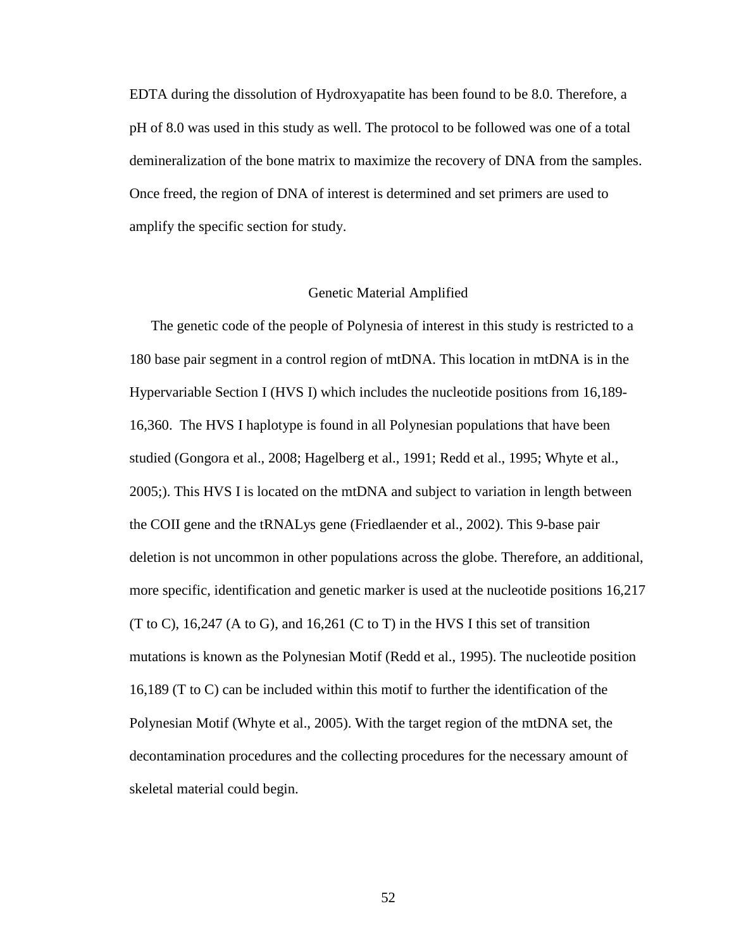EDTA during the dissolution of Hydroxyapatite has been found to be 8.0. Therefore, a pH of 8.0 was used in this study as well. The protocol to be followed was one of a total demineralization of the bone matrix to maximize the recovery of DNA from the samples. Once freed, the region of DNA of interest is determined and set primers are used to amplify the specific section for study.

# Genetic Material Amplified

The genetic code of the people of Polynesia of interest in this study is restricted to a 180 base pair segment in a control region of mtDNA. This location in mtDNA is in the Hypervariable Section I (HVS I) which includes the nucleotide positions from 16,189- 16,360. The HVS I haplotype is found in all Polynesian populations that have been studied (Gongora et al., 2008; Hagelberg et al., 1991; Redd et al., 1995; Whyte et al., 2005;). This HVS I is located on the mtDNA and subject to variation in length between the COII gene and the tRNALys gene (Friedlaender et al., 2002). This 9-base pair deletion is not uncommon in other populations across the globe. Therefore, an additional, more specific, identification and genetic marker is used at the nucleotide positions 16,217 (T to C), 16,247 (A to G), and 16,261 (C to T) in the HVS I this set of transition mutations is known as the Polynesian Motif (Redd et al., 1995). The nucleotide position 16,189 (T to C) can be included within this motif to further the identification of the Polynesian Motif (Whyte et al., 2005). With the target region of the mtDNA set, the decontamination procedures and the collecting procedures for the necessary amount of skeletal material could begin.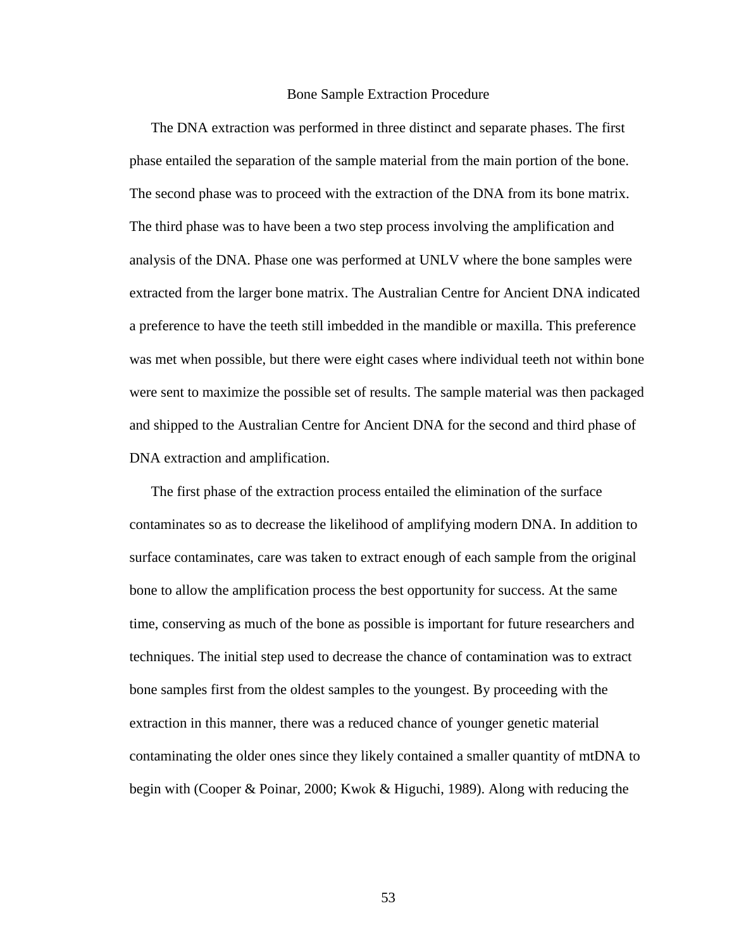#### Bone Sample Extraction Procedure

The DNA extraction was performed in three distinct and separate phases. The first phase entailed the separation of the sample material from the main portion of the bone. The second phase was to proceed with the extraction of the DNA from its bone matrix. The third phase was to have been a two step process involving the amplification and analysis of the DNA. Phase one was performed at UNLV where the bone samples were extracted from the larger bone matrix. The Australian Centre for Ancient DNA indicated a preference to have the teeth still imbedded in the mandible or maxilla. This preference was met when possible, but there were eight cases where individual teeth not within bone were sent to maximize the possible set of results. The sample material was then packaged and shipped to the Australian Centre for Ancient DNA for the second and third phase of DNA extraction and amplification.

The first phase of the extraction process entailed the elimination of the surface contaminates so as to decrease the likelihood of amplifying modern DNA. In addition to surface contaminates, care was taken to extract enough of each sample from the original bone to allow the amplification process the best opportunity for success. At the same time, conserving as much of the bone as possible is important for future researchers and techniques. The initial step used to decrease the chance of contamination was to extract bone samples first from the oldest samples to the youngest. By proceeding with the extraction in this manner, there was a reduced chance of younger genetic material contaminating the older ones since they likely contained a smaller quantity of mtDNA to begin with (Cooper & Poinar, 2000; Kwok & Higuchi, 1989). Along with reducing the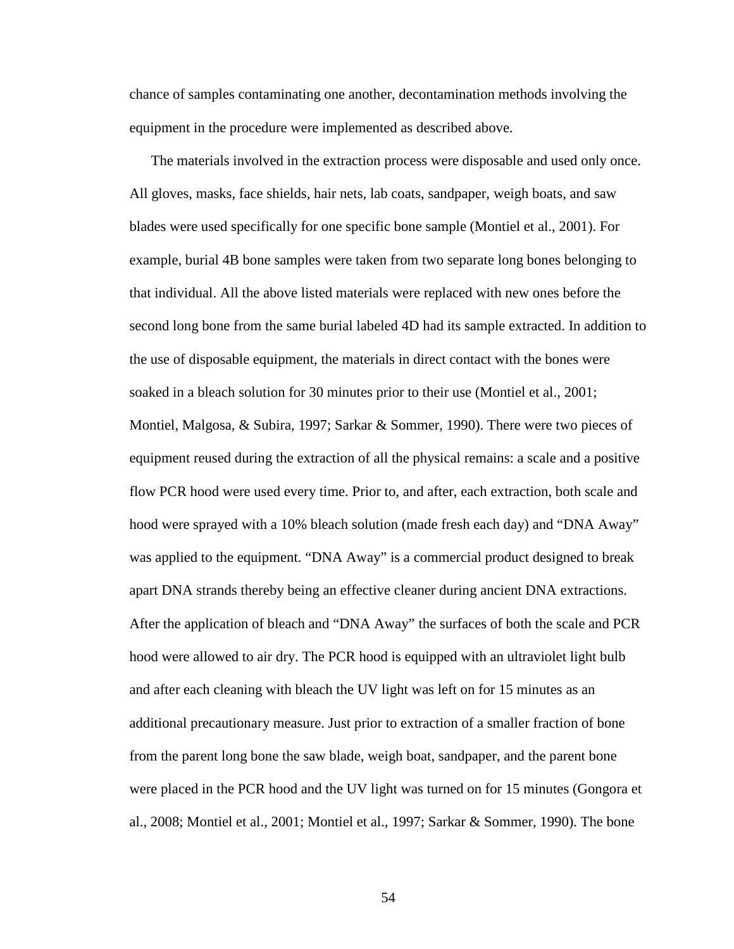chance of samples contaminating one another, decontamination methods involving the equipment in the procedure were implemented as described above.

The materials involved in the extraction process were disposable and used only once. All gloves, masks, face shields, hair nets, lab coats, sandpaper, weigh boats, and saw blades were used specifically for one specific bone sample (Montiel et al., 2001). For example, burial 4B bone samples were taken from two separate long bones belonging to that individual. All the above listed materials were replaced with new ones before the second long bone from the same burial labeled 4D had its sample extracted. In addition to the use of disposable equipment, the materials in direct contact with the bones were soaked in a bleach solution for 30 minutes prior to their use (Montiel et al., 2001; Montiel, Malgosa, & Subira, 1997; Sarkar & Sommer, 1990). There were two pieces of equipment reused during the extraction of all the physical remains: a scale and a positive flow PCR hood were used every time. Prior to, and after, each extraction, both scale and hood were sprayed with a 10% bleach solution (made fresh each day) and "DNA Away" was applied to the equipment. "DNA Away" is a commercial product designed to break apart DNA strands thereby being an effective cleaner during ancient DNA extractions. After the application of bleach and "DNA Away" the surfaces of both the scale and PCR hood were allowed to air dry. The PCR hood is equipped with an ultraviolet light bulb and after each cleaning with bleach the UV light was left on for 15 minutes as an additional precautionary measure. Just prior to extraction of a smaller fraction of bone from the parent long bone the saw blade, weigh boat, sandpaper, and the parent bone were placed in the PCR hood and the UV light was turned on for 15 minutes (Gongora et al., 2008; Montiel et al., 2001; Montiel et al., 1997; Sarkar & Sommer, 1990). The bone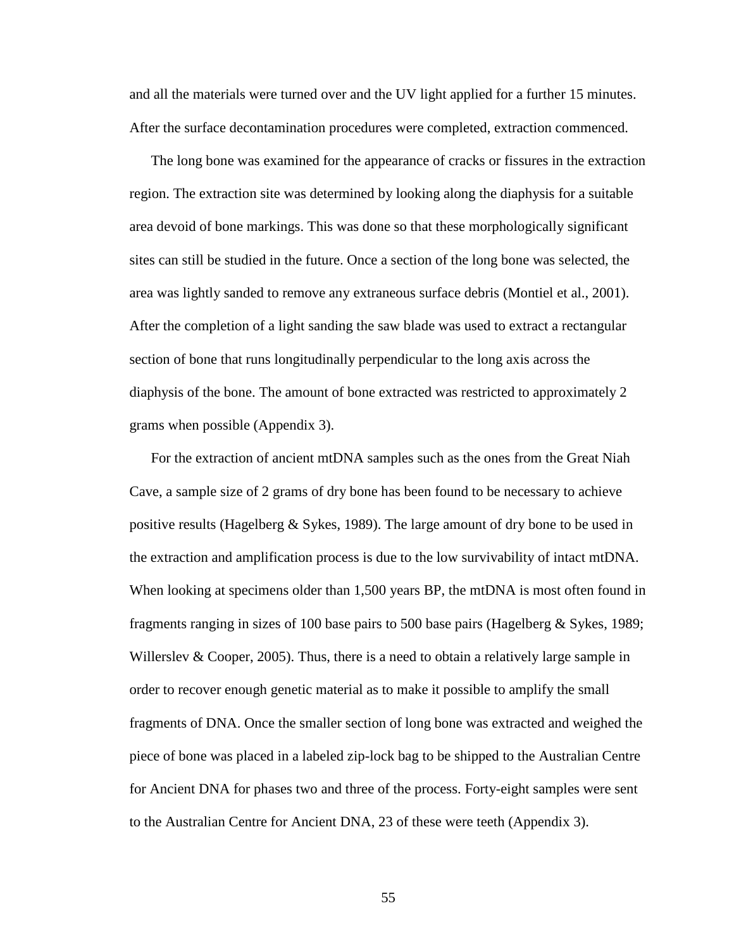and all the materials were turned over and the UV light applied for a further 15 minutes. After the surface decontamination procedures were completed, extraction commenced.

The long bone was examined for the appearance of cracks or fissures in the extraction region. The extraction site was determined by looking along the diaphysis for a suitable area devoid of bone markings. This was done so that these morphologically significant sites can still be studied in the future. Once a section of the long bone was selected, the area was lightly sanded to remove any extraneous surface debris (Montiel et al., 2001). After the completion of a light sanding the saw blade was used to extract a rectangular section of bone that runs longitudinally perpendicular to the long axis across the diaphysis of the bone. The amount of bone extracted was restricted to approximately 2 grams when possible (Appendix 3).

For the extraction of ancient mtDNA samples such as the ones from the Great Niah Cave, a sample size of 2 grams of dry bone has been found to be necessary to achieve positive results (Hagelberg & Sykes, 1989). The large amount of dry bone to be used in the extraction and amplification process is due to the low survivability of intact mtDNA. When looking at specimens older than 1,500 years BP, the mtDNA is most often found in fragments ranging in sizes of 100 base pairs to 500 base pairs (Hagelberg & Sykes, 1989; Willerslev & Cooper, 2005). Thus, there is a need to obtain a relatively large sample in order to recover enough genetic material as to make it possible to amplify the small fragments of DNA. Once the smaller section of long bone was extracted and weighed the piece of bone was placed in a labeled zip-lock bag to be shipped to the Australian Centre for Ancient DNA for phases two and three of the process. Forty-eight samples were sent to the Australian Centre for Ancient DNA, 23 of these were teeth (Appendix 3).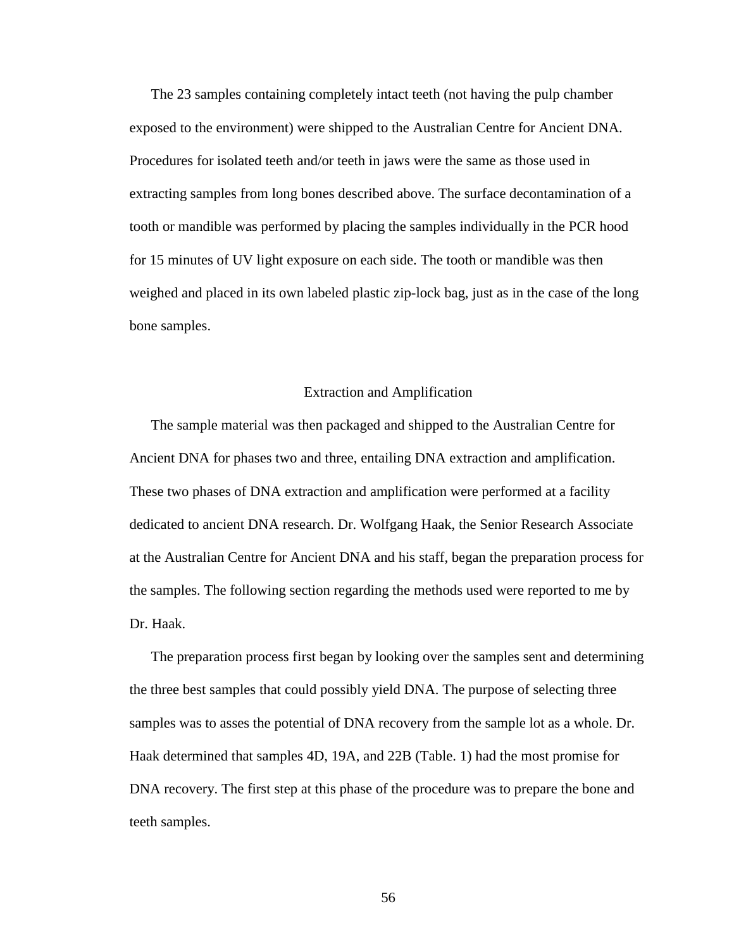The 23 samples containing completely intact teeth (not having the pulp chamber exposed to the environment) were shipped to the Australian Centre for Ancient DNA. Procedures for isolated teeth and/or teeth in jaws were the same as those used in extracting samples from long bones described above. The surface decontamination of a tooth or mandible was performed by placing the samples individually in the PCR hood for 15 minutes of UV light exposure on each side. The tooth or mandible was then weighed and placed in its own labeled plastic zip-lock bag, just as in the case of the long bone samples.

# Extraction and Amplification

The sample material was then packaged and shipped to the Australian Centre for Ancient DNA for phases two and three, entailing DNA extraction and amplification. These two phases of DNA extraction and amplification were performed at a facility dedicated to ancient DNA research. Dr. Wolfgang Haak, the Senior Research Associate at the Australian Centre for Ancient DNA and his staff, began the preparation process for the samples. The following section regarding the methods used were reported to me by Dr. Haak.

The preparation process first began by looking over the samples sent and determining the three best samples that could possibly yield DNA. The purpose of selecting three samples was to asses the potential of DNA recovery from the sample lot as a whole. Dr. Haak determined that samples 4D, 19A, and 22B (Table. 1) had the most promise for DNA recovery. The first step at this phase of the procedure was to prepare the bone and teeth samples.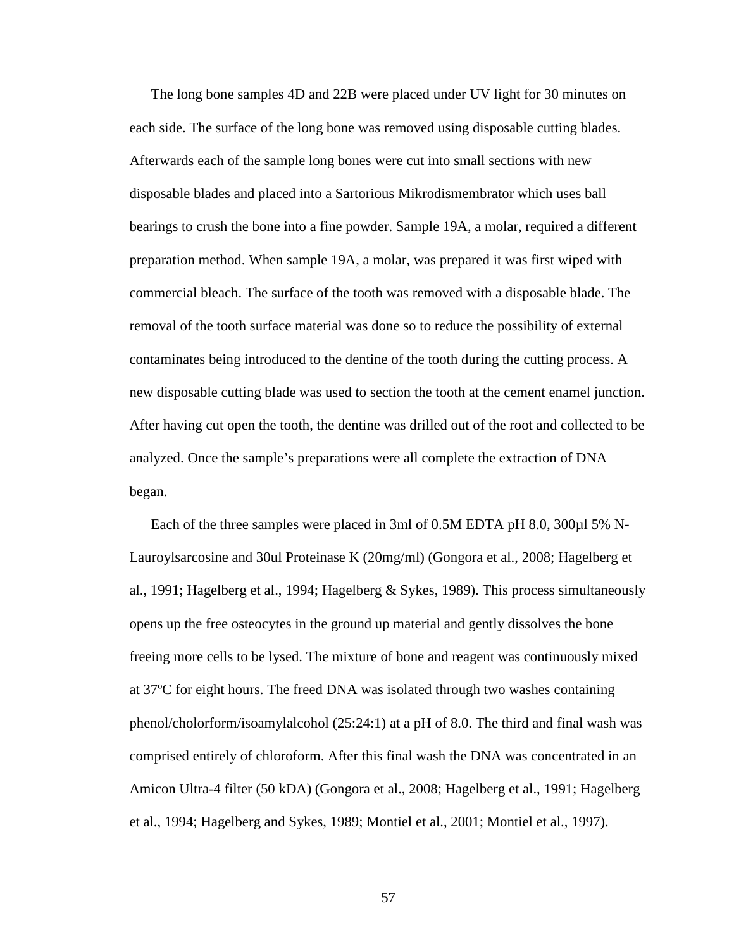The long bone samples 4D and 22B were placed under UV light for 30 minutes on each side. The surface of the long bone was removed using disposable cutting blades. Afterwards each of the sample long bones were cut into small sections with new disposable blades and placed into a Sartorious Mikrodismembrator which uses ball bearings to crush the bone into a fine powder. Sample 19A, a molar, required a different preparation method. When sample 19A, a molar, was prepared it was first wiped with commercial bleach. The surface of the tooth was removed with a disposable blade. The removal of the tooth surface material was done so to reduce the possibility of external contaminates being introduced to the dentine of the tooth during the cutting process. A new disposable cutting blade was used to section the tooth at the cement enamel junction. After having cut open the tooth, the dentine was drilled out of the root and collected to be analyzed. Once the sample's preparations were all complete the extraction of DNA began.

Each of the three samples were placed in 3ml of 0.5M EDTA pH 8.0, 300 $\mu$ l 5% N-Lauroylsarcosine and 30ul Proteinase K (20mg/ml) (Gongora et al., 2008; Hagelberg et al., 1991; Hagelberg et al., 1994; Hagelberg & Sykes, 1989). This process simultaneously opens up the free osteocytes in the ground up material and gently dissolves the bone freeing more cells to be lysed. The mixture of bone and reagent was continuously mixed at 37ºC for eight hours. The freed DNA was isolated through two washes containing phenol/cholorform/isoamylalcohol (25:24:1) at a pH of 8.0. The third and final wash was comprised entirely of chloroform. After this final wash the DNA was concentrated in an Amicon Ultra-4 filter (50 kDA) (Gongora et al., 2008; Hagelberg et al., 1991; Hagelberg et al., 1994; Hagelberg and Sykes, 1989; Montiel et al., 2001; Montiel et al., 1997).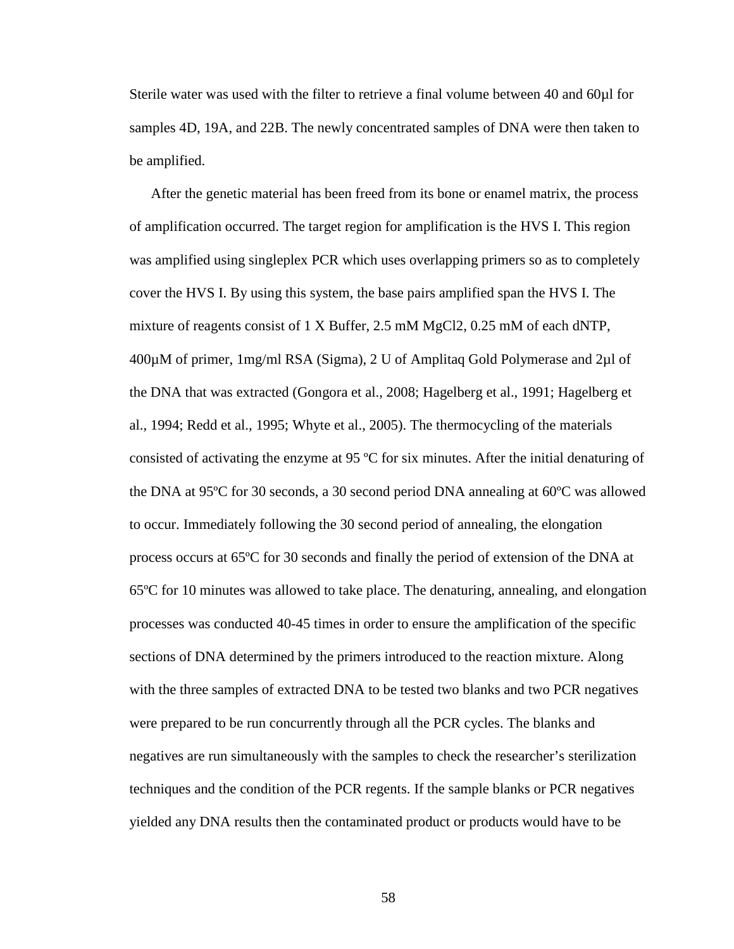Sterile water was used with the filter to retrieve a final volume between 40 and 60µl for samples 4D, 19A, and 22B. The newly concentrated samples of DNA were then taken to be amplified.

After the genetic material has been freed from its bone or enamel matrix, the process of amplification occurred. The target region for amplification is the HVS I. This region was amplified using singleplex PCR which uses overlapping primers so as to completely cover the HVS I. By using this system, the base pairs amplified span the HVS I. The mixture of reagents consist of 1 X Buffer, 2.5 mM MgCl2, 0.25 mM of each dNTP, 400µM of primer, 1mg/ml RSA (Sigma), 2 U of Amplitaq Gold Polymerase and 2µl of the DNA that was extracted (Gongora et al., 2008; Hagelberg et al., 1991; Hagelberg et al., 1994; Redd et al., 1995; Whyte et al., 2005). The thermocycling of the materials consisted of activating the enzyme at 95 ºC for six minutes. After the initial denaturing of the DNA at 95ºC for 30 seconds, a 30 second period DNA annealing at 60ºC was allowed to occur. Immediately following the 30 second period of annealing, the elongation process occurs at 65ºC for 30 seconds and finally the period of extension of the DNA at 65ºC for 10 minutes was allowed to take place. The denaturing, annealing, and elongation processes was conducted 40-45 times in order to ensure the amplification of the specific sections of DNA determined by the primers introduced to the reaction mixture. Along with the three samples of extracted DNA to be tested two blanks and two PCR negatives were prepared to be run concurrently through all the PCR cycles. The blanks and negatives are run simultaneously with the samples to check the researcher's sterilization techniques and the condition of the PCR regents. If the sample blanks or PCR negatives yielded any DNA results then the contaminated product or products would have to be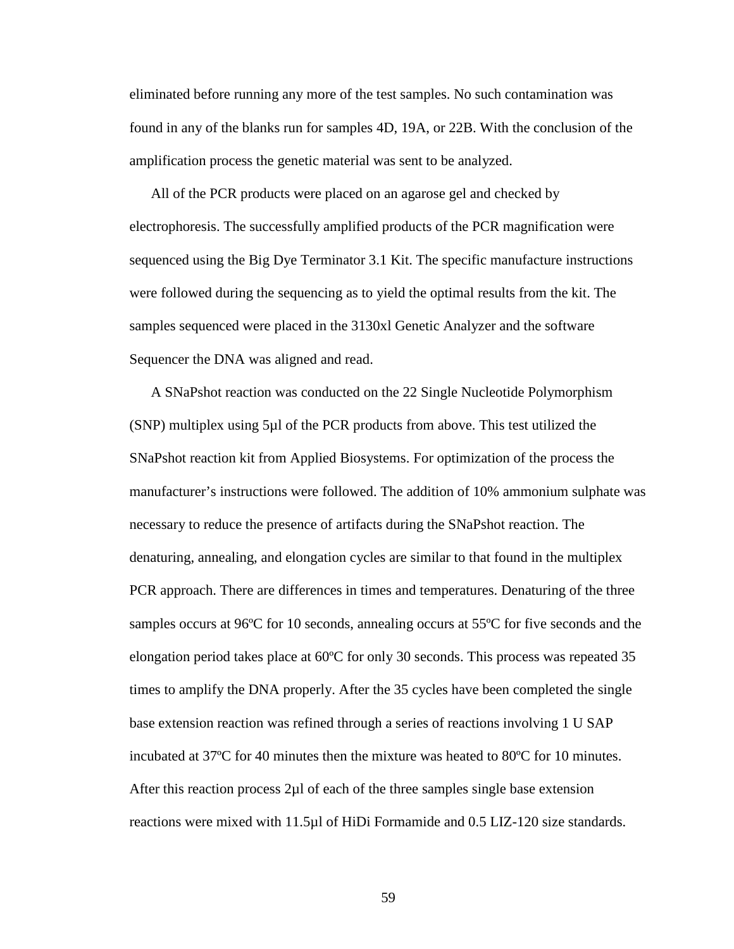eliminated before running any more of the test samples. No such contamination was found in any of the blanks run for samples 4D, 19A, or 22B. With the conclusion of the amplification process the genetic material was sent to be analyzed.

All of the PCR products were placed on an agarose gel and checked by electrophoresis. The successfully amplified products of the PCR magnification were sequenced using the Big Dye Terminator 3.1 Kit. The specific manufacture instructions were followed during the sequencing as to yield the optimal results from the kit. The samples sequenced were placed in the 3130xl Genetic Analyzer and the software Sequencer the DNA was aligned and read.

A SNaPshot reaction was conducted on the 22 Single Nucleotide Polymorphism (SNP) multiplex using 5µl of the PCR products from above. This test utilized the SNaPshot reaction kit from Applied Biosystems. For optimization of the process the manufacturer's instructions were followed. The addition of 10% ammonium sulphate was necessary to reduce the presence of artifacts during the SNaPshot reaction. The denaturing, annealing, and elongation cycles are similar to that found in the multiplex PCR approach. There are differences in times and temperatures. Denaturing of the three samples occurs at 96ºC for 10 seconds, annealing occurs at 55ºC for five seconds and the elongation period takes place at 60ºC for only 30 seconds. This process was repeated 35 times to amplify the DNA properly. After the 35 cycles have been completed the single base extension reaction was refined through a series of reactions involving 1 U SAP incubated at 37ºC for 40 minutes then the mixture was heated to 80ºC for 10 minutes. After this reaction process  $2\mu$  of each of the three samples single base extension reactions were mixed with 11.5µl of HiDi Formamide and 0.5 LIZ-120 size standards.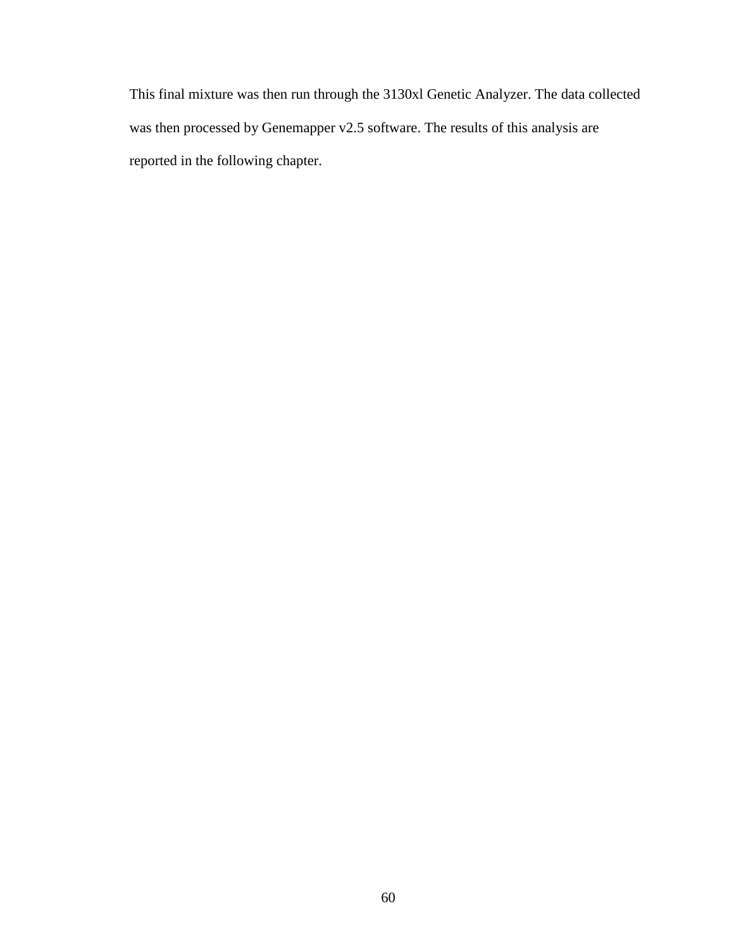This final mixture was then run through the 3130xl Genetic Analyzer. The data collected was then processed by Genemapper v2.5 software. The results of this analysis are reported in the following chapter.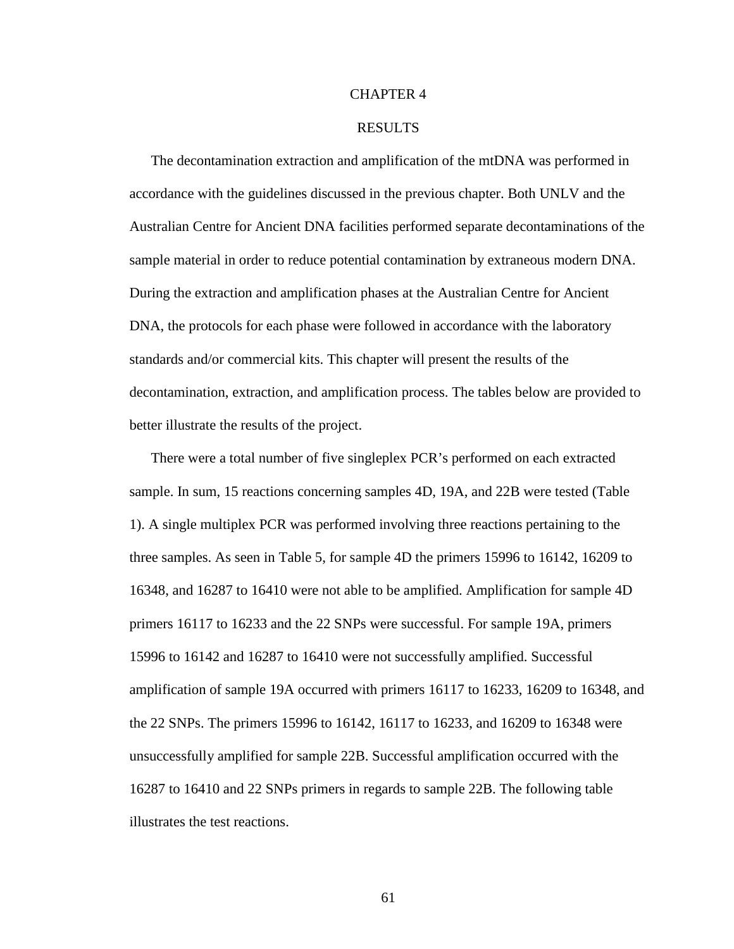# CHAPTER 4

#### RESULTS

 The decontamination extraction and amplification of the mtDNA was performed in accordance with the guidelines discussed in the previous chapter. Both UNLV and the Australian Centre for Ancient DNA facilities performed separate decontaminations of the sample material in order to reduce potential contamination by extraneous modern DNA. During the extraction and amplification phases at the Australian Centre for Ancient DNA, the protocols for each phase were followed in accordance with the laboratory standards and/or commercial kits. This chapter will present the results of the decontamination, extraction, and amplification process. The tables below are provided to better illustrate the results of the project.

There were a total number of five singleplex PCR's performed on each extracted sample. In sum, 15 reactions concerning samples 4D, 19A, and 22B were tested (Table 1). A single multiplex PCR was performed involving three reactions pertaining to the three samples. As seen in Table 5, for sample 4D the primers 15996 to 16142, 16209 to 16348, and 16287 to 16410 were not able to be amplified. Amplification for sample 4D primers 16117 to 16233 and the 22 SNPs were successful. For sample 19A, primers 15996 to 16142 and 16287 to 16410 were not successfully amplified. Successful amplification of sample 19A occurred with primers 16117 to 16233, 16209 to 16348, and the 22 SNPs. The primers 15996 to 16142, 16117 to 16233, and 16209 to 16348 were unsuccessfully amplified for sample 22B. Successful amplification occurred with the 16287 to 16410 and 22 SNPs primers in regards to sample 22B. The following table illustrates the test reactions.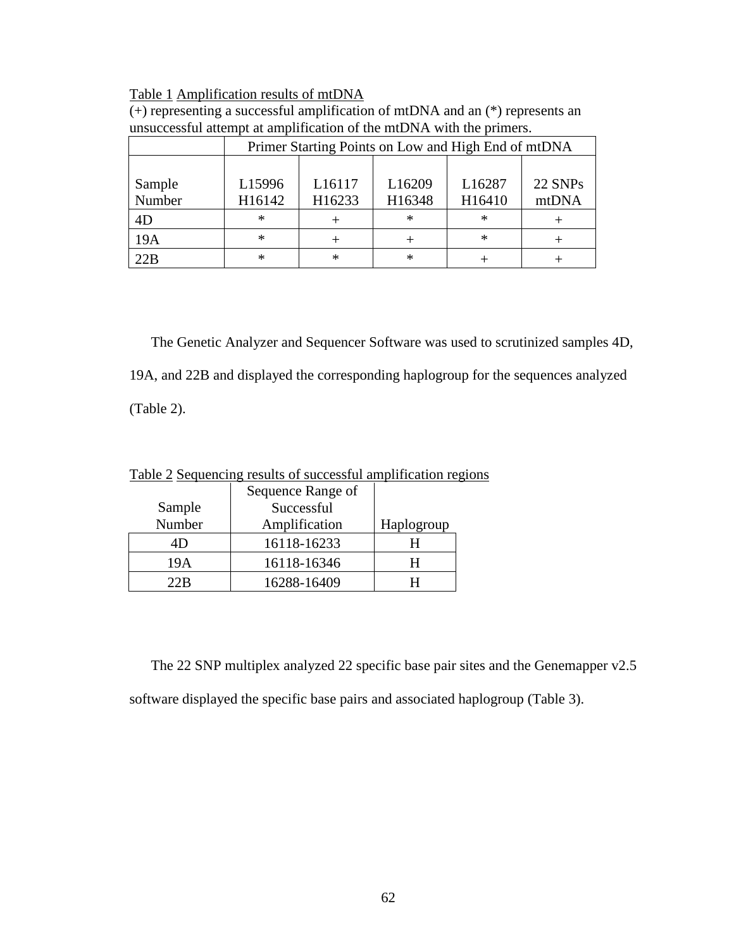# Table 1 Amplification results of mtDNA

| $(+)$ representing a successful amplification of mtDNA and an $(*)$ represents an |
|-----------------------------------------------------------------------------------|
| unsuccessful attempt at amplification of the mtDNA with the primers.              |

|        | Primer Starting Points on Low and High End of mtDNA |                    |        |        |         |  |  |  |  |  |  |  |  |  |
|--------|-----------------------------------------------------|--------------------|--------|--------|---------|--|--|--|--|--|--|--|--|--|
|        |                                                     |                    |        |        |         |  |  |  |  |  |  |  |  |  |
| Sample | L15996                                              | L <sub>16117</sub> | L16209 | L16287 | 22 SNPs |  |  |  |  |  |  |  |  |  |
| Number | H16142                                              | H16233             | H16348 | H16410 | mtDNA   |  |  |  |  |  |  |  |  |  |
| 4D     | $\ast$                                              |                    | $\ast$ | ∗      |         |  |  |  |  |  |  |  |  |  |
| 19A    | $\ast$                                              |                    |        | $\ast$ |         |  |  |  |  |  |  |  |  |  |
| 22B    | $\ast$                                              | ∗                  | $\ast$ |        |         |  |  |  |  |  |  |  |  |  |

The Genetic Analyzer and Sequencer Software was used to scrutinized samples 4D, 19A, and 22B and displayed the corresponding haplogroup for the sequences analyzed (Table 2).

Table 2 Sequencing results of successful amplification regions

|        | Sequence Range of |            |
|--------|-------------------|------------|
| Sample | Successful        |            |
| Number | Amplification     | Haplogroup |
| 4D     | 16118-16233       |            |
| 19A    | 16118-16346       | н          |
| 22 R   | 16288-16409       |            |

The 22 SNP multiplex analyzed 22 specific base pair sites and the Genemapper v2.5 software displayed the specific base pairs and associated haplogroup (Table 3).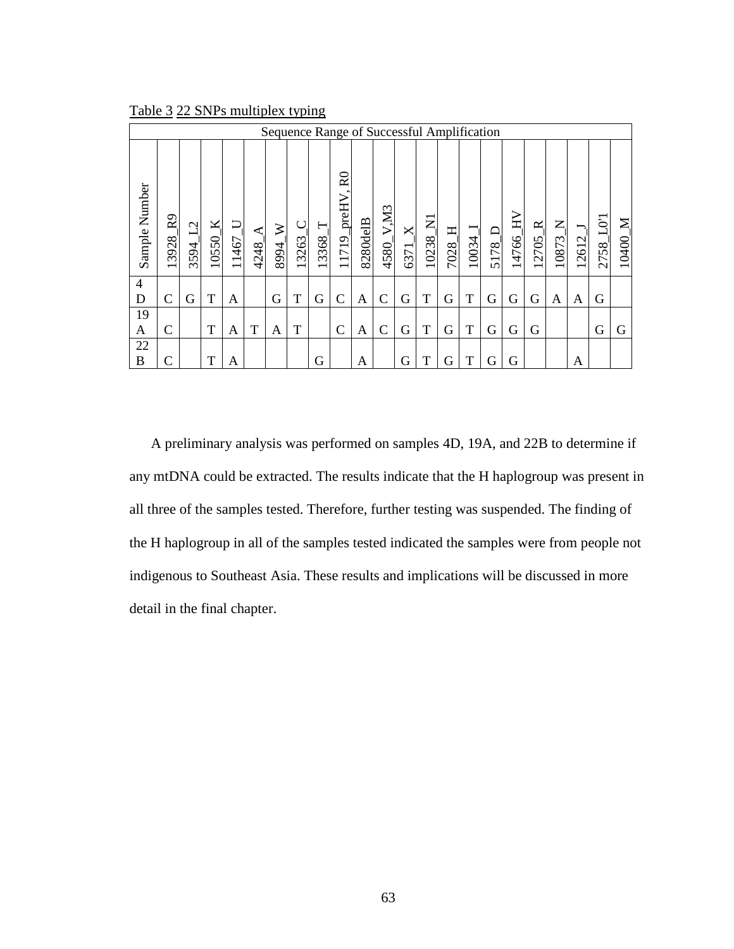| Sequence Range of Successful Amplification |                         |                       |            |            |           |           |       |            |                                                                     |          |              |           |                         |                        |            |                |                 |            |                      |             |               |            |
|--------------------------------------------|-------------------------|-----------------------|------------|------------|-----------|-----------|-------|------------|---------------------------------------------------------------------|----------|--------------|-----------|-------------------------|------------------------|------------|----------------|-----------------|------------|----------------------|-------------|---------------|------------|
| Sample Number                              | R <sub>9</sub><br>13928 | $\mathcal{L}$<br>3594 | ×<br>10550 | J<br>11467 | ⋖<br>4248 | ≽<br>8994 | 13263 | ⊢<br>13368 | $\stackrel{\textstyle\rm{Q}}{\textstyle\rm{R}}$<br>_preHV.<br>11719 | 8280delB | V.M3<br>4580 | ×<br>6371 | $\overline{z}$<br>10238 | $\mathbf{\Xi}$<br>7028 | —<br>10034 | $\Box$<br>5178 | $\geq$<br>14766 | ≃<br>12705 | $Z_{\cdot}$<br>10873 | ∫.<br>12612 | $\Xi$<br>2758 | ⋝<br>10400 |
| 4<br>D                                     | C                       | G                     | T          | A          |           | G         | T     | G          | $\mathcal{C}$                                                       | А        | C            | G         | T                       | G                      | T          | G              | G               | G          | A                    | A           | G             |            |
| 19                                         |                         |                       |            |            |           |           |       |            |                                                                     |          |              |           |                         |                        |            |                |                 |            |                      |             |               |            |
| A                                          | C                       |                       | T          | Α          | T         | A         | T     |            | $\mathcal{C}$                                                       | A        | C            | G         | T                       | G                      | T          | G              | G               | G          |                      |             | G             | G          |
| 22                                         |                         |                       |            |            |           |           |       |            |                                                                     |          |              |           |                         |                        |            |                |                 |            |                      |             |               |            |
| B                                          | C                       |                       | T          | A          |           |           |       | G          |                                                                     | А        |              | G         | T                       | G                      | T          | G              | G               |            |                      | Α           |               |            |

Table 3 22 SNPs multiplex typing

A preliminary analysis was performed on samples 4D, 19A, and 22B to determine if any mtDNA could be extracted. The results indicate that the H haplogroup was present in all three of the samples tested. Therefore, further testing was suspended. The finding of the H haplogroup in all of the samples tested indicated the samples were from people not indigenous to Southeast Asia. These results and implications will be discussed in more detail in the final chapter.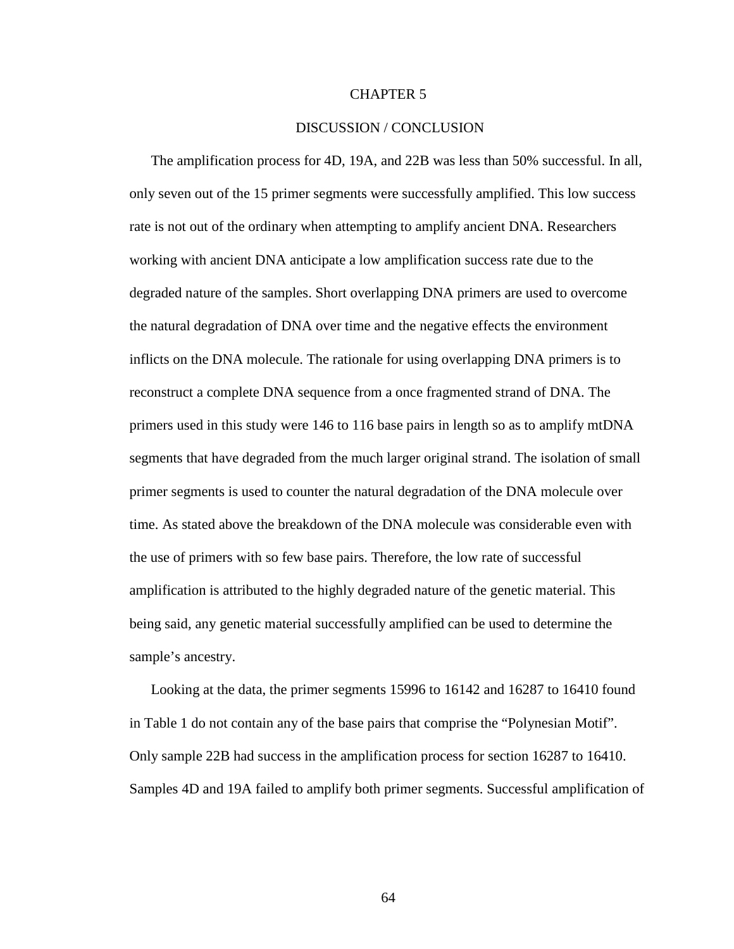# CHAPTER 5

#### DISCUSSION / CONCLUSION

 The amplification process for 4D, 19A, and 22B was less than 50% successful. In all, only seven out of the 15 primer segments were successfully amplified. This low success rate is not out of the ordinary when attempting to amplify ancient DNA. Researchers working with ancient DNA anticipate a low amplification success rate due to the degraded nature of the samples. Short overlapping DNA primers are used to overcome the natural degradation of DNA over time and the negative effects the environment inflicts on the DNA molecule. The rationale for using overlapping DNA primers is to reconstruct a complete DNA sequence from a once fragmented strand of DNA. The primers used in this study were 146 to 116 base pairs in length so as to amplify mtDNA segments that have degraded from the much larger original strand. The isolation of small primer segments is used to counter the natural degradation of the DNA molecule over time. As stated above the breakdown of the DNA molecule was considerable even with the use of primers with so few base pairs. Therefore, the low rate of successful amplification is attributed to the highly degraded nature of the genetic material. This being said, any genetic material successfully amplified can be used to determine the sample's ancestry.

Looking at the data, the primer segments 15996 to 16142 and 16287 to 16410 found in Table 1 do not contain any of the base pairs that comprise the "Polynesian Motif". Only sample 22B had success in the amplification process for section 16287 to 16410. Samples 4D and 19A failed to amplify both primer segments. Successful amplification of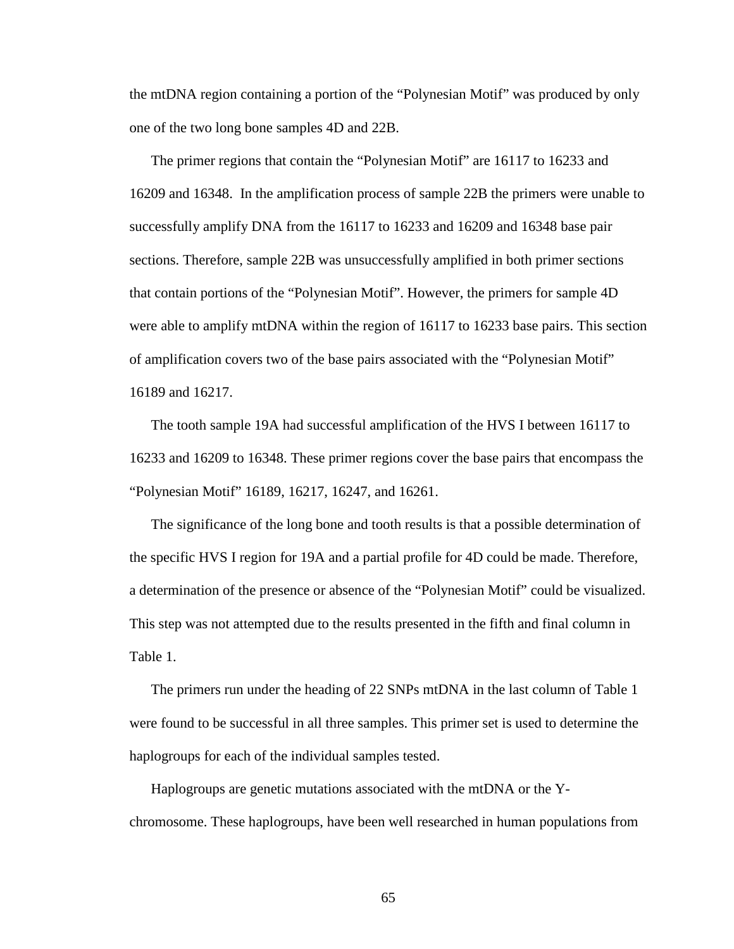the mtDNA region containing a portion of the "Polynesian Motif" was produced by only one of the two long bone samples 4D and 22B.

The primer regions that contain the "Polynesian Motif" are 16117 to 16233 and 16209 and 16348. In the amplification process of sample 22B the primers were unable to successfully amplify DNA from the 16117 to 16233 and 16209 and 16348 base pair sections. Therefore, sample 22B was unsuccessfully amplified in both primer sections that contain portions of the "Polynesian Motif". However, the primers for sample 4D were able to amplify mtDNA within the region of 16117 to 16233 base pairs. This section of amplification covers two of the base pairs associated with the "Polynesian Motif" 16189 and 16217.

The tooth sample 19A had successful amplification of the HVS I between 16117 to 16233 and 16209 to 16348. These primer regions cover the base pairs that encompass the "Polynesian Motif" 16189, 16217, 16247, and 16261.

The significance of the long bone and tooth results is that a possible determination of the specific HVS I region for 19A and a partial profile for 4D could be made. Therefore, a determination of the presence or absence of the "Polynesian Motif" could be visualized. This step was not attempted due to the results presented in the fifth and final column in Table 1.

The primers run under the heading of 22 SNPs mtDNA in the last column of Table 1 were found to be successful in all three samples. This primer set is used to determine the haplogroups for each of the individual samples tested.

Haplogroups are genetic mutations associated with the mtDNA or the Ychromosome. These haplogroups, have been well researched in human populations from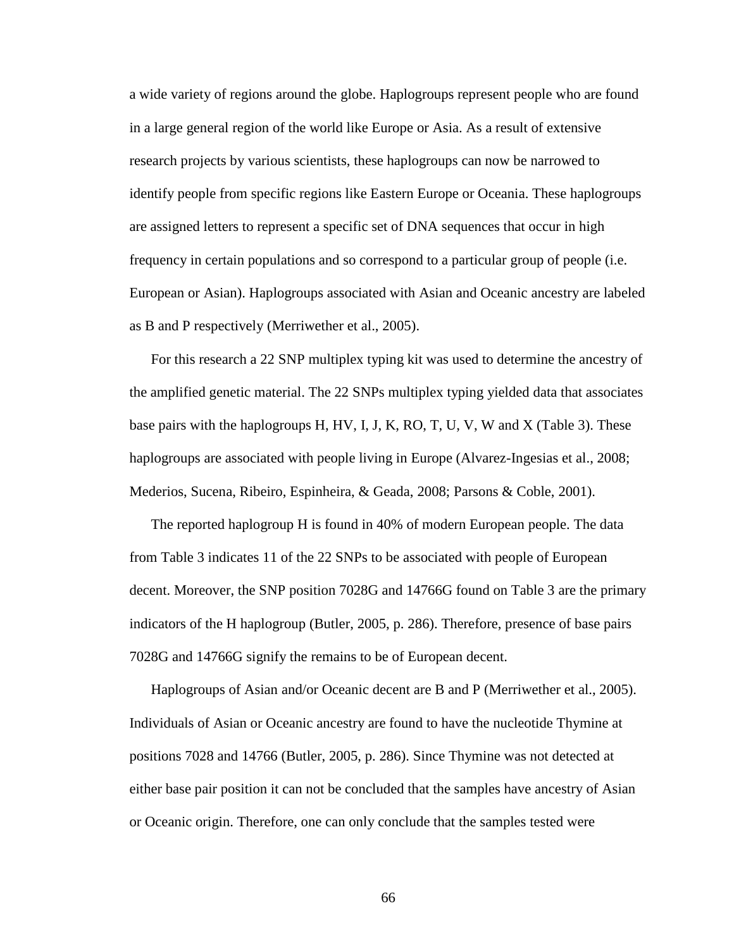a wide variety of regions around the globe. Haplogroups represent people who are found in a large general region of the world like Europe or Asia. As a result of extensive research projects by various scientists, these haplogroups can now be narrowed to identify people from specific regions like Eastern Europe or Oceania. These haplogroups are assigned letters to represent a specific set of DNA sequences that occur in high frequency in certain populations and so correspond to a particular group of people (i.e. European or Asian). Haplogroups associated with Asian and Oceanic ancestry are labeled as B and P respectively (Merriwether et al., 2005).

For this research a 22 SNP multiplex typing kit was used to determine the ancestry of the amplified genetic material. The 22 SNPs multiplex typing yielded data that associates base pairs with the haplogroups H, HV, I, J, K, RO, T, U, V, W and X (Table 3). These haplogroups are associated with people living in Europe (Alvarez-Ingesias et al., 2008; Mederios, Sucena, Ribeiro, Espinheira, & Geada, 2008; Parsons & Coble, 2001).

The reported haplogroup H is found in 40% of modern European people. The data from Table 3 indicates 11 of the 22 SNPs to be associated with people of European decent. Moreover, the SNP position 7028G and 14766G found on Table 3 are the primary indicators of the H haplogroup (Butler, 2005, p. 286). Therefore, presence of base pairs 7028G and 14766G signify the remains to be of European decent.

Haplogroups of Asian and/or Oceanic decent are B and P (Merriwether et al., 2005). Individuals of Asian or Oceanic ancestry are found to have the nucleotide Thymine at positions 7028 and 14766 (Butler, 2005, p. 286). Since Thymine was not detected at either base pair position it can not be concluded that the samples have ancestry of Asian or Oceanic origin. Therefore, one can only conclude that the samples tested were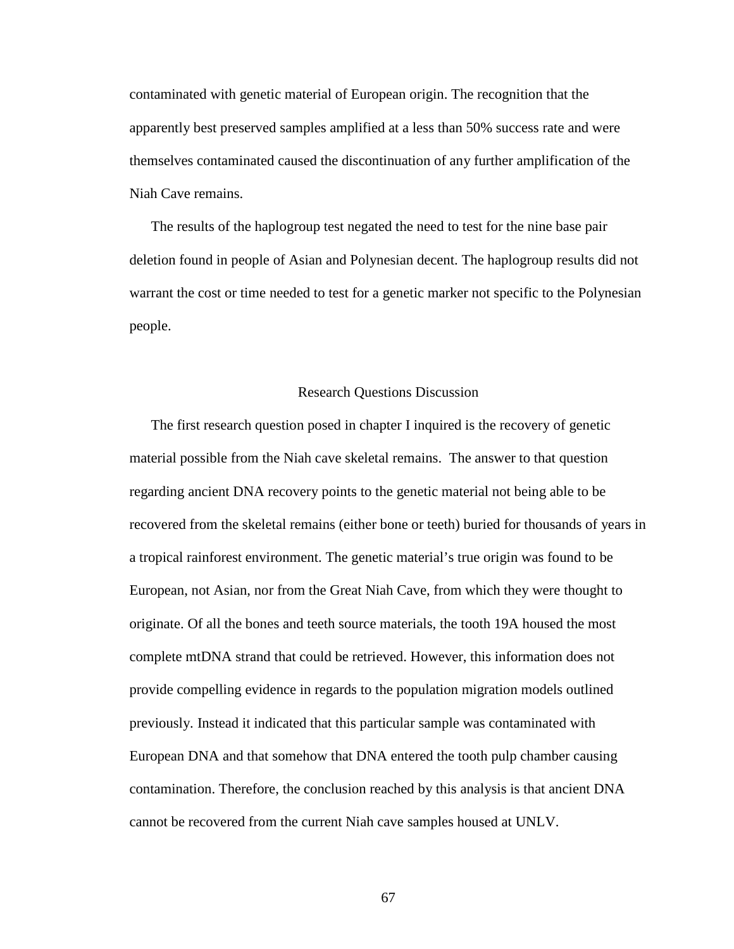contaminated with genetic material of European origin. The recognition that the apparently best preserved samples amplified at a less than 50% success rate and were themselves contaminated caused the discontinuation of any further amplification of the Niah Cave remains.

The results of the haplogroup test negated the need to test for the nine base pair deletion found in people of Asian and Polynesian decent. The haplogroup results did not warrant the cost or time needed to test for a genetic marker not specific to the Polynesian people.

#### Research Questions Discussion

The first research question posed in chapter I inquired is the recovery of genetic material possible from the Niah cave skeletal remains. The answer to that question regarding ancient DNA recovery points to the genetic material not being able to be recovered from the skeletal remains (either bone or teeth) buried for thousands of years in a tropical rainforest environment. The genetic material's true origin was found to be European, not Asian, nor from the Great Niah Cave, from which they were thought to originate. Of all the bones and teeth source materials, the tooth 19A housed the most complete mtDNA strand that could be retrieved. However, this information does not provide compelling evidence in regards to the population migration models outlined previously. Instead it indicated that this particular sample was contaminated with European DNA and that somehow that DNA entered the tooth pulp chamber causing contamination. Therefore, the conclusion reached by this analysis is that ancient DNA cannot be recovered from the current Niah cave samples housed at UNLV.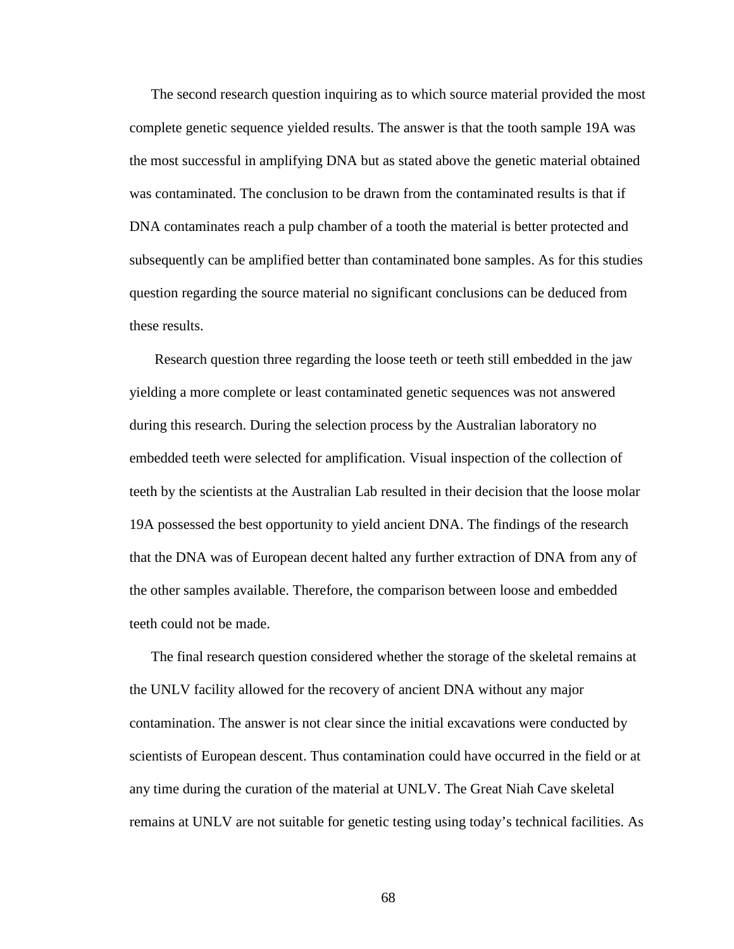The second research question inquiring as to which source material provided the most complete genetic sequence yielded results. The answer is that the tooth sample 19A was the most successful in amplifying DNA but as stated above the genetic material obtained was contaminated. The conclusion to be drawn from the contaminated results is that if DNA contaminates reach a pulp chamber of a tooth the material is better protected and subsequently can be amplified better than contaminated bone samples. As for this studies question regarding the source material no significant conclusions can be deduced from these results.

 Research question three regarding the loose teeth or teeth still embedded in the jaw yielding a more complete or least contaminated genetic sequences was not answered during this research. During the selection process by the Australian laboratory no embedded teeth were selected for amplification. Visual inspection of the collection of teeth by the scientists at the Australian Lab resulted in their decision that the loose molar 19A possessed the best opportunity to yield ancient DNA. The findings of the research that the DNA was of European decent halted any further extraction of DNA from any of the other samples available. Therefore, the comparison between loose and embedded teeth could not be made.

The final research question considered whether the storage of the skeletal remains at the UNLV facility allowed for the recovery of ancient DNA without any major contamination. The answer is not clear since the initial excavations were conducted by scientists of European descent. Thus contamination could have occurred in the field or at any time during the curation of the material at UNLV. The Great Niah Cave skeletal remains at UNLV are not suitable for genetic testing using today's technical facilities. As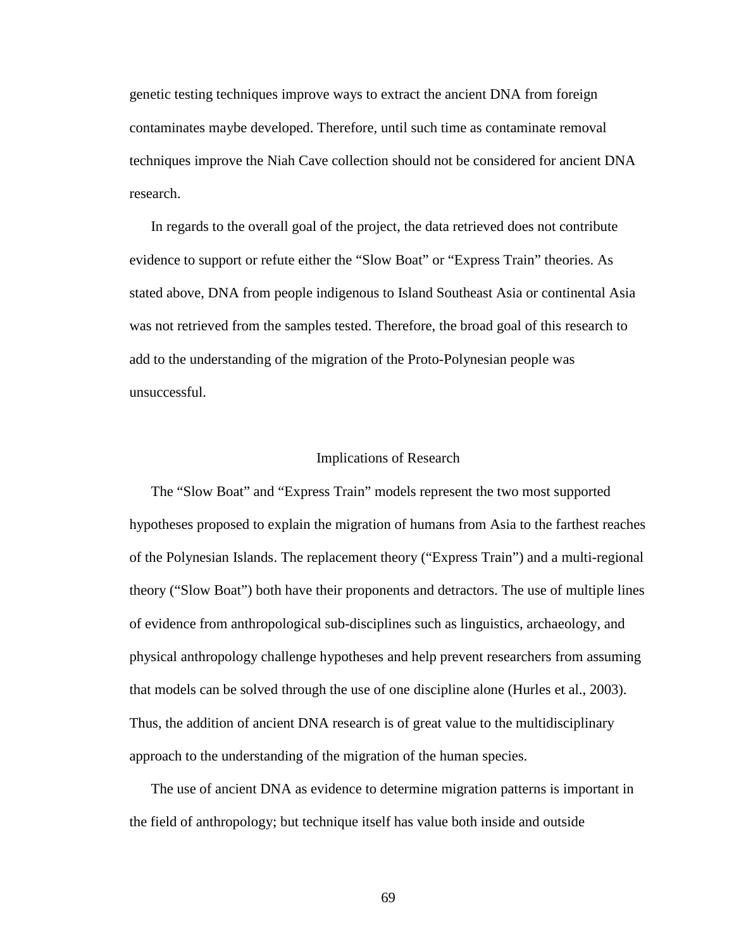genetic testing techniques improve ways to extract the ancient DNA from foreign contaminates maybe developed. Therefore, until such time as contaminate removal techniques improve the Niah Cave collection should not be considered for ancient DNA research.

In regards to the overall goal of the project, the data retrieved does not contribute evidence to support or refute either the "Slow Boat" or "Express Train" theories. As stated above, DNA from people indigenous to Island Southeast Asia or continental Asia was not retrieved from the samples tested. Therefore, the broad goal of this research to add to the understanding of the migration of the Proto-Polynesian people was unsuccessful.

#### Implications of Research

The "Slow Boat" and "Express Train" models represent the two most supported hypotheses proposed to explain the migration of humans from Asia to the farthest reaches of the Polynesian Islands. The replacement theory ("Express Train") and a multi-regional theory ("Slow Boat") both have their proponents and detractors. The use of multiple lines of evidence from anthropological sub-disciplines such as linguistics, archaeology, and physical anthropology challenge hypotheses and help prevent researchers from assuming that models can be solved through the use of one discipline alone (Hurles et al., 2003). Thus, the addition of ancient DNA research is of great value to the multidisciplinary approach to the understanding of the migration of the human species.

The use of ancient DNA as evidence to determine migration patterns is important in the field of anthropology; but technique itself has value both inside and outside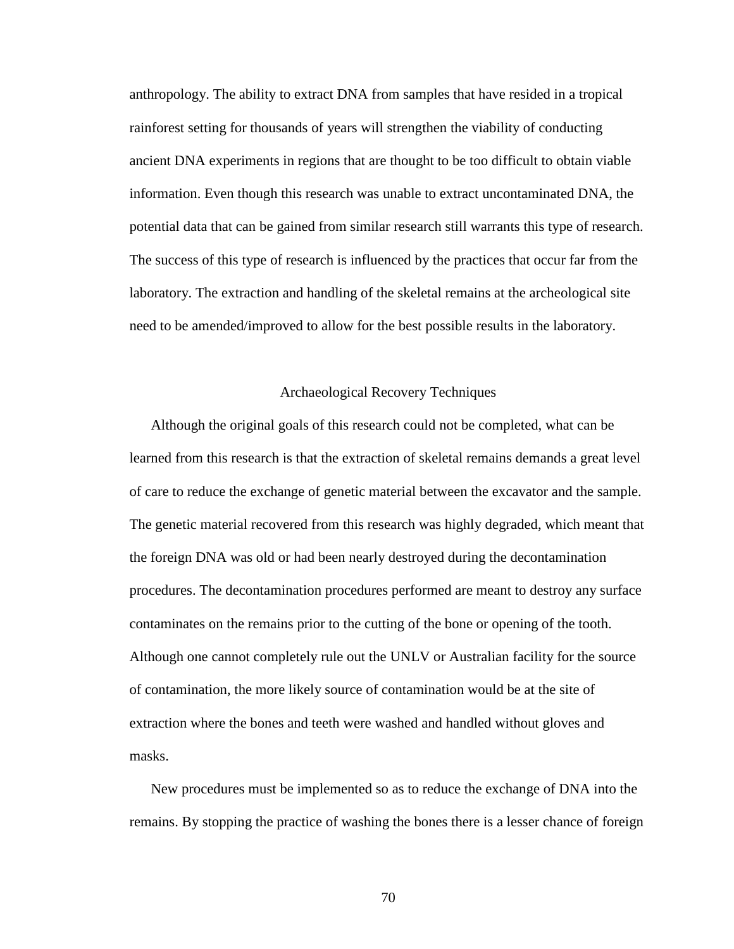anthropology. The ability to extract DNA from samples that have resided in a tropical rainforest setting for thousands of years will strengthen the viability of conducting ancient DNA experiments in regions that are thought to be too difficult to obtain viable information. Even though this research was unable to extract uncontaminated DNA, the potential data that can be gained from similar research still warrants this type of research. The success of this type of research is influenced by the practices that occur far from the laboratory. The extraction and handling of the skeletal remains at the archeological site need to be amended/improved to allow for the best possible results in the laboratory.

### Archaeological Recovery Techniques

 Although the original goals of this research could not be completed, what can be learned from this research is that the extraction of skeletal remains demands a great level of care to reduce the exchange of genetic material between the excavator and the sample. The genetic material recovered from this research was highly degraded, which meant that the foreign DNA was old or had been nearly destroyed during the decontamination procedures. The decontamination procedures performed are meant to destroy any surface contaminates on the remains prior to the cutting of the bone or opening of the tooth. Although one cannot completely rule out the UNLV or Australian facility for the source of contamination, the more likely source of contamination would be at the site of extraction where the bones and teeth were washed and handled without gloves and masks.

New procedures must be implemented so as to reduce the exchange of DNA into the remains. By stopping the practice of washing the bones there is a lesser chance of foreign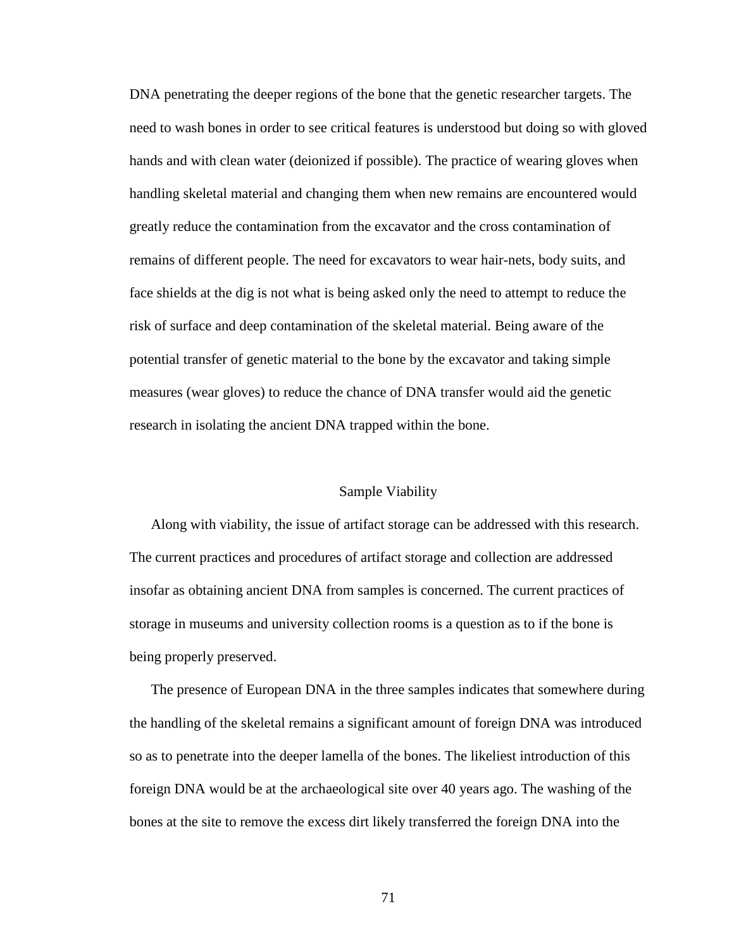DNA penetrating the deeper regions of the bone that the genetic researcher targets. The need to wash bones in order to see critical features is understood but doing so with gloved hands and with clean water (deionized if possible). The practice of wearing gloves when handling skeletal material and changing them when new remains are encountered would greatly reduce the contamination from the excavator and the cross contamination of remains of different people. The need for excavators to wear hair-nets, body suits, and face shields at the dig is not what is being asked only the need to attempt to reduce the risk of surface and deep contamination of the skeletal material. Being aware of the potential transfer of genetic material to the bone by the excavator and taking simple measures (wear gloves) to reduce the chance of DNA transfer would aid the genetic research in isolating the ancient DNA trapped within the bone.

#### Sample Viability

Along with viability, the issue of artifact storage can be addressed with this research. The current practices and procedures of artifact storage and collection are addressed insofar as obtaining ancient DNA from samples is concerned. The current practices of storage in museums and university collection rooms is a question as to if the bone is being properly preserved.

The presence of European DNA in the three samples indicates that somewhere during the handling of the skeletal remains a significant amount of foreign DNA was introduced so as to penetrate into the deeper lamella of the bones. The likeliest introduction of this foreign DNA would be at the archaeological site over 40 years ago. The washing of the bones at the site to remove the excess dirt likely transferred the foreign DNA into the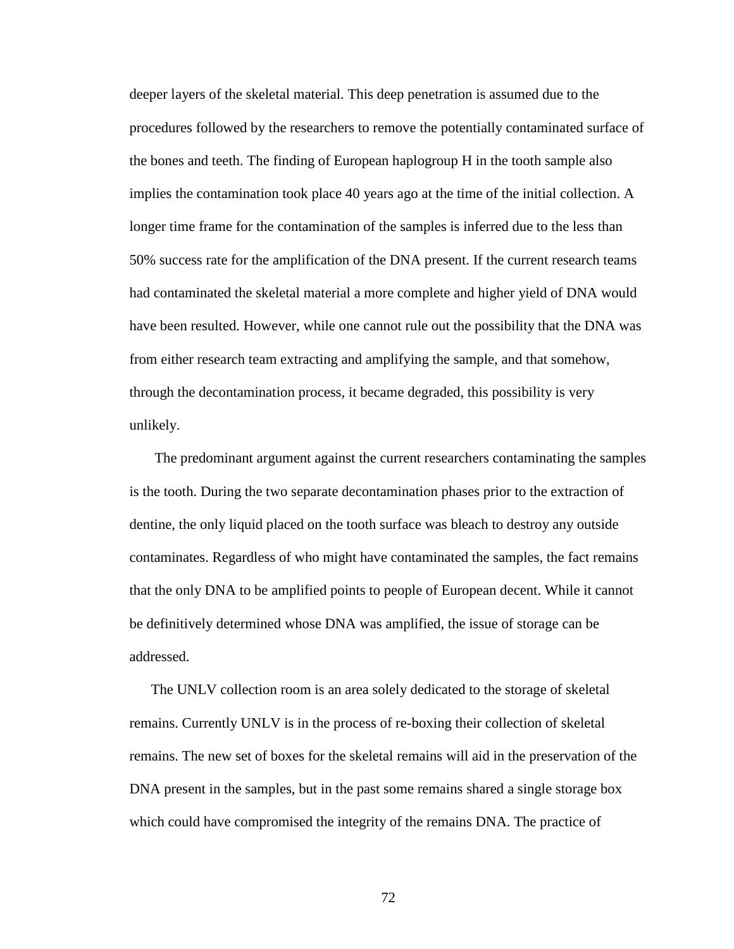deeper layers of the skeletal material. This deep penetration is assumed due to the procedures followed by the researchers to remove the potentially contaminated surface of the bones and teeth. The finding of European haplogroup H in the tooth sample also implies the contamination took place 40 years ago at the time of the initial collection. A longer time frame for the contamination of the samples is inferred due to the less than 50% success rate for the amplification of the DNA present. If the current research teams had contaminated the skeletal material a more complete and higher yield of DNA would have been resulted. However, while one cannot rule out the possibility that the DNA was from either research team extracting and amplifying the sample, and that somehow, through the decontamination process, it became degraded, this possibility is very unlikely.

 The predominant argument against the current researchers contaminating the samples is the tooth. During the two separate decontamination phases prior to the extraction of dentine, the only liquid placed on the tooth surface was bleach to destroy any outside contaminates. Regardless of who might have contaminated the samples, the fact remains that the only DNA to be amplified points to people of European decent. While it cannot be definitively determined whose DNA was amplified, the issue of storage can be addressed.

The UNLV collection room is an area solely dedicated to the storage of skeletal remains. Currently UNLV is in the process of re-boxing their collection of skeletal remains. The new set of boxes for the skeletal remains will aid in the preservation of the DNA present in the samples, but in the past some remains shared a single storage box which could have compromised the integrity of the remains DNA. The practice of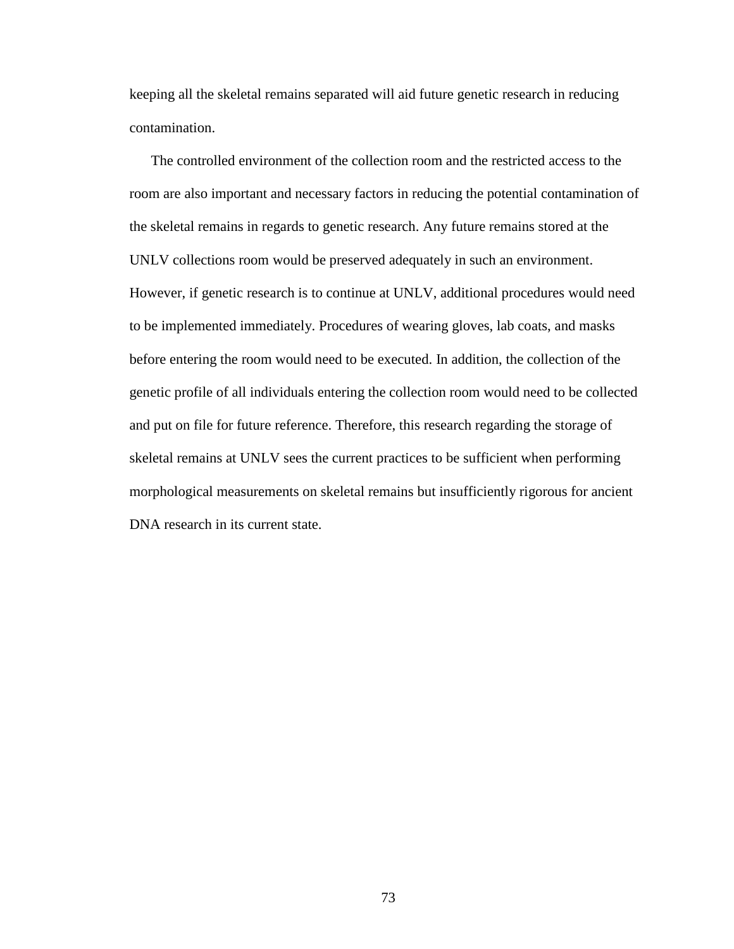keeping all the skeletal remains separated will aid future genetic research in reducing contamination.

The controlled environment of the collection room and the restricted access to the room are also important and necessary factors in reducing the potential contamination of the skeletal remains in regards to genetic research. Any future remains stored at the UNLV collections room would be preserved adequately in such an environment. However, if genetic research is to continue at UNLV, additional procedures would need to be implemented immediately. Procedures of wearing gloves, lab coats, and masks before entering the room would need to be executed. In addition, the collection of the genetic profile of all individuals entering the collection room would need to be collected and put on file for future reference. Therefore, this research regarding the storage of skeletal remains at UNLV sees the current practices to be sufficient when performing morphological measurements on skeletal remains but insufficiently rigorous for ancient DNA research in its current state.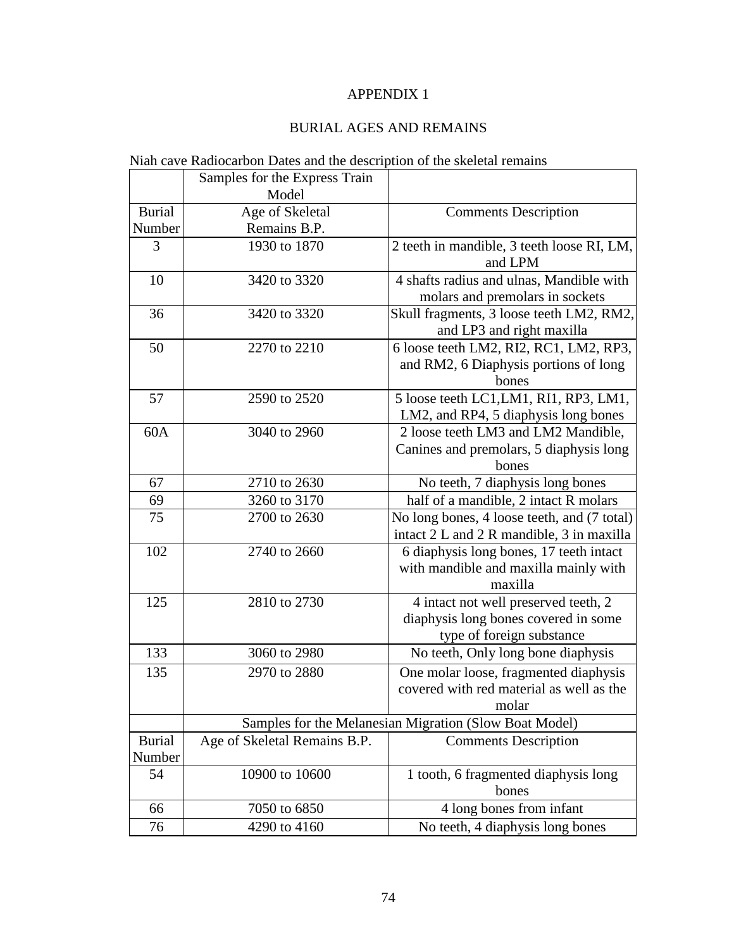# APPENDIX 1

## BURIAL AGES AND REMAINS

# Niah cave Radiocarbon Dates and the description of the skeletal remains

|               | Samples for the Express Train |                                                        |  |
|---------------|-------------------------------|--------------------------------------------------------|--|
|               | Model                         |                                                        |  |
| <b>Burial</b> | Age of Skeletal               | <b>Comments Description</b>                            |  |
| Number        | Remains B.P.                  |                                                        |  |
| 3             | 1930 to 1870                  | 2 teeth in mandible, 3 teeth loose RI, LM,             |  |
|               |                               | and LPM                                                |  |
| 10            | 3420 to 3320                  | 4 shafts radius and ulnas, Mandible with               |  |
|               |                               | molars and premolars in sockets                        |  |
| 36            | 3420 to 3320                  | Skull fragments, 3 loose teeth LM2, RM2,               |  |
|               |                               | and LP3 and right maxilla                              |  |
| 50            | 2270 to 2210                  | 6 loose teeth LM2, RI2, RC1, LM2, RP3,                 |  |
|               |                               | and RM2, 6 Diaphysis portions of long                  |  |
|               |                               | bones                                                  |  |
| 57            | 2590 to 2520                  | 5 loose teeth LC1, LM1, RI1, RP3, LM1,                 |  |
|               |                               | LM2, and RP4, 5 diaphysis long bones                   |  |
| 60A           | 3040 to 2960                  | 2 loose teeth LM3 and LM2 Mandible,                    |  |
|               |                               | Canines and premolars, 5 diaphysis long                |  |
|               |                               | bones                                                  |  |
| 67            | 2710 to 2630                  | No teeth, 7 diaphysis long bones                       |  |
| 69            | 3260 to 3170                  | half of a mandible, 2 intact R molars                  |  |
| 75            | 2700 to 2630                  | No long bones, 4 loose teeth, and (7 total)            |  |
|               |                               | intact 2 L and 2 R mandible, 3 in maxilla              |  |
| 102           | 2740 to 2660                  | 6 diaphysis long bones, 17 teeth intact                |  |
|               |                               | with mandible and maxilla mainly with                  |  |
|               |                               | maxilla                                                |  |
| 125           | 2810 to 2730                  | 4 intact not well preserved teeth, 2                   |  |
|               |                               | diaphysis long bones covered in some                   |  |
|               |                               | type of foreign substance                              |  |
| 133           | 3060 to 2980                  | No teeth, Only long bone diaphysis                     |  |
| 135           | 2970 to 2880                  | One molar loose, fragmented diaphysis                  |  |
|               |                               | covered with red material as well as the               |  |
|               |                               | molar                                                  |  |
|               |                               | Samples for the Melanesian Migration (Slow Boat Model) |  |
| <b>Burial</b> | Age of Skeletal Remains B.P.  | <b>Comments Description</b>                            |  |
| Number        |                               |                                                        |  |
| 54            | 10900 to 10600                | 1 tooth, 6 fragmented diaphysis long                   |  |
|               |                               | bones                                                  |  |
| 66            | 7050 to 6850                  | 4 long bones from infant                               |  |
| 76            | 4290 to 4160                  | No teeth, 4 diaphysis long bones                       |  |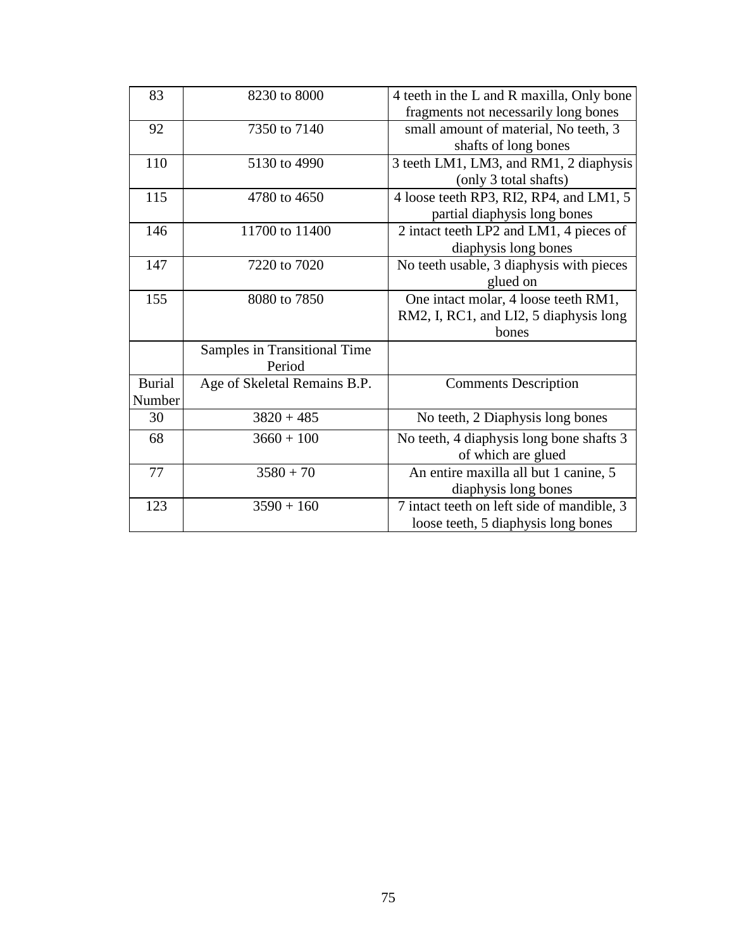| 83            | 8230 to 8000                 | 4 teeth in the L and R maxilla, Only bone  |
|---------------|------------------------------|--------------------------------------------|
|               |                              | fragments not necessarily long bones       |
| 92            | 7350 to 7140                 | small amount of material, No teeth, 3      |
|               |                              | shafts of long bones                       |
| 110           | 5130 to 4990                 | 3 teeth LM1, LM3, and RM1, 2 diaphysis     |
|               |                              | (only 3 total shafts)                      |
| 115           | 4780 to 4650                 | 4 loose teeth RP3, RI2, RP4, and LM1, 5    |
|               |                              | partial diaphysis long bones               |
| 146           | 11700 to 11400               | 2 intact teeth LP2 and LM1, 4 pieces of    |
|               |                              | diaphysis long bones                       |
| 147           | 7220 to 7020                 | No teeth usable, 3 diaphysis with pieces   |
|               |                              | glued on                                   |
| 155           | 8080 to 7850                 | One intact molar, 4 loose teeth RM1,       |
|               |                              | RM2, I, RC1, and LI2, 5 diaphysis long     |
|               |                              | bones                                      |
|               | Samples in Transitional Time |                                            |
|               | Period                       |                                            |
| <b>Burial</b> | Age of Skeletal Remains B.P. | <b>Comments Description</b>                |
| Number        |                              |                                            |
| 30            | $3820 + 485$                 | No teeth, 2 Diaphysis long bones           |
| 68            | $3660 + 100$                 | No teeth, 4 diaphysis long bone shafts 3   |
|               |                              | of which are glued                         |
| 77            | $3580 + 70$                  | An entire maxilla all but 1 canine, 5      |
|               |                              | diaphysis long bones                       |
| 123           | $3590 + 160$                 | 7 intact teeth on left side of mandible, 3 |
|               |                              | loose teeth, 5 diaphysis long bones        |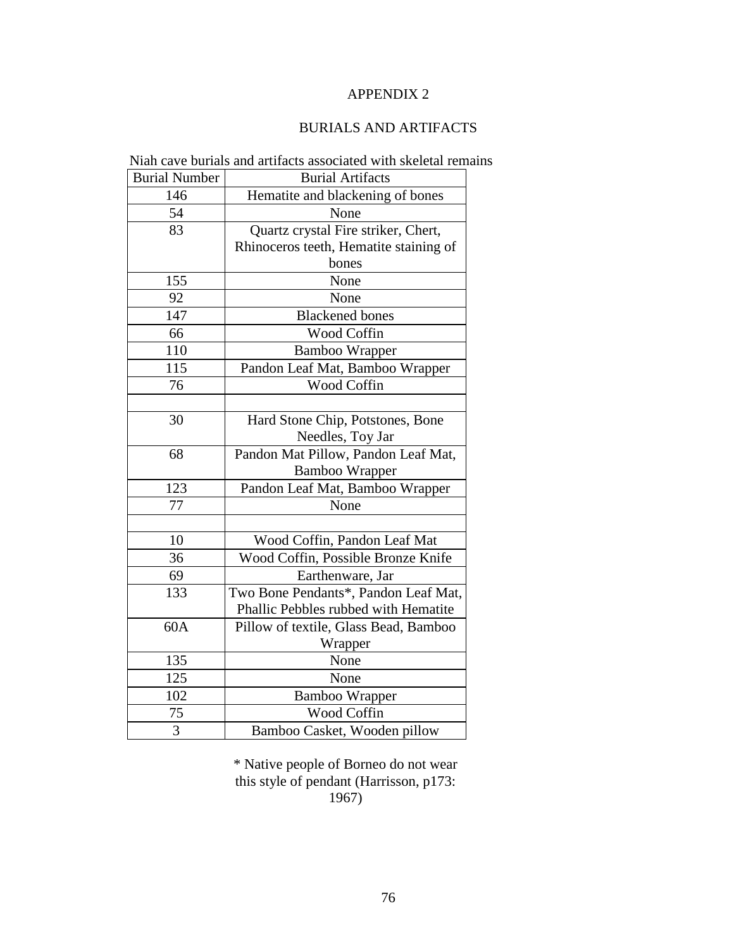## APPENDIX 2

## BURIALS AND ARTIFACTS

|                      | I Than cave burnars and arthuets associated with skendar fem |
|----------------------|--------------------------------------------------------------|
| <b>Burial Number</b> | <b>Burial Artifacts</b>                                      |
| 146                  | Hematite and blackening of bones                             |
| 54                   | None                                                         |
| 83                   | Quartz crystal Fire striker, Chert,                          |
|                      | Rhinoceros teeth, Hematite staining of                       |
|                      | bones                                                        |
| 155                  | None                                                         |
| 92                   | None                                                         |
| 147                  | <b>Blackened</b> bones                                       |
| 66                   | <b>Wood Coffin</b>                                           |
| 110                  | <b>Bamboo Wrapper</b>                                        |
| 115                  | Pandon Leaf Mat, Bamboo Wrapper                              |
| 76                   | Wood Coffin                                                  |
|                      |                                                              |
| 30                   | Hard Stone Chip, Potstones, Bone                             |
|                      | Needles, Toy Jar                                             |
| 68                   | Pandon Mat Pillow, Pandon Leaf Mat,                          |
|                      | <b>Bamboo Wrapper</b>                                        |
| 123                  | Pandon Leaf Mat, Bamboo Wrapper                              |
| 77                   | None                                                         |
|                      |                                                              |
| 10                   | Wood Coffin, Pandon Leaf Mat                                 |
| 36                   | Wood Coffin, Possible Bronze Knife                           |
| 69                   | Earthenware, Jar                                             |
| 133                  | Two Bone Pendants*, Pandon Leaf Mat,                         |
|                      | Phallic Pebbles rubbed with Hematite                         |
| 60A                  | Pillow of textile, Glass Bead, Bamboo                        |
|                      | Wrapper                                                      |
| 135                  | None                                                         |
| 125                  | None                                                         |
| 102                  | <b>Bamboo Wrapper</b>                                        |
| 75                   | Wood Coffin                                                  |
| 3                    | Bamboo Casket, Wooden pillow                                 |

Niah cave burials and artifacts associated with skeletal remains

\* Native people of Borneo do not wear this style of pendant (Harrisson, p173: 1967)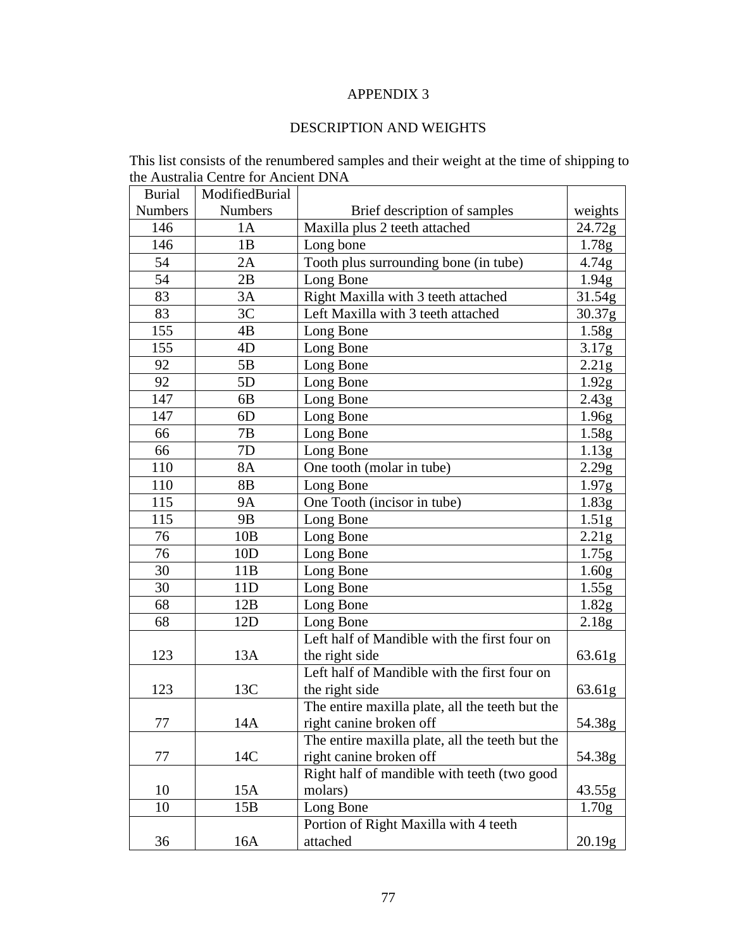## APPENDIX 3

## DESCRIPTION AND WEIGHTS

This list consists of the renumbered samples and their weight at the time of shipping to the Australia Centre for Ancient DNA

| <b>Burial</b>  | ModifiedBurial |                                                 |                   |
|----------------|----------------|-------------------------------------------------|-------------------|
| <b>Numbers</b> | <b>Numbers</b> | Brief description of samples                    | weights           |
| 146            | 1A             | Maxilla plus 2 teeth attached                   | 24.72g            |
| 146            | 1B             | Long bone                                       | 1.78g             |
| 54             | 2A             | Tooth plus surrounding bone (in tube)           | 4.74g             |
| 54             | 2B             | Long Bone                                       | 1.94g             |
| 83             | 3A             | Right Maxilla with 3 teeth attached             | 31.54g            |
| 83             | 3C             | Left Maxilla with 3 teeth attached              | 30.37g            |
| 155            | 4B             | Long Bone                                       | 1.58g             |
| 155            | 4D             | Long Bone                                       | 3.17 <sub>g</sub> |
| 92             | 5B             | Long Bone                                       | 2.21g             |
| 92             | 5D             | Long Bone                                       | 1.92g             |
| 147            | 6B             | Long Bone                                       | 2.43g             |
| 147            | 6 <sub>D</sub> | Long Bone                                       | 1.96g             |
| 66             | 7В             | Long Bone                                       | 1.58g             |
| 66             | 7D             | Long Bone                                       | 1.13g             |
| 110            | 8A             | One tooth (molar in tube)                       | 2.29g             |
| 110            | 8B             | Long Bone                                       | 1.97g             |
| 115            | <b>9A</b>      | One Tooth (incisor in tube)                     | 1.83g             |
| 115            | 9 <sub>B</sub> | Long Bone                                       | 1.51g             |
| 76             | 10B            | Long Bone                                       | 2.21g             |
| 76             | 10D            | Long Bone                                       | 1.75g             |
| 30             | 11B            | Long Bone                                       | 1.60 <sub>g</sub> |
| 30             | 11D            | Long Bone                                       | 1.55g             |
| 68             | 12B            | Long Bone                                       | 1.82g             |
| 68             | 12D            | Long Bone                                       | 2.18g             |
|                |                | Left half of Mandible with the first four on    |                   |
| 123            | 13A            | the right side                                  | 63.61g            |
|                |                | Left half of Mandible with the first four on    |                   |
| 123            | 13C            | the right side                                  | 63.61g            |
|                |                | The entire maxilla plate, all the teeth but the |                   |
| 77             | 14A            | right canine broken off                         | 54.38g            |
|                |                | The entire maxilla plate, all the teeth but the |                   |
| 77             | 14C            | right canine broken off                         | 54.38g            |
|                |                | Right half of mandible with teeth (two good     |                   |
| 10             | 15A            | molars)                                         | 43.55g            |
| 10             | 15B            | Long Bone                                       | 1.70 <sub>g</sub> |
|                |                | Portion of Right Maxilla with 4 teeth           |                   |
| 36             | 16A            | attached                                        | 20.19g            |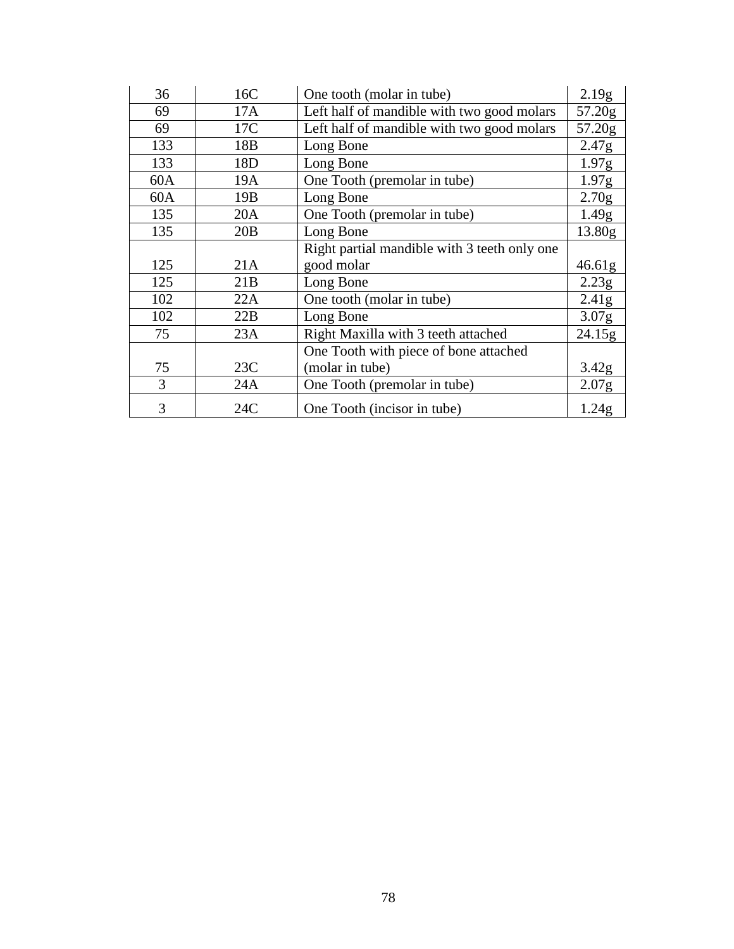| 36  | 16C             | One tooth (molar in tube)                    | 2.19g             |
|-----|-----------------|----------------------------------------------|-------------------|
| 69  | 17A             | Left half of mandible with two good molars   | 57.20g            |
| 69  | 17C             | Left half of mandible with two good molars   | 57.20g            |
| 133 | 18 <sub>B</sub> | Long Bone                                    | 2.47g             |
| 133 | 18D             | Long Bone                                    | 1.97g             |
| 60A | 19A             | One Tooth (premolar in tube)                 | 1.97g             |
| 60A | 19 <sub>B</sub> | Long Bone                                    | 2.70g             |
| 135 | 20A             | One Tooth (premolar in tube)                 | 1.49g             |
| 135 | 20B             | Long Bone                                    | 13.80g            |
|     |                 | Right partial mandible with 3 teeth only one |                   |
| 125 | 21A             | good molar                                   | 46.61g            |
| 125 | 21B             | Long Bone                                    | 2.23g             |
| 102 | 22A             | One tooth (molar in tube)                    | 2.41 <sub>g</sub> |
| 102 | 22B             | Long Bone                                    | 3.07g             |
| 75  | 23A             | Right Maxilla with 3 teeth attached          | 24.15g            |
|     |                 | One Tooth with piece of bone attached        |                   |
| 75  | 23C             | (molar in tube)                              | 3.42g             |
| 3   | 24A             | One Tooth (premolar in tube)                 | 2.07 <sub>g</sub> |
| 3   | 24C             | One Tooth (incisor in tube)                  | 1.24g             |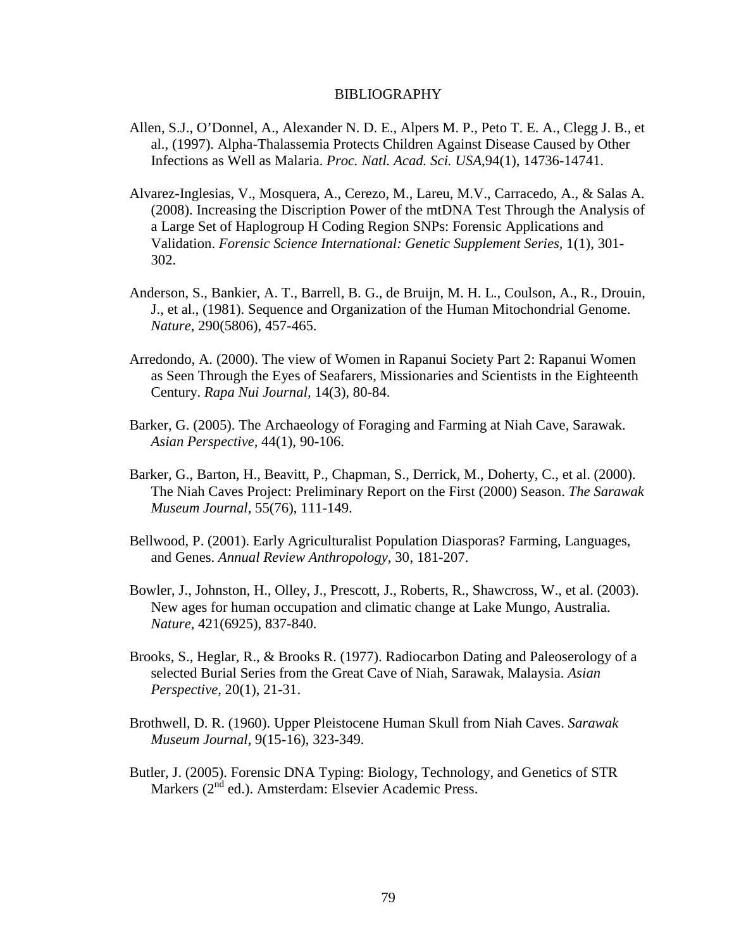#### BIBLIOGRAPHY

- Allen, S.J., O'Donnel, A., Alexander N. D. E., Alpers M. P., Peto T. E. A., Clegg J. B., et al., (1997). Alpha-Thalassemia Protects Children Against Disease Caused by Other Infections as Well as Malaria. *Proc. Natl. Acad. Sci. USA*,94(1), 14736-14741.
- Alvarez-Inglesias, V., Mosquera, A., Cerezo, M., Lareu, M.V., Carracedo, A., & Salas A. (2008). Increasing the Discription Power of the mtDNA Test Through the Analysis of a Large Set of Haplogroup H Coding Region SNPs: Forensic Applications and Validation. *Forensic Science International: Genetic Supplement Series,* 1(1), 301- 302.
- Anderson, S., Bankier, A. T., Barrell, B. G., de Bruijn, M. H. L., Coulson, A., R., Drouin, J., et al., (1981). Sequence and Organization of the Human Mitochondrial Genome. *Nature,* 290(5806), 457-465.
- Arredondo, A. (2000). The view of Women in Rapanui Society Part 2: Rapanui Women as Seen Through the Eyes of Seafarers, Missionaries and Scientists in the Eighteenth Century. *Rapa Nui Journal,* 14(3), 80-84.
- Barker, G. (2005). The Archaeology of Foraging and Farming at Niah Cave, Sarawak. *Asian Perspective,* 44(1), 90-106.
- Barker, G., Barton, H., Beavitt, P., Chapman, S., Derrick, M., Doherty, C., et al. (2000). The Niah Caves Project: Preliminary Report on the First (2000) Season. *The Sarawak Museum Journal,* 55(76), 111-149.
- Bellwood, P. (2001). Early Agriculturalist Population Diasporas? Farming, Languages, and Genes. *Annual Review Anthropology*, 30, 181-207.
- Bowler, J., Johnston, H., Olley, J., Prescott, J., Roberts, R., Shawcross, W., et al. (2003). New ages for human occupation and climatic change at Lake Mungo, Australia. *Nature,* 421(6925), 837-840.
- Brooks, S., Heglar, R., & Brooks R. (1977). Radiocarbon Dating and Paleoserology of a selected Burial Series from the Great Cave of Niah, Sarawak, Malaysia. *Asian Perspective,* 20(1), 21-31.
- Brothwell, D. R. (1960). Upper Pleistocene Human Skull from Niah Caves. *Sarawak Museum Journal,* 9(15-16), 323-349.
- Butler, J. (2005). Forensic DNA Typing: Biology, Technology, and Genetics of STR Markers (2<sup>nd</sup> ed.). Amsterdam: Elsevier Academic Press.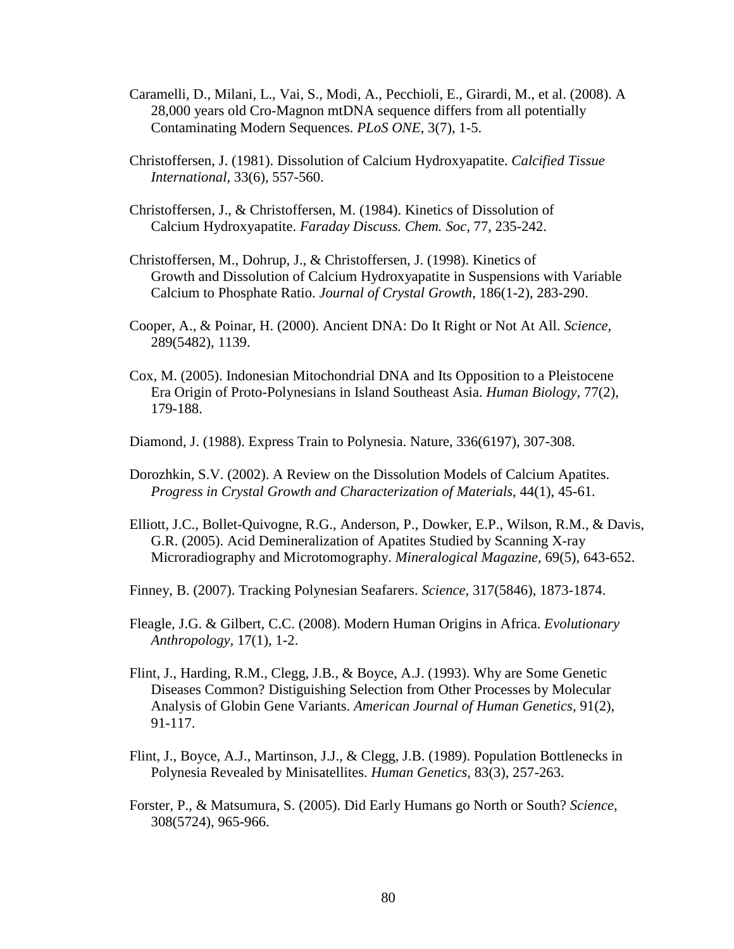- Caramelli, D., Milani, L., Vai, S., Modi, A., Pecchioli, E., Girardi, M., et al. (2008). A 28,000 years old Cro-Magnon mtDNA sequence differs from all potentially Contaminating Modern Sequences. *PLoS ONE,* 3(7), 1-5.
- Christoffersen, J. (1981). Dissolution of Calcium Hydroxyapatite. *Calcified Tissue International,* 33(6), 557-560.
- Christoffersen, J., & Christoffersen, M. (1984). Kinetics of Dissolution of Calcium Hydroxyapatite. *Faraday Discuss. Chem. Soc,* 77, 235-242.
- Christoffersen, M., Dohrup, J., & Christoffersen, J. (1998). Kinetics of Growth and Dissolution of Calcium Hydroxyapatite in Suspensions with Variable Calcium to Phosphate Ratio. *Journal of Crystal Growth,* 186(1-2), 283-290.
- Cooper, A., & Poinar, H. (2000). Ancient DNA: Do It Right or Not At All. *Science,* 289(5482), 1139.
- Cox, M. (2005). Indonesian Mitochondrial DNA and Its Opposition to a Pleistocene Era Origin of Proto-Polynesians in Island Southeast Asia. *Human Biology,* 77(2), 179-188.
- Diamond, J. (1988). Express Train to Polynesia. Nature, 336(6197), 307-308.
- Dorozhkin, S.V. (2002). A Review on the Dissolution Models of Calcium Apatites. *Progress in Crystal Growth and Characterization of Materials,* 44(1), 45-61.
- Elliott, J.C., Bollet-Quivogne, R.G., Anderson, P., Dowker, E.P., Wilson, R.M., & Davis, G.R. (2005). Acid Demineralization of Apatites Studied by Scanning X-ray Microradiography and Microtomography. *Mineralogical Magazine,* 69(5), 643-652.
- Finney, B. (2007). Tracking Polynesian Seafarers. *Science,* 317(5846), 1873-1874.
- Fleagle, J.G. & Gilbert, C.C. (2008). Modern Human Origins in Africa. *Evolutionary Anthropology,* 17(1), 1-2.
- Flint, J., Harding, R.M., Clegg, J.B., & Boyce, A.J. (1993). Why are Some Genetic Diseases Common? Distiguishing Selection from Other Processes by Molecular Analysis of Globin Gene Variants. *American Journal of Human Genetics,* 91(2), 91-117.
- Flint, J., Boyce, A.J., Martinson, J.J., & Clegg, J.B. (1989). Population Bottlenecks in Polynesia Revealed by Minisatellites. *Human Genetics,* 83(3), 257-263.
- Forster, P., & Matsumura, S. (2005). Did Early Humans go North or South? *Science,*  308(5724), 965-966.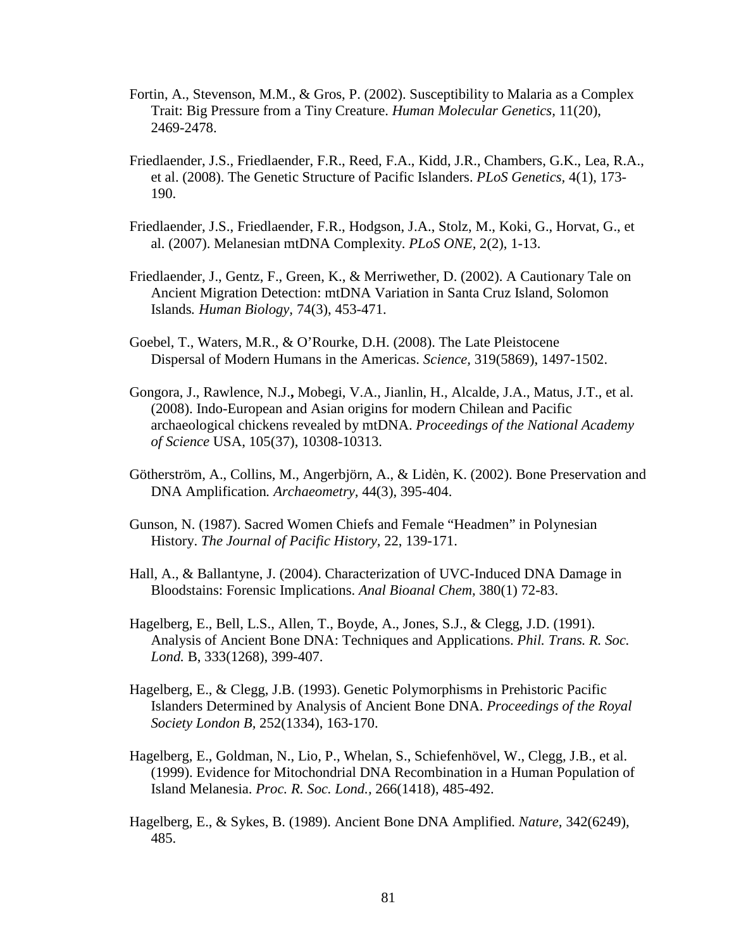- Fortin, A., Stevenson, M.M., & Gros, P. (2002). Susceptibility to Malaria as a Complex Trait: Big Pressure from a Tiny Creature. *Human Molecular Genetics,* 11(20), 2469-2478.
- Friedlaender, J.S., Friedlaender, F.R., Reed, F.A., Kidd, J.R., Chambers, G.K., Lea, R.A., et al. (2008). The Genetic Structure of Pacific Islanders. *PLoS Genetics,* 4(1), 173- 190.
- Friedlaender, J.S., Friedlaender, F.R., Hodgson, J.A., Stolz, M., Koki, G., Horvat, G., et al. (2007). Melanesian mtDNA Complexity. *PLoS ONE,* 2(2), 1-13.
- Friedlaender, J., Gentz, F., Green, K., & Merriwether, D. (2002). A Cautionary Tale on Ancient Migration Detection: mtDNA Variation in Santa Cruz Island, Solomon Islands*. Human Biology,* 74(3), 453-471.
- Goebel, T., Waters, M.R., & O'Rourke, D.H. (2008). The Late Pleistocene Dispersal of Modern Humans in the Americas. *Science,* 319(5869), 1497-1502.
- Gongora, J., Rawlence, N.J.**,** Mobegi, V.A., Jianlin, H., Alcalde, J.A., Matus, J.T., et al. (2008). Indo-European and Asian origins for modern Chilean and Pacific archaeological chickens revealed by mtDNA. *Proceedings of the National Academy of Science* USA, 105(37), 10308-10313.
- Götherström, A., Collins, M., Angerbjörn, A., & Liden, K. (2002). Bone Preservation and DNA Amplification*. Archaeometry,* 44(3), 395-404.
- Gunson, N. (1987). Sacred Women Chiefs and Female "Headmen" in Polynesian History. *The Journal of Pacific History,* 22, 139-171.
- Hall, A., & Ballantyne, J. (2004). Characterization of UVC-Induced DNA Damage in Bloodstains: Forensic Implications. *Anal Bioanal Chem,* 380(1) 72-83.
- Hagelberg, E., Bell, L.S., Allen, T., Boyde, A., Jones, S.J., & Clegg, J.D. (1991). Analysis of Ancient Bone DNA: Techniques and Applications. *Phil. Trans. R. Soc. Lond.* B, 333(1268), 399-407.
- Hagelberg, E., & Clegg, J.B. (1993). Genetic Polymorphisms in Prehistoric Pacific Islanders Determined by Analysis of Ancient Bone DNA. *Proceedings of the Royal Society London B,* 252(1334), 163-170.
- Hagelberg, E., Goldman, N., Lio, P., Whelan, S., Schiefenhövel, W., Clegg, J.B., et al. (1999). Evidence for Mitochondrial DNA Recombination in a Human Population of Island Melanesia. *Proc. R. Soc. Lond.,* 266(1418), 485-492.
- Hagelberg, E., & Sykes, B. (1989). Ancient Bone DNA Amplified. *Nature,* 342(6249), 485.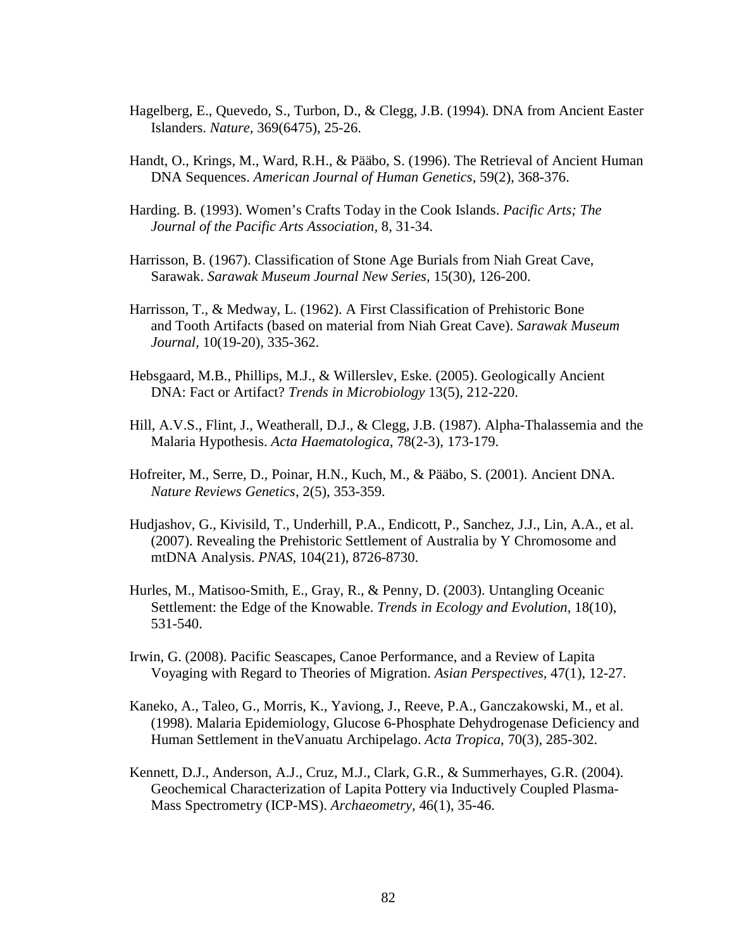- Hagelberg, E., Quevedo, S., Turbon, D., & Clegg, J.B. (1994). DNA from Ancient Easter Islanders. *Nature,* 369(6475), 25-26.
- Handt, O., Krings, M., Ward, R.H., & Pääbo, S. (1996). The Retrieval of Ancient Human DNA Sequences. *American Journal of Human Genetics,* 59(2), 368-376.
- Harding. B. (1993). Women's Crafts Today in the Cook Islands. *Pacific Arts; The Journal of the Pacific Arts Association,* 8, 31-34.
- Harrisson, B. (1967). Classification of Stone Age Burials from Niah Great Cave, Sarawak. *Sarawak Museum Journal New Series,* 15(30), 126-200.
- Harrisson, T., & Medway, L. (1962). A First Classification of Prehistoric Bone and Tooth Artifacts (based on material from Niah Great Cave). *Sarawak Museum Journal,* 10(19-20), 335-362.
- Hebsgaard, M.B., Phillips, M.J., & Willerslev, Eske. (2005). Geologically Ancient DNA: Fact or Artifact? *Trends in Microbiology* 13(5), 212-220.
- Hill, A.V.S., Flint, J., Weatherall, D.J., & Clegg, J.B. (1987). Alpha-Thalassemia and the Malaria Hypothesis. *Acta Haematologica,* 78(2-3), 173-179.
- Hofreiter, M., Serre, D., Poinar, H.N., Kuch, M., & Pääbo, S. (2001). Ancient DNA. *Nature Reviews Genetics,* 2(5), 353-359.
- Hudjashov, G., Kivisild, T., Underhill, P.A., Endicott, P., Sanchez, J.J., Lin, A.A., et al. (2007). Revealing the Prehistoric Settlement of Australia by Y Chromosome and mtDNA Analysis. *PNAS,* 104(21), 8726-8730.
- Hurles, M., Matisoo-Smith, E., Gray, R., & Penny, D. (2003). Untangling Oceanic Settlement: the Edge of the Knowable. *Trends in Ecology and Evolution,* 18(10), 531-540.
- Irwin, G. (2008). Pacific Seascapes, Canoe Performance, and a Review of Lapita Voyaging with Regard to Theories of Migration. *Asian Perspectives,* 47(1), 12-27.
- Kaneko, A., Taleo, G., Morris, K., Yaviong, J., Reeve, P.A., Ganczakowski, M., et al. (1998). Malaria Epidemiology, Glucose 6-Phosphate Dehydrogenase Deficiency and Human Settlement in theVanuatu Archipelago. *Acta Tropica,* 70(3), 285-302.
- Kennett, D.J., Anderson, A.J., Cruz, M.J., Clark, G.R., & Summerhayes, G.R. (2004). Geochemical Characterization of Lapita Pottery via Inductively Coupled Plasma-Mass Spectrometry (ICP-MS). *Archaeometry,* 46(1), 35-46.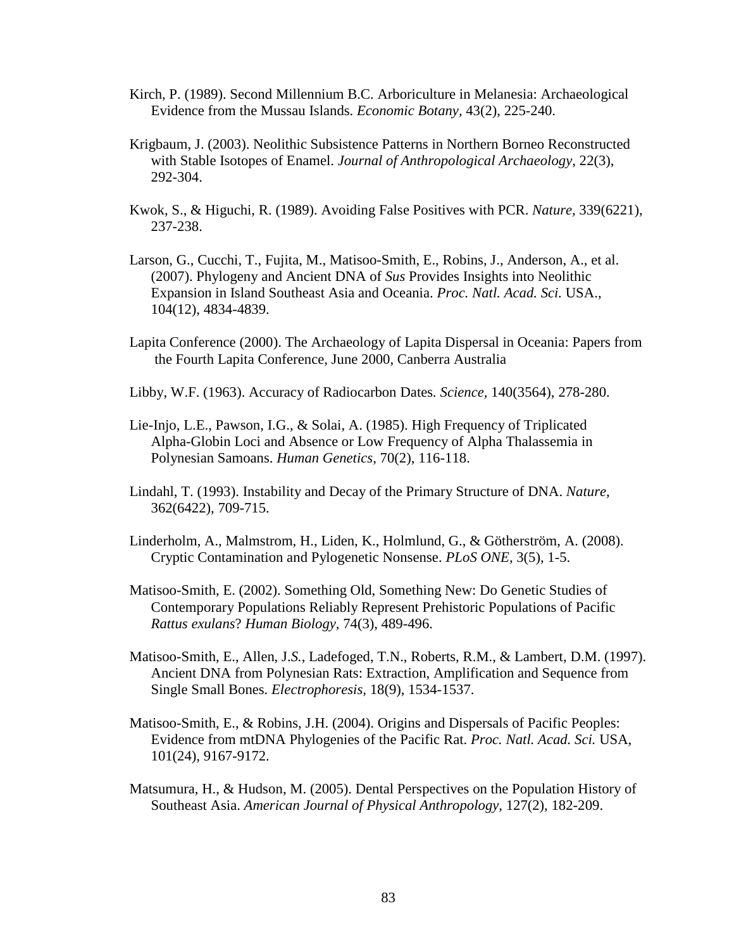- Kirch, P. (1989). Second Millennium B.C. Arboriculture in Melanesia: Archaeological Evidence from the Mussau Islands. *Economic Botany,* 43(2), 225-240.
- Krigbaum, J. (2003). Neolithic Subsistence Patterns in Northern Borneo Reconstructed with Stable Isotopes of Enamel. *Journal of Anthropological Archaeology,* 22(3), 292-304.
- Kwok, S., & Higuchi, R. (1989). Avoiding False Positives with PCR. *Nature,* 339(6221), 237-238.
- Larson, G., Cucchi, T., Fujita, M., Matisoo-Smith, E., Robins, J., Anderson, A., et al. (2007). Phylogeny and Ancient DNA of *Sus* Provides Insights into Neolithic Expansion in Island Southeast Asia and Oceania. *Proc. Natl. Acad. Sci.* USA., 104(12), 4834-4839.
- Lapita Conference (2000). The Archaeology of Lapita Dispersal in Oceania: Papers from the Fourth Lapita Conference, June 2000, Canberra Australia
- Libby, W.F. (1963). Accuracy of Radiocarbon Dates*. Science,* 140(3564), 278-280.
- Lie-Injo, L.E., Pawson, I.G., & Solai, A. (1985). High Frequency of Triplicated Alpha-Globin Loci and Absence or Low Frequency of Alpha Thalassemia in Polynesian Samoans. *Human Genetics,* 70(2), 116-118.
- Lindahl, T. (1993). Instability and Decay of the Primary Structure of DNA. *Nature,* 362(6422), 709-715.
- Linderholm, A., Malmstrom, H., Liden, K., Holmlund, G., & Götherström, A. (2008). Cryptic Contamination and Pylogenetic Nonsense. *PLoS ONE,* 3(5), 1-5.
- Matisoo-Smith, E. (2002). Something Old, Something New: Do Genetic Studies of Contemporary Populations Reliably Represent Prehistoric Populations of Pacific *Rattus exulans*? *Human Biology*, 74(3), 489-496.
- Matisoo-Smith, E., Allen, J.*S.*, Ladefoged, T.N., Roberts, R.M., & Lambert, D.M. (1997). Ancient DNA from Polynesian Rats: Extraction, Amplification and Sequence from Single Small Bones. *Electrophoresis,* 18(9), 1534-1537.
- Matisoo-Smith, E., & Robins, J.H. (2004). Origins and Dispersals of Pacific Peoples: Evidence from mtDNA Phylogenies of the Pacific Rat. *Proc. Natl. Acad. Sci.* USA, 101(24), 9167-9172.
- Matsumura, H., & Hudson, M. (2005). Dental Perspectives on the Population History of Southeast Asia. *American Journal of Physical Anthropology,* 127(2), 182-209.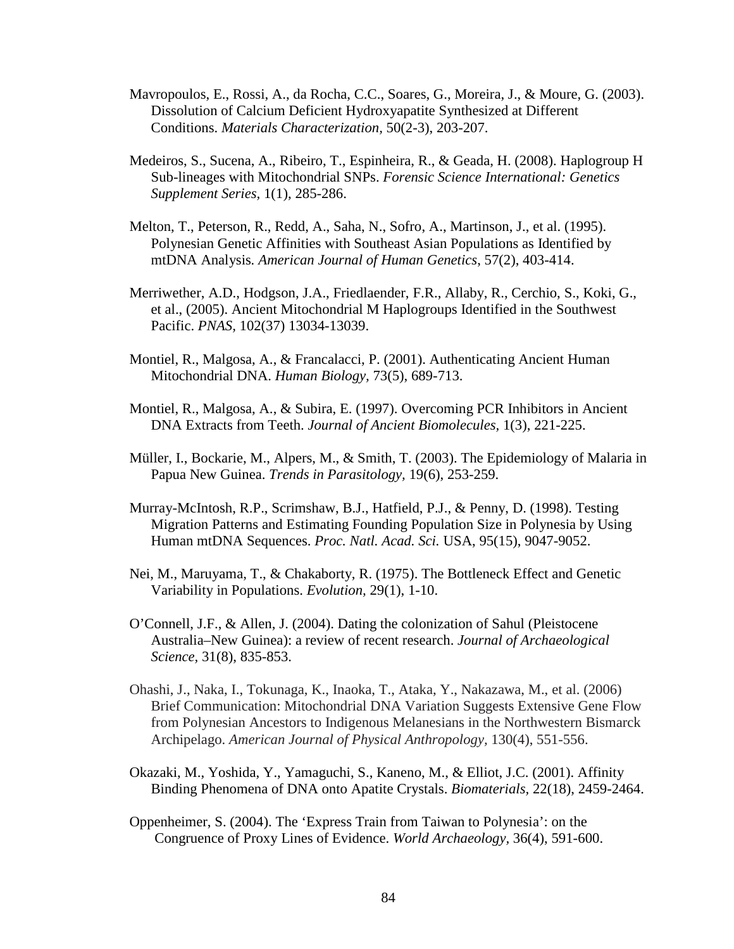- Mavropoulos, E., Rossi, A., da Rocha, C.C., Soares, G., Moreira, J., & Moure, G. (2003). Dissolution of Calcium Deficient Hydroxyapatite Synthesized at Different Conditions. *Materials Characterization,* 50(2-3), 203-207.
- Medeiros, S., Sucena, A., Ribeiro, T., Espinheira, R., & Geada, H. (2008). Haplogroup H Sub-lineages with Mitochondrial SNPs. *Forensic Science International: Genetics Supplement Series,* 1(1), 285-286.
- Melton, T., Peterson, R., Redd, A., Saha, N., Sofro, A., Martinson, J., et al. (1995). Polynesian Genetic Affinities with Southeast Asian Populations as Identified by mtDNA Analysis*. American Journal of Human Genetics*, 57(2), 403-414.
- Merriwether, A.D., Hodgson, J.A., Friedlaender, F.R., Allaby, R., Cerchio, S., Koki, G., et al., (2005). Ancient Mitochondrial M Haplogroups Identified in the Southwest Pacific. *PNAS,* 102(37) 13034-13039.
- Montiel, R., Malgosa, A., & Francalacci, P. (2001). Authenticating Ancient Human Mitochondrial DNA. *Human Biology,* 73(5), 689-713.
- Montiel, R., Malgosa, A., & Subira, E. (1997). Overcoming PCR Inhibitors in Ancient DNA Extracts from Teeth. *Journal of Ancient Biomolecules,* 1(3), 221-225.
- Müller, I., Bockarie, M., Alpers, M., & Smith, T. (2003). The Epidemiology of Malaria in Papua New Guinea. *Trends in Parasitology,* 19(6), 253-259.
- Murray-McIntosh, R.P., Scrimshaw, B.J., Hatfield, P.J., & Penny, D. (1998). Testing Migration Patterns and Estimating Founding Population Size in Polynesia by Using Human mtDNA Sequences. *Proc. Natl. Acad. Sci.* USA, 95(15), 9047-9052.
- Nei, M., Maruyama, T., & Chakaborty, R. (1975). The Bottleneck Effect and Genetic Variability in Populations. *Evolution,* 29(1), 1-10.
- O'Connell, J.F., & Allen, J. (2004). Dating the colonization of Sahul (Pleistocene Australia–New Guinea): a review of recent research. *Journal of Archaeological Science,* 31(8), 835-853.
- Ohashi, J., Naka, I., Tokunaga, K., Inaoka, T., Ataka, Y., Nakazawa, M., et al. (2006) Brief Communication: Mitochondrial DNA Variation Suggests Extensive Gene Flow from Polynesian Ancestors to Indigenous Melanesians in the Northwestern Bismarck Archipelago. *American Journal of Physical Anthropology,* 130(4), 551-556.
- Okazaki, M., Yoshida, Y., Yamaguchi, S., Kaneno, M., & Elliot, J.C. (2001). Affinity Binding Phenomena of DNA onto Apatite Crystals. *Biomaterials,* 22(18), 2459-2464.
- Oppenheimer, S. (2004). The 'Express Train from Taiwan to Polynesia': on the Congruence of Proxy Lines of Evidence. *World Archaeology,* 36(4), 591-600.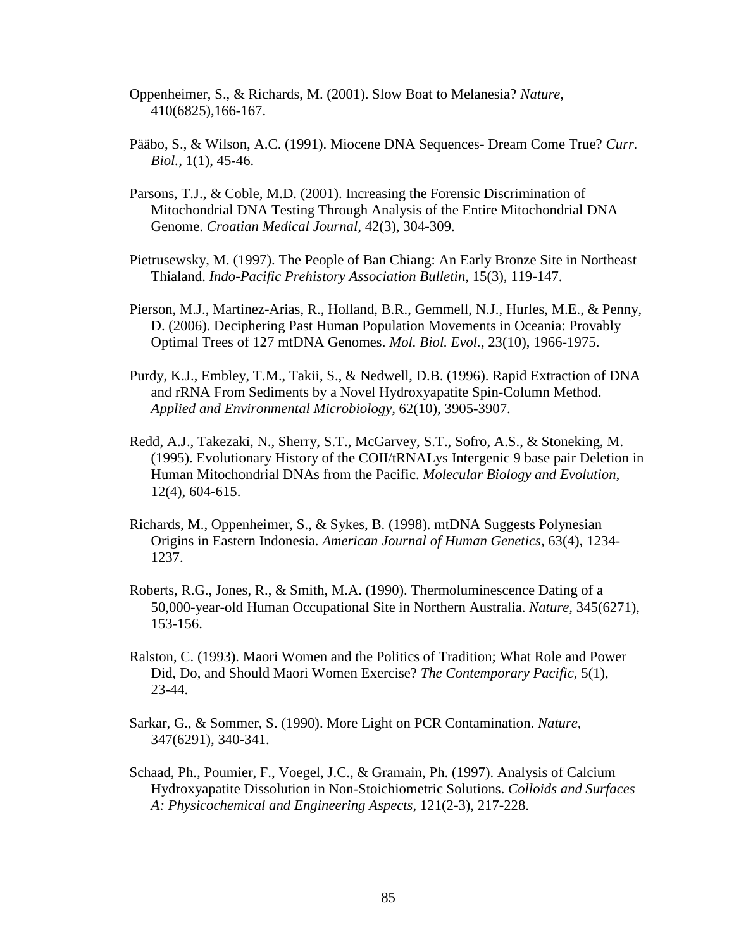- Oppenheimer, S., & Richards, M. (2001). Slow Boat to Melanesia? *Nature,*  410(6825),166-167.
- Pääbo, S., & Wilson, A.C. (1991). Miocene DNA Sequences- Dream Come True? *Curr. Biol.,* 1(1), 45-46.
- Parsons, T.J., & Coble, M.D. (2001). Increasing the Forensic Discrimination of Mitochondrial DNA Testing Through Analysis of the Entire Mitochondrial DNA Genome. *Croatian Medical Journal,* 42(3), 304-309.
- Pietrusewsky, M. (1997). The People of Ban Chiang: An Early Bronze Site in Northeast Thialand. *Indo-Pacific Prehistory Association Bulletin,* 15(3), 119-147.
- Pierson, M.J., Martinez-Arias, R., Holland, B.R., Gemmell, N.J., Hurles, M.E., & Penny, D. (2006). Deciphering Past Human Population Movements in Oceania: Provably Optimal Trees of 127 mtDNA Genomes. *Mol. Biol. Evol.,* 23(10), 1966-1975.
- Purdy, K.J., Embley, T.M., Takii, S., & Nedwell, D.B. (1996). Rapid Extraction of DNA and rRNA From Sediments by a Novel Hydroxyapatite Spin-Column Method. *Applied and Environmental Microbiology,* 62(10), 3905-3907.
- Redd, A.J., Takezaki, N., Sherry, S.T., McGarvey, S.T., Sofro, A.S., & Stoneking, M. (1995). Evolutionary History of the COII/tRNALys Intergenic 9 base pair Deletion in Human Mitochondrial DNAs from the Pacific. *Molecular Biology and Evolution,* 12(4), 604-615.
- Richards, M., Oppenheimer, S., & Sykes, B. (1998). mtDNA Suggests Polynesian Origins in Eastern Indonesia. *American Journal of Human Genetics,* 63(4), 1234- 1237.
- Roberts, R.G., Jones, R., & Smith, M.A. (1990). Thermoluminescence Dating of a 50,000-year-old Human Occupational Site in Northern Australia. *Nature,* 345(6271), 153-156.
- Ralston, C. (1993). Maori Women and the Politics of Tradition; What Role and Power Did, Do, and Should Maori Women Exercise? *The Contemporary Pacific,* 5(1), 23-44.
- Sarkar, G., & Sommer, S. (1990). More Light on PCR Contamination. *Nature,* 347(6291), 340-341.
- Schaad, Ph., Poumier, F., Voegel, J.C., & Gramain, Ph. (1997). Analysis of Calcium Hydroxyapatite Dissolution in Non-Stoichiometric Solutions. *Colloids and Surfaces A: Physicochemical and Engineering Aspects,* 121(2-3), 217-228.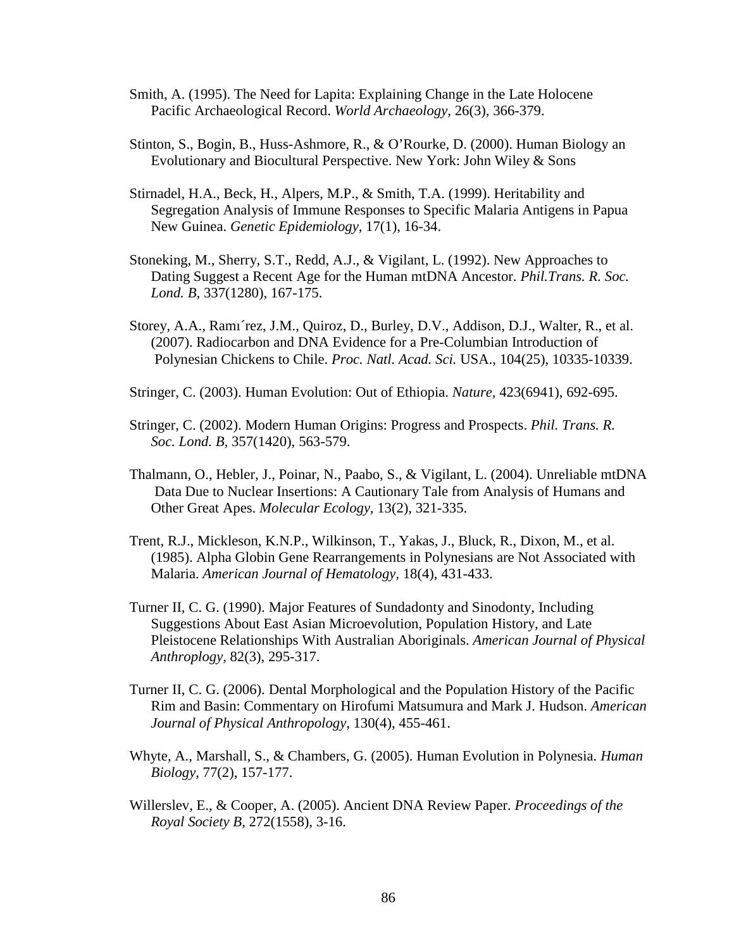- Smith, A. (1995). The Need for Lapita: Explaining Change in the Late Holocene Pacific Archaeological Record. *World Archaeology,* 26(3), 366-379.
- Stinton, S., Bogin, B., Huss-Ashmore, R., & O'Rourke, D. (2000). Human Biology an Evolutionary and Biocultural Perspective. New York: John Wiley & Sons
- Stirnadel, H.A., Beck, H., Alpers, M.P., & Smith, T.A. (1999). Heritability and Segregation Analysis of Immune Responses to Specific Malaria Antigens in Papua New Guinea. *Genetic Epidemiology,* 17(1), 16-34.
- Stoneking, M., Sherry, S.T., Redd, A.J., & Vigilant, L. (1992). New Approaches to Dating Suggest a Recent Age for the Human mtDNA Ancestor. *Phil.Trans. R. Soc. Lond. B,* 337(1280), 167-175.
- Storey, A.A., Ramı´rez, J.M., Quiroz, D., Burley, D.V., Addison, D.J., Walter, R., et al. (2007). Radiocarbon and DNA Evidence for a Pre-Columbian Introduction of Polynesian Chickens to Chile. *Proc. Natl. Acad. Sci.* USA., 104(25), 10335-10339.
- Stringer, C. (2003). Human Evolution: Out of Ethiopia. *Nature,* 423(6941), 692-695.
- Stringer, C. (2002). Modern Human Origins: Progress and Prospects. *Phil. Trans. R. Soc. Lond. B,* 357(1420), 563-579.
- Thalmann, O., Hebler, J., Poinar, N., Paabo, S., & Vigilant, L. (2004). Unreliable mtDNA Data Due to Nuclear Insertions: A Cautionary Tale from Analysis of Humans and Other Great Apes. *Molecular Ecology,* 13(2), 321-335.
- Trent, R.J., Mickleson, K.N.P., Wilkinson, T., Yakas, J., Bluck, R., Dixon, M., et al. (1985). Alpha Globin Gene Rearrangements in Polynesians are Not Associated with Malaria. *American Journal of Hematology,* 18(4), 431-433.
- Turner II, C. G. (1990). Major Features of Sundadonty and Sinodonty, Including Suggestions About East Asian Microevolution, Population History, and Late Pleistocene Relationships With Australian Aboriginals. *American Journal of Physical Anthroplogy,* 82(3), 295-317.
- Turner II, C. G. (2006). Dental Morphological and the Population History of the Pacific Rim and Basin: Commentary on Hirofumi Matsumura and Mark J. Hudson. *American Journal of Physical Anthropology*, 130(4), 455-461.
- Whyte, A., Marshall, S., & Chambers, G. (2005). Human Evolution in Polynesia. *Human Biology,* 77(2), 157-177.
- Willerslev, E., & Cooper, A. (2005). Ancient DNA Review Paper. *Proceedings of the Royal Society B,* 272(1558), 3-16.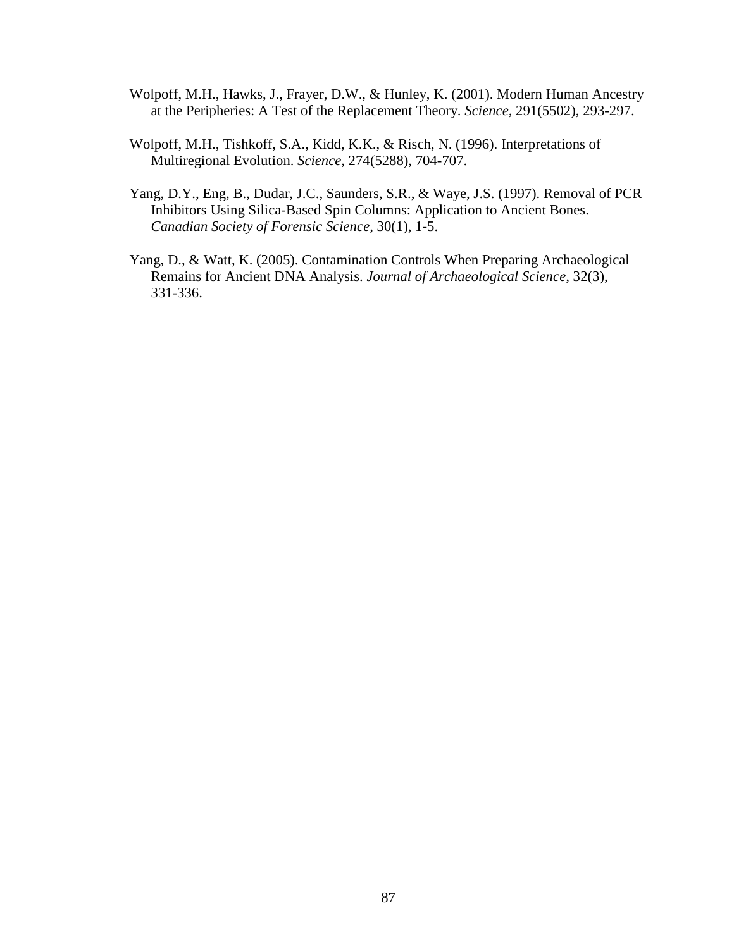- Wolpoff, M.H., Hawks, J., Frayer, D.W., & Hunley, K. (2001). Modern Human Ancestry at the Peripheries: A Test of the Replacement Theory. *Science,* 291(5502), 293-297.
- Wolpoff, M.H., Tishkoff, S.A., Kidd, K.K., & Risch, N. (1996). Interpretations of Multiregional Evolution. *Science,* 274(5288), 704-707.
- Yang, D.Y., Eng, B., Dudar, J.C., Saunders, S.R., & Waye, J.S. (1997). Removal of PCR Inhibitors Using Silica-Based Spin Columns: Application to Ancient Bones. *Canadian Society of Forensic Science,* 30(1), 1-5.
- Yang, D., & Watt, K. (2005). Contamination Controls When Preparing Archaeological Remains for Ancient DNA Analysis. *Journal of Archaeological Science,* 32(3), 331-336.